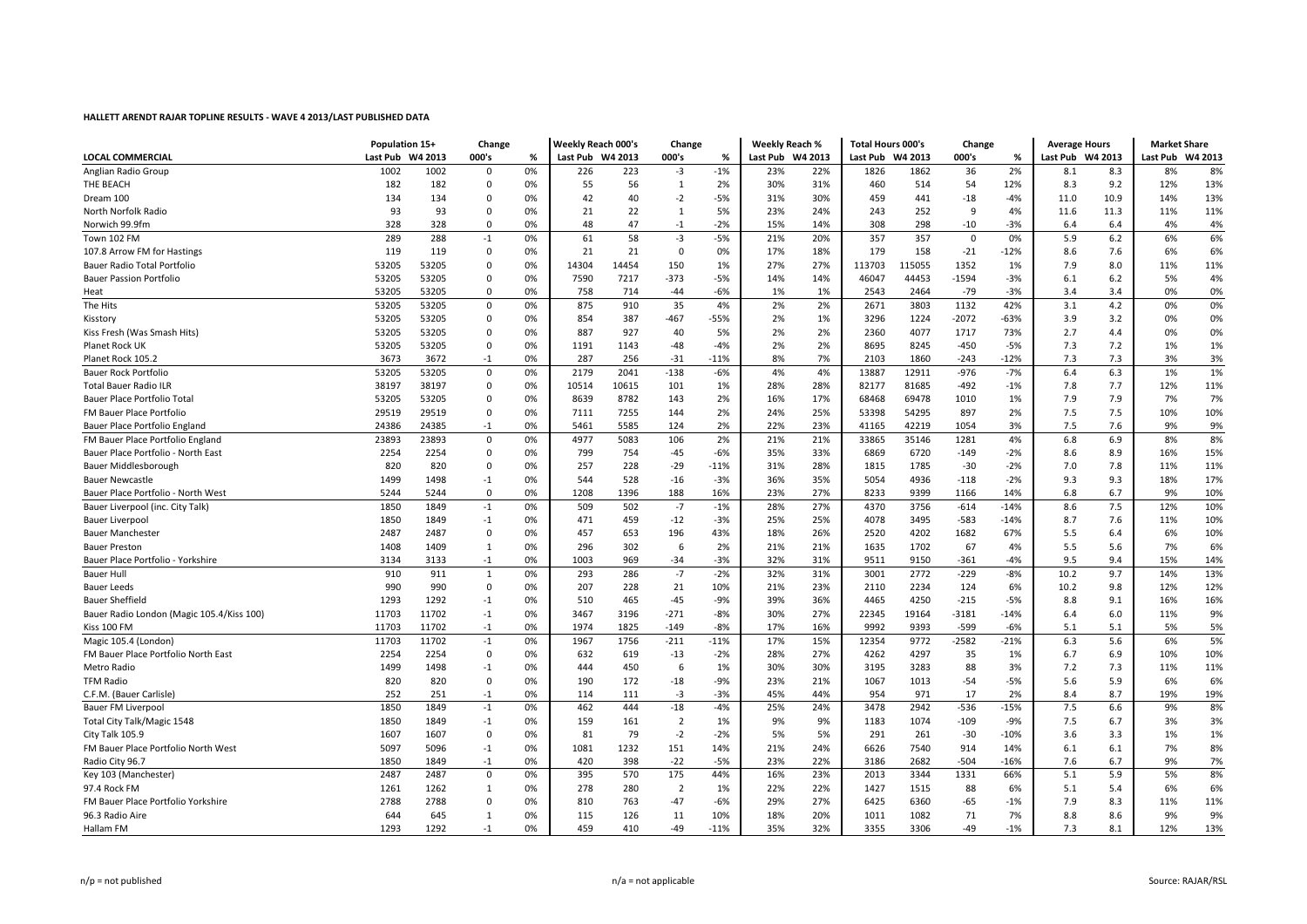|                                           |                  | Population 15+<br>Change |             |    | <b>Weekly Reach 000's</b> |       | Change         |        | <b>Weekly Reach %</b> |     | <b>Total Hours 000's</b> |        | Change      |        | <b>Average Hours</b> |       | <b>Market Share</b> |     |
|-------------------------------------------|------------------|--------------------------|-------------|----|---------------------------|-------|----------------|--------|-----------------------|-----|--------------------------|--------|-------------|--------|----------------------|-------|---------------------|-----|
| <b>LOCAL COMMERCIAL</b>                   | Last Pub W4 2013 |                          | 000's       | %  | Last Pub W4 2013          |       | 000's          | %      | Last Pub W4 2013      |     | Last Pub W4 2013         |        | 000's       | %      | Last Pub W4 2013     |       | Last Pub W4 2013    |     |
| Anglian Radio Group                       | 1002             | 1002                     | $\mathbf 0$ | 0% | 226                       | 223   | $-3$           | $-1%$  | 23%                   | 22% | 1826                     | 1862   | 36          | 2%     | 8.1                  | 8.3   | 8%                  | 8%  |
| THE BEACH                                 | 182              | 182                      | $\Omega$    | 0% | 55                        | 56    | 1              | 2%     | 30%                   | 31% | 460                      | 514    | 54          | 12%    | 8.3                  | 9.2   | 12%                 | 13% |
| Dream 100                                 | 134              | 134                      | 0           | 0% | 42                        | 40    | $-2$           | $-5%$  | 31%                   | 30% | 459                      | 441    | $-18$       | $-4%$  | 11.0                 | 10.9  | 14%                 | 13% |
| North Norfolk Radio                       | 93               | 93                       | $\Omega$    | 0% | 21                        | 22    | $\mathbf{1}$   | 5%     | 23%                   | 24% | 243                      | 252    | 9           | 4%     | 11.6                 | 11.3  | 11%                 | 11% |
| Norwich 99.9fm                            | 328              | 328                      | $\Omega$    | 0% | 48                        | 47    | $-1$           | $-2%$  | 15%                   | 14% | 308                      | 298    | $-10$       | $-3%$  | 6.4                  | 6.4   | 4%                  | 4%  |
| Town 102 FM                               | 289              | 288                      | $-1$        | 0% | 61                        | 58    | $-3$           | $-5%$  | 21%                   | 20% | 357                      | 357    | $\mathbf 0$ | 0%     | 5.9                  | 6.2   | 6%                  | 6%  |
| 107.8 Arrow FM for Hastings               | 119              | 119                      | $\mathsf 0$ | 0% | 21                        | 21    | $\mathbf 0$    | 0%     | 17%                   | 18% | 179                      | 158    | $-21$       | $-12%$ | 8.6                  | 7.6   | 6%                  | 6%  |
| Bauer Radio Total Portfolio               | 53205            | 53205                    | $\mathbf 0$ | 0% | 14304                     | 14454 | 150            | 1%     | 27%                   | 27% | 113703                   | 115055 | 1352        | 1%     | 7.9                  | 8.0   | 11%                 | 11% |
| <b>Bauer Passion Portfolio</b>            | 53205            | 53205                    | $\Omega$    | 0% | 7590                      | 7217  | -373           | $-5%$  | 14%                   | 14% | 46047                    | 44453  | $-1594$     | $-3%$  | 6.1                  | $6.2$ | 5%                  | 4%  |
| Heat                                      | 53205            | 53205                    | $\Omega$    | 0% | 758                       | 714   | $-44$          | $-6%$  | 1%                    | 1%  | 2543                     | 2464   | $-79$       | $-3%$  | 3.4                  | 3.4   | 0%                  | 0%  |
| The Hits                                  | 53205            | 53205                    | $\Omega$    | 0% | 875                       | 910   | 35             | 4%     | 2%                    | 2%  | 2671                     | 3803   | 1132        | 42%    | 3.1                  | 4.2   | 0%                  | 0%  |
| Kisstory                                  | 53205            | 53205                    | 0           | 0% | 854                       | 387   | -467           | -55%   | 2%                    | 1%  | 3296                     | 1224   | $-2072$     | $-63%$ | 3.9                  | 3.2   | 0%                  | 0%  |
| Kiss Fresh (Was Smash Hits)               | 53205            | 53205                    | 0           | 0% | 887                       | 927   | 40             | 5%     | 2%                    | 2%  | 2360                     | 4077   | 1717        | 73%    | 2.7                  | 4.4   | 0%                  | 0%  |
| Planet Rock UK                            | 53205            | 53205                    | $\mathbf 0$ | 0% | 1191                      | 1143  | -48            | $-4%$  | 2%                    | 2%  | 8695                     | 8245   | $-450$      | $-5%$  | 7.3                  | 7.2   | 1%                  | 1%  |
| Planet Rock 105.2                         | 3673             | 3672                     | $-1$        | 0% | 287                       | 256   | $-31$          | $-11%$ | 8%                    | 7%  | 2103                     | 1860   | $-243$      | $-12%$ | 7.3                  | 7.3   | 3%                  | 3%  |
| <b>Bauer Rock Portfolio</b>               | 53205            | 53205                    | $\mathsf 0$ | 0% | 2179                      | 2041  | $-138$         | $-6%$  | 4%                    | 4%  | 13887                    | 12911  | $-976$      | $-7%$  | 6.4                  | 6.3   | 1%                  | 1%  |
| <b>Total Bauer Radio ILR</b>              | 38197            | 38197                    | $\mathbf 0$ | 0% | 10514                     | 10615 | 101            | 1%     | 28%                   | 28% | 82177                    | 81685  | -492        | $-1%$  | 7.8                  | 7.7   | 12%                 | 11% |
| Bauer Place Portfolio Total               | 53205            | 53205                    | $\Omega$    | 0% | 8639                      | 8782  | 143            | 2%     | 16%                   | 17% | 68468                    | 69478  | 1010        | 1%     | 7.9                  | 7.9   | 7%                  | 7%  |
| FM Bauer Place Portfolio                  | 29519            | 29519                    | $\Omega$    | 0% | 7111                      | 7255  | 144            | 2%     | 24%                   | 25% | 53398                    | 54295  | 897         | 2%     | 7.5                  | 7.5   | 10%                 | 10% |
| Bauer Place Portfolio England             | 24386            | 24385                    | $-1$        | 0% | 5461                      | 5585  | 124            | 2%     | 22%                   | 23% | 41165                    | 42219  | 1054        | 3%     | 7.5                  | 7.6   | 9%                  | 9%  |
| FM Bauer Place Portfolio England          | 23893            | 23893                    | $\pmb{0}$   | 0% | 4977                      | 5083  | 106            | 2%     | 21%                   | 21% | 33865                    | 35146  | 1281        | 4%     | 6.8                  | 6.9   | 8%                  | 8%  |
| Bauer Place Portfolio - North East        | 2254             | 2254                     | $\mathbf 0$ | 0% | 799                       | 754   | $-45$          | $-6%$  | 35%                   | 33% | 6869                     | 6720   | $-149$      | $-2%$  | 8.6                  | 8.9   | 16%                 | 15% |
| Bauer Middlesborough                      | 820              | 820                      | $\Omega$    | 0% | 257                       | 228   | $-29$          | $-11%$ | 31%                   | 28% | 1815                     | 1785   | $-30$       | $-2%$  | 7.0                  | 7.8   | 11%                 | 11% |
| <b>Bauer Newcastle</b>                    | 1499             | 1498                     | $-1$        | 0% | 544                       | 528   | $-16$          | $-3%$  | 36%                   | 35% | 5054                     | 4936   | $-118$      | $-2%$  | 9.3                  | 9.3   | 18%                 | 17% |
| Bauer Place Portfolio - North West        | 5244             | 5244                     | $\mathbf 0$ | 0% | 1208                      | 1396  | 188            | 16%    | 23%                   | 27% | 8233                     | 9399   | 1166        | 14%    | 6.8                  | 6.7   | 9%                  | 10% |
| Bauer Liverpool (inc. City Talk)          | 1850             | 1849                     | $-1$        | 0% | 509                       | 502   | $-7$           | $-1%$  | 28%                   | 27% | 4370                     | 3756   | $-614$      | $-14%$ | 8.6                  | 7.5   | 12%                 | 10% |
| Bauer Liverpool                           | 1850             | 1849                     | $-1$        | 0% | 471                       | 459   | $-12$          | $-3%$  | 25%                   | 25% | 4078                     | 3495   | $-583$      | $-14%$ | 8.7                  | 7.6   | 11%                 | 10% |
| <b>Bauer Manchester</b>                   | 2487             | 2487                     | $\mathbf 0$ | 0% | 457                       | 653   | 196            | 43%    | 18%                   | 26% | 2520                     | 4202   | 1682        | 67%    | 5.5                  | 6.4   | 6%                  | 10% |
| <b>Bauer Preston</b>                      | 1408             | 1409                     | 1           | 0% | 296                       | 302   | 6              | 2%     | 21%                   | 21% | 1635                     | 1702   | 67          | 4%     | 5.5                  | 5.6   | 7%                  | 6%  |
| Bauer Place Portfolio - Yorkshire         | 3134             | 3133                     | $-1$        | 0% | 1003                      | 969   | $-34$          | $-3%$  | 32%                   | 31% | 9511                     | 9150   | -361        | -4%    | 9.5                  | 9.4   | 15%                 | 14% |
| <b>Bauer Hull</b>                         | 910              | 911                      | 1           | 0% | 293                       | 286   | $-7$           | $-2%$  | 32%                   | 31% | 3001                     | 2772   | -229        | $-8%$  | 10.2                 | 9.7   | 14%                 | 13% |
| <b>Bauer Leeds</b>                        | 990              | 990                      | $\mathbf 0$ | 0% | 207                       | 228   | 21             | 10%    | 21%                   | 23% | 2110                     | 2234   | 124         | 6%     | 10.2                 | 9.8   | 12%                 | 12% |
| <b>Bauer Sheffield</b>                    | 1293             | 1292                     | $-1$        | 0% | 510                       | 465   | $-45$          | $-9%$  | 39%                   | 36% | 4465                     | 4250   | $-215$      | $-5%$  | 8.8                  | 9.1   | 16%                 | 16% |
| Bauer Radio London (Magic 105.4/Kiss 100) | 11703            | 11702                    | $-1$        | 0% | 3467                      | 3196  | $-271$         | $-8%$  | 30%                   | 27% | 22345                    | 19164  | $-3181$     | $-14%$ | 6.4                  | 6.0   | 11%                 | 9%  |
| Kiss 100 FM                               | 11703            | 11702                    | $-1$        | 0% | 1974                      | 1825  | $-149$         | $-8%$  | 17%                   | 16% | 9992                     | 9393   | $-599$      | $-6%$  | 5.1                  | 5.1   | 5%                  | 5%  |
| Magic 105.4 (London)                      | 11703            | 11702                    | $-1$        | 0% | 1967                      | 1756  | $-211$         | $-11%$ | 17%                   | 15% | 12354                    | 9772   | $-2582$     | $-21%$ | 6.3                  | 5.6   | 6%                  | 5%  |
| FM Bauer Place Portfolio North East       | 2254             | 2254                     | $\Omega$    | 0% | 632                       | 619   | $-13$          | $-2%$  | 28%                   | 27% | 4262                     | 4297   | 35          | 1%     | 6.7                  | 6.9   | 10%                 | 10% |
| Metro Radio                               | 1499             | 1498                     | $-1$        | 0% | 444                       | 450   | 6              | 1%     | 30%                   | 30% | 3195                     | 3283   | 88          | 3%     | 7.2                  | 7.3   | 11%                 | 11% |
| <b>TFM Radio</b>                          | 820              | 820                      | $\mathbf 0$ | 0% | 190                       | 172   | -18            | $-9%$  | 23%                   | 21% | 1067                     | 1013   | $-54$       | $-5%$  | 5.6                  | 5.9   | 6%                  | 6%  |
| C.F.M. (Bauer Carlisle)                   | 252              | 251                      | $-1$        | 0% | 114                       | 111   | $-3$           | $-3%$  | 45%                   | 44% | 954                      | 971    | 17          | 2%     | 8.4                  | 8.7   | 19%                 | 19% |
| <b>Bauer FM Liverpool</b>                 | 1850             | 1849                     | $-1$        | 0% | 462                       | 444   | $-18$          | $-4%$  | 25%                   | 24% | 3478                     | 2942   | $-536$      | $-15%$ | 7.5                  | 6.6   | 9%                  | 8%  |
| Total City Talk/Magic 1548                | 1850             | 1849                     | $-1$        | 0% | 159                       | 161   | $\overline{2}$ | 1%     | 9%                    | 9%  | 1183                     | 1074   | $-109$      | $-9%$  | 7.5                  | 6.7   | 3%                  | 3%  |
| City Talk 105.9                           | 1607             | 1607                     | $\Omega$    | 0% | 81                        | 79    | $-2$           | $-2%$  | 5%                    | 5%  | 291                      | 261    | $-30$       | $-10%$ | 3.6                  | 3.3   | 1%                  | 1%  |
| FM Bauer Place Portfolio North West       | 5097             | 5096                     | $-1$        | 0% | 1081                      | 1232  | 151            | 14%    | 21%                   | 24% | 6626                     | 7540   | 914         | 14%    | 6.1                  | 6.1   | 7%                  | 8%  |
| Radio City 96.7                           | 1850             | 1849                     | $-1$        | 0% | 420                       | 398   | $-22$          | $-5%$  | 23%                   | 22% | 3186                     | 2682   | -504        | $-16%$ | 7.6                  | 6.7   | 9%                  | 7%  |
| Key 103 (Manchester)                      | 2487             | 2487                     | $\Omega$    | 0% | 395                       | 570   | 175            | 44%    | 16%                   | 23% | 2013                     | 3344   | 1331        | 66%    | 5.1                  | 5.9   | 5%                  | 8%  |
| 97.4 Rock FM                              | 1261             | 1262                     |             |    | 278                       | 280   | $\overline{2}$ | 1%     | 22%                   | 22% | 1427                     | 1515   |             | 6%     | 5.1                  | 5.4   | 6%                  | 6%  |
|                                           | 2788             | 2788                     | 1           | 0% |                           | 763   | $-47$          | $-6%$  | 29%                   | 27% | 6425                     | 6360   | 88          |        | 7.9                  |       | 11%                 | 11% |
| FM Bauer Place Portfolio Yorkshire        |                  | 645                      | 0           | 0% | 810                       |       |                |        |                       |     |                          | 1082   | $-65$       | $-1%$  |                      | 8.3   | 9%                  | 9%  |
| 96.3 Radio Aire                           | 644              |                          | 1           | 0% | 115<br>459                | 126   | 11             | 10%    | 18%                   | 20% | 1011                     |        | 71          | 7%     | 8.8                  | 8.6   |                     |     |
| Hallam FM                                 | 1293             | 1292                     | $-1$        | 0% |                           | 410   | $-49$          | $-11%$ | 35%                   | 32% | 3355                     | 3306   | $-49$       | $-1%$  | 7.3                  | 8.1   | 12%                 | 13% |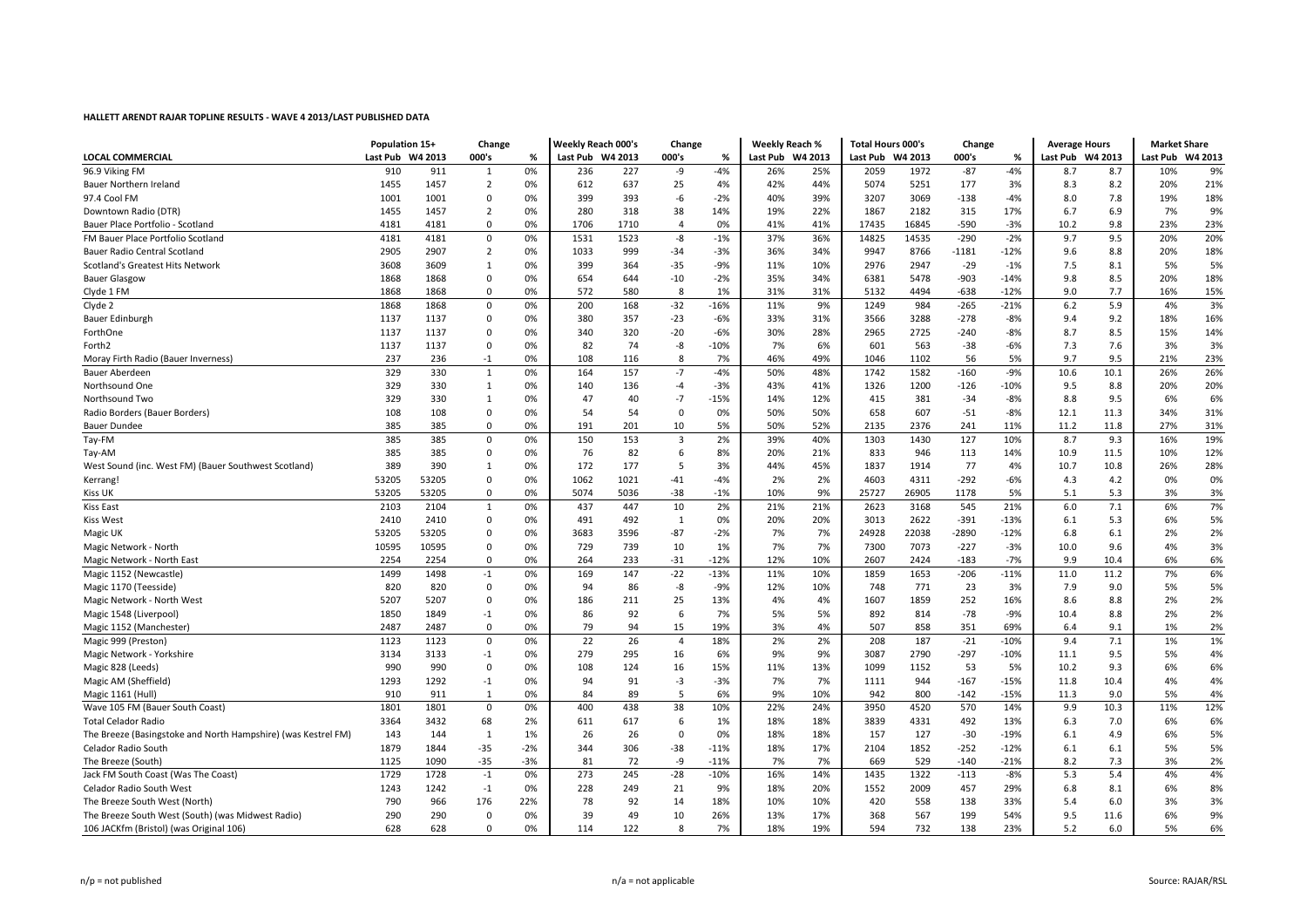| <b>LOCAL COMMERCIAL</b><br>Last Pub W4 2013<br>000's<br>Last Pub W4 2013<br>000's<br>Last Pub W4 2013<br>Last Pub W4 2013<br>000's<br>Last Pub W4 2013<br>Last Pub W4 2013<br>%<br>%<br>%<br>$-4%$<br>$-4%$<br>9%<br>96.9 Viking FM<br>910<br>911<br>0%<br>227<br>-9<br>26%<br>25%<br>1972<br>$-87$<br>8.7<br>10%<br>1<br>236<br>2059<br>8.7<br>1455<br>1457<br>$\overline{2}$<br>612<br>637<br>25<br>4%<br>42%<br>44%<br>5074<br>5251<br>177<br>3%<br>8.3<br>8.2<br>20%<br>21%<br><b>Bauer Northern Ireland</b><br>0%<br>$-2%$<br>39%<br>8.0<br>18%<br>97.4 Cool FM<br>1001<br>1001<br>$\mathbf 0$<br>0%<br>399<br>393<br>-6<br>40%<br>3207<br>3069<br>$-138$<br>$-4%$<br>7.8<br>19%<br>1455<br>1457<br>280<br>318<br>38<br>14%<br>19%<br>22%<br>1867<br>2182<br>315<br>17%<br>6.7<br>6.9<br>7%<br>9%<br>$\overline{2}$<br>0%<br>Downtown Radio (DTR)<br>1706<br>1710<br>0%<br>41%<br>41%<br>17435<br>16845<br>$-590$<br>10.2<br>9.8<br>23%<br>23%<br>Bauer Place Portfolio - Scotland<br>4181<br>4181<br>0<br>0%<br>$\overline{4}$<br>$-3%$<br>1523<br>37%<br>36%<br>$-290$<br>$-2%$<br>9.7<br>20%<br>FM Bauer Place Portfolio Scotland<br>4181<br>4181<br>$\mathbf 0$<br>0%<br>1531<br>-8<br>$-1%$<br>14825<br>14535<br>9.5<br>20%<br>2907<br>$\overline{2}$<br>36%<br>18%<br>2905<br>0%<br>1033<br>999<br>$-34$<br>$-3%$<br>34%<br>9947<br>8766<br>$-1181$<br>$-12%$<br>9.6<br>8.8<br>20%<br><b>Bauer Radio Central Scotland</b><br>7.5<br>5%<br>5%<br>Scotland's Greatest Hits Network<br>3608<br>3609<br>1<br>0%<br>399<br>364<br>$-35$<br>$-9%$<br>11%<br>10%<br>2976<br>2947<br>$-29$<br>$-1%$<br>8.1<br>9.8<br>18%<br><b>Bauer Glasgow</b><br>1868<br>1868<br>$\mathbf 0$<br>0%<br>654<br>644<br>$-10$<br>$-2%$<br>35%<br>34%<br>6381<br>5478<br>$-903$<br>$-14%$<br>8.5<br>20%<br>572<br>580<br>8<br>1%<br>31%<br>31%<br>4494<br>-638<br>9.0<br>7.7<br>16%<br>15%<br>Clyde 1 FM<br>1868<br>1868<br>0<br>0%<br>5132<br>$-12%$<br>3%<br>$-32$<br>9%<br>1249<br>984<br>$-21%$<br>6.2<br>5.9<br>Clyde 2<br>1868<br>1868<br>$\mathbf 0$<br>0%<br>200<br>168<br>$-16%$<br>11%<br>$-265$<br>4%<br>Bauer Edinburgh<br>1137<br>1137<br>380<br>357<br>$-23$<br>$-6%$<br>33%<br>31%<br>3566<br>3288<br>$-278$<br>$-8%$<br>9.4<br>9.2<br>18%<br>16%<br>0<br>0%<br>1137<br>1137<br>320<br>$-20$<br>$-6%$<br>30%<br>28%<br>2965<br>2725<br>8.7<br>8.5<br>15%<br>14%<br>ForthOne<br>$\Omega$<br>0%<br>340<br>$-240$<br>$-8%$<br>1137<br>1137<br>82<br>-8<br>$-10%$<br>7%<br>6%<br>7.3<br>3%<br>3%<br>Forth <sub>2</sub><br>$\mathbf 0$<br>0%<br>74<br>601<br>563<br>$-38$<br>$-6%$<br>7.6<br>237<br>236<br>$-1$<br>0%<br>108<br>8<br>7%<br>46%<br>49%<br>1046<br>1102<br>56<br>5%<br>9.7<br>9.5<br>21%<br>23%<br>Moray Firth Radio (Bauer Inverness)<br>116<br>$-7$<br>329<br>330<br>$\mathbf{1}$<br>0%<br>157<br>$-4%$<br>50%<br>48%<br>1742<br>1582<br>$-160$<br>$-9%$<br>10.6<br>10.1<br>26%<br>26%<br>Bauer Aberdeen<br>164<br>329<br>330<br>1<br>$-3%$<br>43%<br>41%<br>$-126$<br>9.5<br>20%<br>Northsound One<br>0%<br>140<br>136<br>$-4$<br>1326<br>1200<br>$-10%$<br>8.8<br>20%<br>329<br>330<br>$-7$<br>12%<br>381<br>8.8<br>9.5<br>6%<br>1<br>0%<br>47<br>40<br>$-15%$<br>14%<br>415<br>$-34$<br>$-8%$<br>6%<br>Northsound Two<br>108<br>54<br>54<br>50%<br>50%<br>$-51$<br>31%<br>Radio Borders (Bauer Borders)<br>108<br>$\mathbf 0$<br>0%<br>$\mathbf 0$<br>0%<br>658<br>607<br>$-8%$<br>12.1<br>11.3<br>34%<br>385<br>50%<br>52%<br>2376<br>31%<br><b>Bauer Dundee</b><br>385<br>$\mathbf 0$<br>0%<br>191<br>201<br>10<br>5%<br>2135<br>241<br>11%<br>11.2<br>11.8<br>27%<br>Tay-FM<br>385<br>385<br>0%<br>150<br>153<br>3<br>2%<br>39%<br>40%<br>1303<br>1430<br>127<br>10%<br>8.7<br>9.3<br>19%<br>$\overline{0}$<br>16%<br>385<br>385<br>$\mathbf 0$<br>0%<br>76<br>82<br>8%<br>20%<br>21%<br>833<br>946<br>113<br>14%<br>10.9<br>11.5<br>10%<br>12%<br>Tay-AM<br>6<br>77<br>28%<br>West Sound (inc. West FM) (Bauer Southwest Scotland)<br>389<br>390<br>1<br>0%<br>172<br>177<br>5<br>3%<br>44%<br>45%<br>1837<br>1914<br>10.7<br>10.8<br>26%<br>4%<br>1021<br>$-41$<br>2%<br>$-292$<br>0%<br>53205<br>53205<br>$\overline{0}$<br>0%<br>1062<br>$-4%$<br>2%<br>4603<br>4311<br>$-6%$<br>4.3<br>4.2<br>0%<br>Kerrang<br>53205<br>53205<br>5074<br>5036<br>$-38$<br>$-1%$<br>10%<br>9%<br>25727<br>26905<br>1178<br>5%<br>5.1<br>5.3<br>3%<br>3%<br>Kiss UK<br>0<br>0%<br>2%<br>6.0<br>7%<br><b>Kiss East</b><br>2103<br>437<br>447<br>10<br>21%<br>2623<br>545<br>7.1<br>6%<br>2104<br>1<br>0%<br>21%<br>3168<br>21%<br>5%<br>2410<br>2410<br>$\mathbf{1}$<br>20%<br>2622<br>6.1<br>6%<br><b>Kiss West</b><br>0<br>0%<br>491<br>492<br>0%<br>20%<br>3013<br>$-391$<br>$-13%$<br>5.3<br>53205<br>53205<br>$-87$<br>$-2%$<br>7%<br>7%<br>22038<br>2%<br>2%<br>$\overline{0}$<br>0%<br>3683<br>3596<br>24928<br>$-2890$<br>$-12%$<br>6.8<br>6.1<br>Magic UK<br>739<br>7%<br>7%<br>7073<br>$-227$<br>$-3%$<br>4%<br>3%<br>10595<br>10595<br>$\overline{0}$<br>0%<br>729<br>10<br>1%<br>7300<br>10.0<br>9.6<br>Magic Network - North<br>10%<br>6%<br>Magic Network - North East<br>2254<br>2254<br>$\mathbf 0$<br>0%<br>264<br>233<br>$-31$<br>$-12%$<br>12%<br>2607<br>2424<br>$-183$<br>$-7%$<br>9.9<br>10.4<br>6%<br>$-13%$<br>1653<br>$-11%$<br>6%<br>Magic 1152 (Newcastle)<br>1499<br>1498<br>$-1$<br>169<br>147<br>$-22$<br>11%<br>10%<br>1859<br>$-206$<br>11.0<br>11.2<br>7%<br>0%<br>5%<br>Magic 1170 (Teesside)<br>820<br>820<br>$\mathbf 0$<br>86<br>-8<br>$-9%$<br>12%<br>10%<br>748<br>771<br>23<br>3%<br>7.9<br>9.0<br>5%<br>0%<br>94<br>2%<br>Magic Network - North West<br>5207<br>5207<br>$\mathbf 0$<br>186<br>211<br>25<br>13%<br>4%<br>4%<br>1607<br>1859<br>252<br>16%<br>8.6<br>8.8<br>2%<br>0% |
|--------------------------------------------------------------------------------------------------------------------------------------------------------------------------------------------------------------------------------------------------------------------------------------------------------------------------------------------------------------------------------------------------------------------------------------------------------------------------------------------------------------------------------------------------------------------------------------------------------------------------------------------------------------------------------------------------------------------------------------------------------------------------------------------------------------------------------------------------------------------------------------------------------------------------------------------------------------------------------------------------------------------------------------------------------------------------------------------------------------------------------------------------------------------------------------------------------------------------------------------------------------------------------------------------------------------------------------------------------------------------------------------------------------------------------------------------------------------------------------------------------------------------------------------------------------------------------------------------------------------------------------------------------------------------------------------------------------------------------------------------------------------------------------------------------------------------------------------------------------------------------------------------------------------------------------------------------------------------------------------------------------------------------------------------------------------------------------------------------------------------------------------------------------------------------------------------------------------------------------------------------------------------------------------------------------------------------------------------------------------------------------------------------------------------------------------------------------------------------------------------------------------------------------------------------------------------------------------------------------------------------------------------------------------------------------------------------------------------------------------------------------------------------------------------------------------------------------------------------------------------------------------------------------------------------------------------------------------------------------------------------------------------------------------------------------------------------------------------------------------------------------------------------------------------------------------------------------------------------------------------------------------------------------------------------------------------------------------------------------------------------------------------------------------------------------------------------------------------------------------------------------------------------------------------------------------------------------------------------------------------------------------------------------------------------------------------------------------------------------------------------------------------------------------------------------------------------------------------------------------------------------------------------------------------------------------------------------------------------------------------------------------------------------------------------------------------------------------------------------------------------------------------------------------------------------------------------------------------------------------------------------------------------------------------------------------------------------------------------------------------------------------------------------------------------------------------------------------------------------------------------------------------------------------------------------------------------------------------------------------------------------------------------------------------------------------------------------------------------------------------------------------------------------------------------------------------------------------------------------------------------------------------------------------------------------------------------------------------------------------------------------------------------------------------------------------------------------------------------------------------------------------------------------------------------------------------------------------------------------------------------------------------------------------------------------------------------------------------------------------------------------------------------------------------------------------------------------------------------------------------------------------------------------------------------------------------------------------------------------------------------------------------------------------------------------------------------------------------------|
|                                                                                                                                                                                                                                                                                                                                                                                                                                                                                                                                                                                                                                                                                                                                                                                                                                                                                                                                                                                                                                                                                                                                                                                                                                                                                                                                                                                                                                                                                                                                                                                                                                                                                                                                                                                                                                                                                                                                                                                                                                                                                                                                                                                                                                                                                                                                                                                                                                                                                                                                                                                                                                                                                                                                                                                                                                                                                                                                                                                                                                                                                                                                                                                                                                                                                                                                                                                                                                                                                                                                                                                                                                                                                                                                                                                                                                                                                                                                                                                                                                                                                                                                                                                                                                                                                                                                                                                                                                                                                                                                                                                                                                                                                                                                                                                                                                                                                                                                                                                                                                                                                                                                                                                                                                                                                                                                                                                                                                                                                                                                                                                                                                                                                                                                |
|                                                                                                                                                                                                                                                                                                                                                                                                                                                                                                                                                                                                                                                                                                                                                                                                                                                                                                                                                                                                                                                                                                                                                                                                                                                                                                                                                                                                                                                                                                                                                                                                                                                                                                                                                                                                                                                                                                                                                                                                                                                                                                                                                                                                                                                                                                                                                                                                                                                                                                                                                                                                                                                                                                                                                                                                                                                                                                                                                                                                                                                                                                                                                                                                                                                                                                                                                                                                                                                                                                                                                                                                                                                                                                                                                                                                                                                                                                                                                                                                                                                                                                                                                                                                                                                                                                                                                                                                                                                                                                                                                                                                                                                                                                                                                                                                                                                                                                                                                                                                                                                                                                                                                                                                                                                                                                                                                                                                                                                                                                                                                                                                                                                                                                                                |
|                                                                                                                                                                                                                                                                                                                                                                                                                                                                                                                                                                                                                                                                                                                                                                                                                                                                                                                                                                                                                                                                                                                                                                                                                                                                                                                                                                                                                                                                                                                                                                                                                                                                                                                                                                                                                                                                                                                                                                                                                                                                                                                                                                                                                                                                                                                                                                                                                                                                                                                                                                                                                                                                                                                                                                                                                                                                                                                                                                                                                                                                                                                                                                                                                                                                                                                                                                                                                                                                                                                                                                                                                                                                                                                                                                                                                                                                                                                                                                                                                                                                                                                                                                                                                                                                                                                                                                                                                                                                                                                                                                                                                                                                                                                                                                                                                                                                                                                                                                                                                                                                                                                                                                                                                                                                                                                                                                                                                                                                                                                                                                                                                                                                                                                                |
|                                                                                                                                                                                                                                                                                                                                                                                                                                                                                                                                                                                                                                                                                                                                                                                                                                                                                                                                                                                                                                                                                                                                                                                                                                                                                                                                                                                                                                                                                                                                                                                                                                                                                                                                                                                                                                                                                                                                                                                                                                                                                                                                                                                                                                                                                                                                                                                                                                                                                                                                                                                                                                                                                                                                                                                                                                                                                                                                                                                                                                                                                                                                                                                                                                                                                                                                                                                                                                                                                                                                                                                                                                                                                                                                                                                                                                                                                                                                                                                                                                                                                                                                                                                                                                                                                                                                                                                                                                                                                                                                                                                                                                                                                                                                                                                                                                                                                                                                                                                                                                                                                                                                                                                                                                                                                                                                                                                                                                                                                                                                                                                                                                                                                                                                |
|                                                                                                                                                                                                                                                                                                                                                                                                                                                                                                                                                                                                                                                                                                                                                                                                                                                                                                                                                                                                                                                                                                                                                                                                                                                                                                                                                                                                                                                                                                                                                                                                                                                                                                                                                                                                                                                                                                                                                                                                                                                                                                                                                                                                                                                                                                                                                                                                                                                                                                                                                                                                                                                                                                                                                                                                                                                                                                                                                                                                                                                                                                                                                                                                                                                                                                                                                                                                                                                                                                                                                                                                                                                                                                                                                                                                                                                                                                                                                                                                                                                                                                                                                                                                                                                                                                                                                                                                                                                                                                                                                                                                                                                                                                                                                                                                                                                                                                                                                                                                                                                                                                                                                                                                                                                                                                                                                                                                                                                                                                                                                                                                                                                                                                                                |
|                                                                                                                                                                                                                                                                                                                                                                                                                                                                                                                                                                                                                                                                                                                                                                                                                                                                                                                                                                                                                                                                                                                                                                                                                                                                                                                                                                                                                                                                                                                                                                                                                                                                                                                                                                                                                                                                                                                                                                                                                                                                                                                                                                                                                                                                                                                                                                                                                                                                                                                                                                                                                                                                                                                                                                                                                                                                                                                                                                                                                                                                                                                                                                                                                                                                                                                                                                                                                                                                                                                                                                                                                                                                                                                                                                                                                                                                                                                                                                                                                                                                                                                                                                                                                                                                                                                                                                                                                                                                                                                                                                                                                                                                                                                                                                                                                                                                                                                                                                                                                                                                                                                                                                                                                                                                                                                                                                                                                                                                                                                                                                                                                                                                                                                                |
|                                                                                                                                                                                                                                                                                                                                                                                                                                                                                                                                                                                                                                                                                                                                                                                                                                                                                                                                                                                                                                                                                                                                                                                                                                                                                                                                                                                                                                                                                                                                                                                                                                                                                                                                                                                                                                                                                                                                                                                                                                                                                                                                                                                                                                                                                                                                                                                                                                                                                                                                                                                                                                                                                                                                                                                                                                                                                                                                                                                                                                                                                                                                                                                                                                                                                                                                                                                                                                                                                                                                                                                                                                                                                                                                                                                                                                                                                                                                                                                                                                                                                                                                                                                                                                                                                                                                                                                                                                                                                                                                                                                                                                                                                                                                                                                                                                                                                                                                                                                                                                                                                                                                                                                                                                                                                                                                                                                                                                                                                                                                                                                                                                                                                                                                |
|                                                                                                                                                                                                                                                                                                                                                                                                                                                                                                                                                                                                                                                                                                                                                                                                                                                                                                                                                                                                                                                                                                                                                                                                                                                                                                                                                                                                                                                                                                                                                                                                                                                                                                                                                                                                                                                                                                                                                                                                                                                                                                                                                                                                                                                                                                                                                                                                                                                                                                                                                                                                                                                                                                                                                                                                                                                                                                                                                                                                                                                                                                                                                                                                                                                                                                                                                                                                                                                                                                                                                                                                                                                                                                                                                                                                                                                                                                                                                                                                                                                                                                                                                                                                                                                                                                                                                                                                                                                                                                                                                                                                                                                                                                                                                                                                                                                                                                                                                                                                                                                                                                                                                                                                                                                                                                                                                                                                                                                                                                                                                                                                                                                                                                                                |
|                                                                                                                                                                                                                                                                                                                                                                                                                                                                                                                                                                                                                                                                                                                                                                                                                                                                                                                                                                                                                                                                                                                                                                                                                                                                                                                                                                                                                                                                                                                                                                                                                                                                                                                                                                                                                                                                                                                                                                                                                                                                                                                                                                                                                                                                                                                                                                                                                                                                                                                                                                                                                                                                                                                                                                                                                                                                                                                                                                                                                                                                                                                                                                                                                                                                                                                                                                                                                                                                                                                                                                                                                                                                                                                                                                                                                                                                                                                                                                                                                                                                                                                                                                                                                                                                                                                                                                                                                                                                                                                                                                                                                                                                                                                                                                                                                                                                                                                                                                                                                                                                                                                                                                                                                                                                                                                                                                                                                                                                                                                                                                                                                                                                                                                                |
|                                                                                                                                                                                                                                                                                                                                                                                                                                                                                                                                                                                                                                                                                                                                                                                                                                                                                                                                                                                                                                                                                                                                                                                                                                                                                                                                                                                                                                                                                                                                                                                                                                                                                                                                                                                                                                                                                                                                                                                                                                                                                                                                                                                                                                                                                                                                                                                                                                                                                                                                                                                                                                                                                                                                                                                                                                                                                                                                                                                                                                                                                                                                                                                                                                                                                                                                                                                                                                                                                                                                                                                                                                                                                                                                                                                                                                                                                                                                                                                                                                                                                                                                                                                                                                                                                                                                                                                                                                                                                                                                                                                                                                                                                                                                                                                                                                                                                                                                                                                                                                                                                                                                                                                                                                                                                                                                                                                                                                                                                                                                                                                                                                                                                                                                |
|                                                                                                                                                                                                                                                                                                                                                                                                                                                                                                                                                                                                                                                                                                                                                                                                                                                                                                                                                                                                                                                                                                                                                                                                                                                                                                                                                                                                                                                                                                                                                                                                                                                                                                                                                                                                                                                                                                                                                                                                                                                                                                                                                                                                                                                                                                                                                                                                                                                                                                                                                                                                                                                                                                                                                                                                                                                                                                                                                                                                                                                                                                                                                                                                                                                                                                                                                                                                                                                                                                                                                                                                                                                                                                                                                                                                                                                                                                                                                                                                                                                                                                                                                                                                                                                                                                                                                                                                                                                                                                                                                                                                                                                                                                                                                                                                                                                                                                                                                                                                                                                                                                                                                                                                                                                                                                                                                                                                                                                                                                                                                                                                                                                                                                                                |
|                                                                                                                                                                                                                                                                                                                                                                                                                                                                                                                                                                                                                                                                                                                                                                                                                                                                                                                                                                                                                                                                                                                                                                                                                                                                                                                                                                                                                                                                                                                                                                                                                                                                                                                                                                                                                                                                                                                                                                                                                                                                                                                                                                                                                                                                                                                                                                                                                                                                                                                                                                                                                                                                                                                                                                                                                                                                                                                                                                                                                                                                                                                                                                                                                                                                                                                                                                                                                                                                                                                                                                                                                                                                                                                                                                                                                                                                                                                                                                                                                                                                                                                                                                                                                                                                                                                                                                                                                                                                                                                                                                                                                                                                                                                                                                                                                                                                                                                                                                                                                                                                                                                                                                                                                                                                                                                                                                                                                                                                                                                                                                                                                                                                                                                                |
|                                                                                                                                                                                                                                                                                                                                                                                                                                                                                                                                                                                                                                                                                                                                                                                                                                                                                                                                                                                                                                                                                                                                                                                                                                                                                                                                                                                                                                                                                                                                                                                                                                                                                                                                                                                                                                                                                                                                                                                                                                                                                                                                                                                                                                                                                                                                                                                                                                                                                                                                                                                                                                                                                                                                                                                                                                                                                                                                                                                                                                                                                                                                                                                                                                                                                                                                                                                                                                                                                                                                                                                                                                                                                                                                                                                                                                                                                                                                                                                                                                                                                                                                                                                                                                                                                                                                                                                                                                                                                                                                                                                                                                                                                                                                                                                                                                                                                                                                                                                                                                                                                                                                                                                                                                                                                                                                                                                                                                                                                                                                                                                                                                                                                                                                |
|                                                                                                                                                                                                                                                                                                                                                                                                                                                                                                                                                                                                                                                                                                                                                                                                                                                                                                                                                                                                                                                                                                                                                                                                                                                                                                                                                                                                                                                                                                                                                                                                                                                                                                                                                                                                                                                                                                                                                                                                                                                                                                                                                                                                                                                                                                                                                                                                                                                                                                                                                                                                                                                                                                                                                                                                                                                                                                                                                                                                                                                                                                                                                                                                                                                                                                                                                                                                                                                                                                                                                                                                                                                                                                                                                                                                                                                                                                                                                                                                                                                                                                                                                                                                                                                                                                                                                                                                                                                                                                                                                                                                                                                                                                                                                                                                                                                                                                                                                                                                                                                                                                                                                                                                                                                                                                                                                                                                                                                                                                                                                                                                                                                                                                                                |
|                                                                                                                                                                                                                                                                                                                                                                                                                                                                                                                                                                                                                                                                                                                                                                                                                                                                                                                                                                                                                                                                                                                                                                                                                                                                                                                                                                                                                                                                                                                                                                                                                                                                                                                                                                                                                                                                                                                                                                                                                                                                                                                                                                                                                                                                                                                                                                                                                                                                                                                                                                                                                                                                                                                                                                                                                                                                                                                                                                                                                                                                                                                                                                                                                                                                                                                                                                                                                                                                                                                                                                                                                                                                                                                                                                                                                                                                                                                                                                                                                                                                                                                                                                                                                                                                                                                                                                                                                                                                                                                                                                                                                                                                                                                                                                                                                                                                                                                                                                                                                                                                                                                                                                                                                                                                                                                                                                                                                                                                                                                                                                                                                                                                                                                                |
|                                                                                                                                                                                                                                                                                                                                                                                                                                                                                                                                                                                                                                                                                                                                                                                                                                                                                                                                                                                                                                                                                                                                                                                                                                                                                                                                                                                                                                                                                                                                                                                                                                                                                                                                                                                                                                                                                                                                                                                                                                                                                                                                                                                                                                                                                                                                                                                                                                                                                                                                                                                                                                                                                                                                                                                                                                                                                                                                                                                                                                                                                                                                                                                                                                                                                                                                                                                                                                                                                                                                                                                                                                                                                                                                                                                                                                                                                                                                                                                                                                                                                                                                                                                                                                                                                                                                                                                                                                                                                                                                                                                                                                                                                                                                                                                                                                                                                                                                                                                                                                                                                                                                                                                                                                                                                                                                                                                                                                                                                                                                                                                                                                                                                                                                |
|                                                                                                                                                                                                                                                                                                                                                                                                                                                                                                                                                                                                                                                                                                                                                                                                                                                                                                                                                                                                                                                                                                                                                                                                                                                                                                                                                                                                                                                                                                                                                                                                                                                                                                                                                                                                                                                                                                                                                                                                                                                                                                                                                                                                                                                                                                                                                                                                                                                                                                                                                                                                                                                                                                                                                                                                                                                                                                                                                                                                                                                                                                                                                                                                                                                                                                                                                                                                                                                                                                                                                                                                                                                                                                                                                                                                                                                                                                                                                                                                                                                                                                                                                                                                                                                                                                                                                                                                                                                                                                                                                                                                                                                                                                                                                                                                                                                                                                                                                                                                                                                                                                                                                                                                                                                                                                                                                                                                                                                                                                                                                                                                                                                                                                                                |
|                                                                                                                                                                                                                                                                                                                                                                                                                                                                                                                                                                                                                                                                                                                                                                                                                                                                                                                                                                                                                                                                                                                                                                                                                                                                                                                                                                                                                                                                                                                                                                                                                                                                                                                                                                                                                                                                                                                                                                                                                                                                                                                                                                                                                                                                                                                                                                                                                                                                                                                                                                                                                                                                                                                                                                                                                                                                                                                                                                                                                                                                                                                                                                                                                                                                                                                                                                                                                                                                                                                                                                                                                                                                                                                                                                                                                                                                                                                                                                                                                                                                                                                                                                                                                                                                                                                                                                                                                                                                                                                                                                                                                                                                                                                                                                                                                                                                                                                                                                                                                                                                                                                                                                                                                                                                                                                                                                                                                                                                                                                                                                                                                                                                                                                                |
|                                                                                                                                                                                                                                                                                                                                                                                                                                                                                                                                                                                                                                                                                                                                                                                                                                                                                                                                                                                                                                                                                                                                                                                                                                                                                                                                                                                                                                                                                                                                                                                                                                                                                                                                                                                                                                                                                                                                                                                                                                                                                                                                                                                                                                                                                                                                                                                                                                                                                                                                                                                                                                                                                                                                                                                                                                                                                                                                                                                                                                                                                                                                                                                                                                                                                                                                                                                                                                                                                                                                                                                                                                                                                                                                                                                                                                                                                                                                                                                                                                                                                                                                                                                                                                                                                                                                                                                                                                                                                                                                                                                                                                                                                                                                                                                                                                                                                                                                                                                                                                                                                                                                                                                                                                                                                                                                                                                                                                                                                                                                                                                                                                                                                                                                |
|                                                                                                                                                                                                                                                                                                                                                                                                                                                                                                                                                                                                                                                                                                                                                                                                                                                                                                                                                                                                                                                                                                                                                                                                                                                                                                                                                                                                                                                                                                                                                                                                                                                                                                                                                                                                                                                                                                                                                                                                                                                                                                                                                                                                                                                                                                                                                                                                                                                                                                                                                                                                                                                                                                                                                                                                                                                                                                                                                                                                                                                                                                                                                                                                                                                                                                                                                                                                                                                                                                                                                                                                                                                                                                                                                                                                                                                                                                                                                                                                                                                                                                                                                                                                                                                                                                                                                                                                                                                                                                                                                                                                                                                                                                                                                                                                                                                                                                                                                                                                                                                                                                                                                                                                                                                                                                                                                                                                                                                                                                                                                                                                                                                                                                                                |
|                                                                                                                                                                                                                                                                                                                                                                                                                                                                                                                                                                                                                                                                                                                                                                                                                                                                                                                                                                                                                                                                                                                                                                                                                                                                                                                                                                                                                                                                                                                                                                                                                                                                                                                                                                                                                                                                                                                                                                                                                                                                                                                                                                                                                                                                                                                                                                                                                                                                                                                                                                                                                                                                                                                                                                                                                                                                                                                                                                                                                                                                                                                                                                                                                                                                                                                                                                                                                                                                                                                                                                                                                                                                                                                                                                                                                                                                                                                                                                                                                                                                                                                                                                                                                                                                                                                                                                                                                                                                                                                                                                                                                                                                                                                                                                                                                                                                                                                                                                                                                                                                                                                                                                                                                                                                                                                                                                                                                                                                                                                                                                                                                                                                                                                                |
|                                                                                                                                                                                                                                                                                                                                                                                                                                                                                                                                                                                                                                                                                                                                                                                                                                                                                                                                                                                                                                                                                                                                                                                                                                                                                                                                                                                                                                                                                                                                                                                                                                                                                                                                                                                                                                                                                                                                                                                                                                                                                                                                                                                                                                                                                                                                                                                                                                                                                                                                                                                                                                                                                                                                                                                                                                                                                                                                                                                                                                                                                                                                                                                                                                                                                                                                                                                                                                                                                                                                                                                                                                                                                                                                                                                                                                                                                                                                                                                                                                                                                                                                                                                                                                                                                                                                                                                                                                                                                                                                                                                                                                                                                                                                                                                                                                                                                                                                                                                                                                                                                                                                                                                                                                                                                                                                                                                                                                                                                                                                                                                                                                                                                                                                |
|                                                                                                                                                                                                                                                                                                                                                                                                                                                                                                                                                                                                                                                                                                                                                                                                                                                                                                                                                                                                                                                                                                                                                                                                                                                                                                                                                                                                                                                                                                                                                                                                                                                                                                                                                                                                                                                                                                                                                                                                                                                                                                                                                                                                                                                                                                                                                                                                                                                                                                                                                                                                                                                                                                                                                                                                                                                                                                                                                                                                                                                                                                                                                                                                                                                                                                                                                                                                                                                                                                                                                                                                                                                                                                                                                                                                                                                                                                                                                                                                                                                                                                                                                                                                                                                                                                                                                                                                                                                                                                                                                                                                                                                                                                                                                                                                                                                                                                                                                                                                                                                                                                                                                                                                                                                                                                                                                                                                                                                                                                                                                                                                                                                                                                                                |
|                                                                                                                                                                                                                                                                                                                                                                                                                                                                                                                                                                                                                                                                                                                                                                                                                                                                                                                                                                                                                                                                                                                                                                                                                                                                                                                                                                                                                                                                                                                                                                                                                                                                                                                                                                                                                                                                                                                                                                                                                                                                                                                                                                                                                                                                                                                                                                                                                                                                                                                                                                                                                                                                                                                                                                                                                                                                                                                                                                                                                                                                                                                                                                                                                                                                                                                                                                                                                                                                                                                                                                                                                                                                                                                                                                                                                                                                                                                                                                                                                                                                                                                                                                                                                                                                                                                                                                                                                                                                                                                                                                                                                                                                                                                                                                                                                                                                                                                                                                                                                                                                                                                                                                                                                                                                                                                                                                                                                                                                                                                                                                                                                                                                                                                                |
|                                                                                                                                                                                                                                                                                                                                                                                                                                                                                                                                                                                                                                                                                                                                                                                                                                                                                                                                                                                                                                                                                                                                                                                                                                                                                                                                                                                                                                                                                                                                                                                                                                                                                                                                                                                                                                                                                                                                                                                                                                                                                                                                                                                                                                                                                                                                                                                                                                                                                                                                                                                                                                                                                                                                                                                                                                                                                                                                                                                                                                                                                                                                                                                                                                                                                                                                                                                                                                                                                                                                                                                                                                                                                                                                                                                                                                                                                                                                                                                                                                                                                                                                                                                                                                                                                                                                                                                                                                                                                                                                                                                                                                                                                                                                                                                                                                                                                                                                                                                                                                                                                                                                                                                                                                                                                                                                                                                                                                                                                                                                                                                                                                                                                                                                |
|                                                                                                                                                                                                                                                                                                                                                                                                                                                                                                                                                                                                                                                                                                                                                                                                                                                                                                                                                                                                                                                                                                                                                                                                                                                                                                                                                                                                                                                                                                                                                                                                                                                                                                                                                                                                                                                                                                                                                                                                                                                                                                                                                                                                                                                                                                                                                                                                                                                                                                                                                                                                                                                                                                                                                                                                                                                                                                                                                                                                                                                                                                                                                                                                                                                                                                                                                                                                                                                                                                                                                                                                                                                                                                                                                                                                                                                                                                                                                                                                                                                                                                                                                                                                                                                                                                                                                                                                                                                                                                                                                                                                                                                                                                                                                                                                                                                                                                                                                                                                                                                                                                                                                                                                                                                                                                                                                                                                                                                                                                                                                                                                                                                                                                                                |
|                                                                                                                                                                                                                                                                                                                                                                                                                                                                                                                                                                                                                                                                                                                                                                                                                                                                                                                                                                                                                                                                                                                                                                                                                                                                                                                                                                                                                                                                                                                                                                                                                                                                                                                                                                                                                                                                                                                                                                                                                                                                                                                                                                                                                                                                                                                                                                                                                                                                                                                                                                                                                                                                                                                                                                                                                                                                                                                                                                                                                                                                                                                                                                                                                                                                                                                                                                                                                                                                                                                                                                                                                                                                                                                                                                                                                                                                                                                                                                                                                                                                                                                                                                                                                                                                                                                                                                                                                                                                                                                                                                                                                                                                                                                                                                                                                                                                                                                                                                                                                                                                                                                                                                                                                                                                                                                                                                                                                                                                                                                                                                                                                                                                                                                                |
|                                                                                                                                                                                                                                                                                                                                                                                                                                                                                                                                                                                                                                                                                                                                                                                                                                                                                                                                                                                                                                                                                                                                                                                                                                                                                                                                                                                                                                                                                                                                                                                                                                                                                                                                                                                                                                                                                                                                                                                                                                                                                                                                                                                                                                                                                                                                                                                                                                                                                                                                                                                                                                                                                                                                                                                                                                                                                                                                                                                                                                                                                                                                                                                                                                                                                                                                                                                                                                                                                                                                                                                                                                                                                                                                                                                                                                                                                                                                                                                                                                                                                                                                                                                                                                                                                                                                                                                                                                                                                                                                                                                                                                                                                                                                                                                                                                                                                                                                                                                                                                                                                                                                                                                                                                                                                                                                                                                                                                                                                                                                                                                                                                                                                                                                |
|                                                                                                                                                                                                                                                                                                                                                                                                                                                                                                                                                                                                                                                                                                                                                                                                                                                                                                                                                                                                                                                                                                                                                                                                                                                                                                                                                                                                                                                                                                                                                                                                                                                                                                                                                                                                                                                                                                                                                                                                                                                                                                                                                                                                                                                                                                                                                                                                                                                                                                                                                                                                                                                                                                                                                                                                                                                                                                                                                                                                                                                                                                                                                                                                                                                                                                                                                                                                                                                                                                                                                                                                                                                                                                                                                                                                                                                                                                                                                                                                                                                                                                                                                                                                                                                                                                                                                                                                                                                                                                                                                                                                                                                                                                                                                                                                                                                                                                                                                                                                                                                                                                                                                                                                                                                                                                                                                                                                                                                                                                                                                                                                                                                                                                                                |
|                                                                                                                                                                                                                                                                                                                                                                                                                                                                                                                                                                                                                                                                                                                                                                                                                                                                                                                                                                                                                                                                                                                                                                                                                                                                                                                                                                                                                                                                                                                                                                                                                                                                                                                                                                                                                                                                                                                                                                                                                                                                                                                                                                                                                                                                                                                                                                                                                                                                                                                                                                                                                                                                                                                                                                                                                                                                                                                                                                                                                                                                                                                                                                                                                                                                                                                                                                                                                                                                                                                                                                                                                                                                                                                                                                                                                                                                                                                                                                                                                                                                                                                                                                                                                                                                                                                                                                                                                                                                                                                                                                                                                                                                                                                                                                                                                                                                                                                                                                                                                                                                                                                                                                                                                                                                                                                                                                                                                                                                                                                                                                                                                                                                                                                                |
|                                                                                                                                                                                                                                                                                                                                                                                                                                                                                                                                                                                                                                                                                                                                                                                                                                                                                                                                                                                                                                                                                                                                                                                                                                                                                                                                                                                                                                                                                                                                                                                                                                                                                                                                                                                                                                                                                                                                                                                                                                                                                                                                                                                                                                                                                                                                                                                                                                                                                                                                                                                                                                                                                                                                                                                                                                                                                                                                                                                                                                                                                                                                                                                                                                                                                                                                                                                                                                                                                                                                                                                                                                                                                                                                                                                                                                                                                                                                                                                                                                                                                                                                                                                                                                                                                                                                                                                                                                                                                                                                                                                                                                                                                                                                                                                                                                                                                                                                                                                                                                                                                                                                                                                                                                                                                                                                                                                                                                                                                                                                                                                                                                                                                                                                |
|                                                                                                                                                                                                                                                                                                                                                                                                                                                                                                                                                                                                                                                                                                                                                                                                                                                                                                                                                                                                                                                                                                                                                                                                                                                                                                                                                                                                                                                                                                                                                                                                                                                                                                                                                                                                                                                                                                                                                                                                                                                                                                                                                                                                                                                                                                                                                                                                                                                                                                                                                                                                                                                                                                                                                                                                                                                                                                                                                                                                                                                                                                                                                                                                                                                                                                                                                                                                                                                                                                                                                                                                                                                                                                                                                                                                                                                                                                                                                                                                                                                                                                                                                                                                                                                                                                                                                                                                                                                                                                                                                                                                                                                                                                                                                                                                                                                                                                                                                                                                                                                                                                                                                                                                                                                                                                                                                                                                                                                                                                                                                                                                                                                                                                                                |
|                                                                                                                                                                                                                                                                                                                                                                                                                                                                                                                                                                                                                                                                                                                                                                                                                                                                                                                                                                                                                                                                                                                                                                                                                                                                                                                                                                                                                                                                                                                                                                                                                                                                                                                                                                                                                                                                                                                                                                                                                                                                                                                                                                                                                                                                                                                                                                                                                                                                                                                                                                                                                                                                                                                                                                                                                                                                                                                                                                                                                                                                                                                                                                                                                                                                                                                                                                                                                                                                                                                                                                                                                                                                                                                                                                                                                                                                                                                                                                                                                                                                                                                                                                                                                                                                                                                                                                                                                                                                                                                                                                                                                                                                                                                                                                                                                                                                                                                                                                                                                                                                                                                                                                                                                                                                                                                                                                                                                                                                                                                                                                                                                                                                                                                                |
|                                                                                                                                                                                                                                                                                                                                                                                                                                                                                                                                                                                                                                                                                                                                                                                                                                                                                                                                                                                                                                                                                                                                                                                                                                                                                                                                                                                                                                                                                                                                                                                                                                                                                                                                                                                                                                                                                                                                                                                                                                                                                                                                                                                                                                                                                                                                                                                                                                                                                                                                                                                                                                                                                                                                                                                                                                                                                                                                                                                                                                                                                                                                                                                                                                                                                                                                                                                                                                                                                                                                                                                                                                                                                                                                                                                                                                                                                                                                                                                                                                                                                                                                                                                                                                                                                                                                                                                                                                                                                                                                                                                                                                                                                                                                                                                                                                                                                                                                                                                                                                                                                                                                                                                                                                                                                                                                                                                                                                                                                                                                                                                                                                                                                                                                |
| 92<br>2%<br>Magic 1548 (Liverpool)<br>1850<br>1849<br>$-1$<br>0%<br>86<br>6<br>7%<br>5%<br>5%<br>892<br>814<br>$-78$<br>$-9%$<br>10.4<br>2%<br>8.8                                                                                                                                                                                                                                                                                                                                                                                                                                                                                                                                                                                                                                                                                                                                                                                                                                                                                                                                                                                                                                                                                                                                                                                                                                                                                                                                                                                                                                                                                                                                                                                                                                                                                                                                                                                                                                                                                                                                                                                                                                                                                                                                                                                                                                                                                                                                                                                                                                                                                                                                                                                                                                                                                                                                                                                                                                                                                                                                                                                                                                                                                                                                                                                                                                                                                                                                                                                                                                                                                                                                                                                                                                                                                                                                                                                                                                                                                                                                                                                                                                                                                                                                                                                                                                                                                                                                                                                                                                                                                                                                                                                                                                                                                                                                                                                                                                                                                                                                                                                                                                                                                                                                                                                                                                                                                                                                                                                                                                                                                                                                                                             |
| 2487<br>79<br>94<br>15<br>19%<br>3%<br>4%<br>507<br>858<br>351<br>1%<br>2%<br>Magic 1152 (Manchester)<br>2487<br>$\mathbf 0$<br>0%<br>69%<br>6.4<br>9.1                                                                                                                                                                                                                                                                                                                                                                                                                                                                                                                                                                                                                                                                                                                                                                                                                                                                                                                                                                                                                                                                                                                                                                                                                                                                                                                                                                                                                                                                                                                                                                                                                                                                                                                                                                                                                                                                                                                                                                                                                                                                                                                                                                                                                                                                                                                                                                                                                                                                                                                                                                                                                                                                                                                                                                                                                                                                                                                                                                                                                                                                                                                                                                                                                                                                                                                                                                                                                                                                                                                                                                                                                                                                                                                                                                                                                                                                                                                                                                                                                                                                                                                                                                                                                                                                                                                                                                                                                                                                                                                                                                                                                                                                                                                                                                                                                                                                                                                                                                                                                                                                                                                                                                                                                                                                                                                                                                                                                                                                                                                                                                        |
| 22<br>1%<br>Magic 999 (Preston)<br>1123<br>1123<br>$\mathbf 0$<br>0%<br>26<br>$\overline{4}$<br>18%<br>2%<br>2%<br>208<br>187<br>$-21$<br>$-10%$<br>9.4<br>7.1<br>1%                                                                                                                                                                                                                                                                                                                                                                                                                                                                                                                                                                                                                                                                                                                                                                                                                                                                                                                                                                                                                                                                                                                                                                                                                                                                                                                                                                                                                                                                                                                                                                                                                                                                                                                                                                                                                                                                                                                                                                                                                                                                                                                                                                                                                                                                                                                                                                                                                                                                                                                                                                                                                                                                                                                                                                                                                                                                                                                                                                                                                                                                                                                                                                                                                                                                                                                                                                                                                                                                                                                                                                                                                                                                                                                                                                                                                                                                                                                                                                                                                                                                                                                                                                                                                                                                                                                                                                                                                                                                                                                                                                                                                                                                                                                                                                                                                                                                                                                                                                                                                                                                                                                                                                                                                                                                                                                                                                                                                                                                                                                                                           |
| 3133<br>279<br>295<br>9%<br>2790<br>-297<br>5%<br>4%<br>Magic Network - Yorkshire<br>3134<br>$-1$<br>0%<br>16<br>6%<br>9%<br>3087<br>$-10%$<br>11.1<br>9.5                                                                                                                                                                                                                                                                                                                                                                                                                                                                                                                                                                                                                                                                                                                                                                                                                                                                                                                                                                                                                                                                                                                                                                                                                                                                                                                                                                                                                                                                                                                                                                                                                                                                                                                                                                                                                                                                                                                                                                                                                                                                                                                                                                                                                                                                                                                                                                                                                                                                                                                                                                                                                                                                                                                                                                                                                                                                                                                                                                                                                                                                                                                                                                                                                                                                                                                                                                                                                                                                                                                                                                                                                                                                                                                                                                                                                                                                                                                                                                                                                                                                                                                                                                                                                                                                                                                                                                                                                                                                                                                                                                                                                                                                                                                                                                                                                                                                                                                                                                                                                                                                                                                                                                                                                                                                                                                                                                                                                                                                                                                                                                     |
| 6%<br>990<br>990<br>$\overline{0}$<br>124<br>16<br>15%<br>13%<br>1152<br>53<br>5%<br>10.2<br>9.3<br>6%<br>Magic 828 (Leeds)<br>0%<br>108<br>11%<br>1099                                                                                                                                                                                                                                                                                                                                                                                                                                                                                                                                                                                                                                                                                                                                                                                                                                                                                                                                                                                                                                                                                                                                                                                                                                                                                                                                                                                                                                                                                                                                                                                                                                                                                                                                                                                                                                                                                                                                                                                                                                                                                                                                                                                                                                                                                                                                                                                                                                                                                                                                                                                                                                                                                                                                                                                                                                                                                                                                                                                                                                                                                                                                                                                                                                                                                                                                                                                                                                                                                                                                                                                                                                                                                                                                                                                                                                                                                                                                                                                                                                                                                                                                                                                                                                                                                                                                                                                                                                                                                                                                                                                                                                                                                                                                                                                                                                                                                                                                                                                                                                                                                                                                                                                                                                                                                                                                                                                                                                                                                                                                                                        |
| 1293<br>91<br>$-3$<br>$-3%$<br>7%<br>7%<br>$-15%$<br>11.8<br>4%<br>Magic AM (Sheffield)<br>1292<br>$-1$<br>0%<br>94<br>1111<br>944<br>$-167$<br>10.4<br>4%                                                                                                                                                                                                                                                                                                                                                                                                                                                                                                                                                                                                                                                                                                                                                                                                                                                                                                                                                                                                                                                                                                                                                                                                                                                                                                                                                                                                                                                                                                                                                                                                                                                                                                                                                                                                                                                                                                                                                                                                                                                                                                                                                                                                                                                                                                                                                                                                                                                                                                                                                                                                                                                                                                                                                                                                                                                                                                                                                                                                                                                                                                                                                                                                                                                                                                                                                                                                                                                                                                                                                                                                                                                                                                                                                                                                                                                                                                                                                                                                                                                                                                                                                                                                                                                                                                                                                                                                                                                                                                                                                                                                                                                                                                                                                                                                                                                                                                                                                                                                                                                                                                                                                                                                                                                                                                                                                                                                                                                                                                                                                                     |
| 84<br>89<br>5<br>9%<br>800<br>5%<br>4%<br>Magic 1161 (Hull)<br>910<br>911<br>1<br>0%<br>6%<br>10%<br>942<br>$-142$<br>$-15%$<br>11.3<br>9.0                                                                                                                                                                                                                                                                                                                                                                                                                                                                                                                                                                                                                                                                                                                                                                                                                                                                                                                                                                                                                                                                                                                                                                                                                                                                                                                                                                                                                                                                                                                                                                                                                                                                                                                                                                                                                                                                                                                                                                                                                                                                                                                                                                                                                                                                                                                                                                                                                                                                                                                                                                                                                                                                                                                                                                                                                                                                                                                                                                                                                                                                                                                                                                                                                                                                                                                                                                                                                                                                                                                                                                                                                                                                                                                                                                                                                                                                                                                                                                                                                                                                                                                                                                                                                                                                                                                                                                                                                                                                                                                                                                                                                                                                                                                                                                                                                                                                                                                                                                                                                                                                                                                                                                                                                                                                                                                                                                                                                                                                                                                                                                                    |
| 4520<br>570<br>14%<br>12%<br>1801<br>1801<br>0%<br>400<br>438<br>38<br>10%<br>22%<br>24%<br>3950<br>9.9<br>10.3<br>11%<br>Wave 105 FM (Bauer South Coast)<br>0                                                                                                                                                                                                                                                                                                                                                                                                                                                                                                                                                                                                                                                                                                                                                                                                                                                                                                                                                                                                                                                                                                                                                                                                                                                                                                                                                                                                                                                                                                                                                                                                                                                                                                                                                                                                                                                                                                                                                                                                                                                                                                                                                                                                                                                                                                                                                                                                                                                                                                                                                                                                                                                                                                                                                                                                                                                                                                                                                                                                                                                                                                                                                                                                                                                                                                                                                                                                                                                                                                                                                                                                                                                                                                                                                                                                                                                                                                                                                                                                                                                                                                                                                                                                                                                                                                                                                                                                                                                                                                                                                                                                                                                                                                                                                                                                                                                                                                                                                                                                                                                                                                                                                                                                                                                                                                                                                                                                                                                                                                                                                                 |
| 6%<br>3364<br>3432<br>68<br>617<br>18%<br>18%<br>3839<br>4331<br>6.3<br>7.0<br>6%<br><b>Total Celador Radio</b><br>2%<br>611<br>6<br>1%<br>492<br>13%                                                                                                                                                                                                                                                                                                                                                                                                                                                                                                                                                                                                                                                                                                                                                                                                                                                                                                                                                                                                                                                                                                                                                                                                                                                                                                                                                                                                                                                                                                                                                                                                                                                                                                                                                                                                                                                                                                                                                                                                                                                                                                                                                                                                                                                                                                                                                                                                                                                                                                                                                                                                                                                                                                                                                                                                                                                                                                                                                                                                                                                                                                                                                                                                                                                                                                                                                                                                                                                                                                                                                                                                                                                                                                                                                                                                                                                                                                                                                                                                                                                                                                                                                                                                                                                                                                                                                                                                                                                                                                                                                                                                                                                                                                                                                                                                                                                                                                                                                                                                                                                                                                                                                                                                                                                                                                                                                                                                                                                                                                                                                                          |
| 5%<br>The Breeze (Basingstoke and North Hampshire) (was Kestrel FM)<br>143<br>144<br>1<br>1%<br>26<br>26<br>0%<br>18%<br>18%<br>157<br>127<br>$-30$<br>$-19%$<br>6.1<br>4.9<br>6%<br>0                                                                                                                                                                                                                                                                                                                                                                                                                                                                                                                                                                                                                                                                                                                                                                                                                                                                                                                                                                                                                                                                                                                                                                                                                                                                                                                                                                                                                                                                                                                                                                                                                                                                                                                                                                                                                                                                                                                                                                                                                                                                                                                                                                                                                                                                                                                                                                                                                                                                                                                                                                                                                                                                                                                                                                                                                                                                                                                                                                                                                                                                                                                                                                                                                                                                                                                                                                                                                                                                                                                                                                                                                                                                                                                                                                                                                                                                                                                                                                                                                                                                                                                                                                                                                                                                                                                                                                                                                                                                                                                                                                                                                                                                                                                                                                                                                                                                                                                                                                                                                                                                                                                                                                                                                                                                                                                                                                                                                                                                                                                                         |
| 5%<br>1879<br>1844<br>$-35$<br>$-2%$<br>344<br>306<br>$-38$<br>$-11%$<br>18%<br>17%<br>2104<br>1852<br>$-252$<br>$-12%$<br>6.1<br>6.1<br>5%<br>Celador Radio South                                                                                                                                                                                                                                                                                                                                                                                                                                                                                                                                                                                                                                                                                                                                                                                                                                                                                                                                                                                                                                                                                                                                                                                                                                                                                                                                                                                                                                                                                                                                                                                                                                                                                                                                                                                                                                                                                                                                                                                                                                                                                                                                                                                                                                                                                                                                                                                                                                                                                                                                                                                                                                                                                                                                                                                                                                                                                                                                                                                                                                                                                                                                                                                                                                                                                                                                                                                                                                                                                                                                                                                                                                                                                                                                                                                                                                                                                                                                                                                                                                                                                                                                                                                                                                                                                                                                                                                                                                                                                                                                                                                                                                                                                                                                                                                                                                                                                                                                                                                                                                                                                                                                                                                                                                                                                                                                                                                                                                                                                                                                                             |
| $-35$<br>72<br>-9<br>7%<br>529<br>8.2<br>3%<br>2%<br>The Breeze (South)<br>1125<br>1090<br>$-3%$<br>81<br>$-11%$<br>7%<br>669<br>$-140$<br>$-21%$<br>7.3                                                                                                                                                                                                                                                                                                                                                                                                                                                                                                                                                                                                                                                                                                                                                                                                                                                                                                                                                                                                                                                                                                                                                                                                                                                                                                                                                                                                                                                                                                                                                                                                                                                                                                                                                                                                                                                                                                                                                                                                                                                                                                                                                                                                                                                                                                                                                                                                                                                                                                                                                                                                                                                                                                                                                                                                                                                                                                                                                                                                                                                                                                                                                                                                                                                                                                                                                                                                                                                                                                                                                                                                                                                                                                                                                                                                                                                                                                                                                                                                                                                                                                                                                                                                                                                                                                                                                                                                                                                                                                                                                                                                                                                                                                                                                                                                                                                                                                                                                                                                                                                                                                                                                                                                                                                                                                                                                                                                                                                                                                                                                                       |
| 5.3<br>4%<br>Jack FM South Coast (Was The Coast)<br>1729<br>1728<br>$-1$<br>0%<br>273<br>245<br>$-28$<br>$-10%$<br>16%<br>14%<br>1435<br>1322<br>$-113$<br>$-8%$<br>5.4<br>4%                                                                                                                                                                                                                                                                                                                                                                                                                                                                                                                                                                                                                                                                                                                                                                                                                                                                                                                                                                                                                                                                                                                                                                                                                                                                                                                                                                                                                                                                                                                                                                                                                                                                                                                                                                                                                                                                                                                                                                                                                                                                                                                                                                                                                                                                                                                                                                                                                                                                                                                                                                                                                                                                                                                                                                                                                                                                                                                                                                                                                                                                                                                                                                                                                                                                                                                                                                                                                                                                                                                                                                                                                                                                                                                                                                                                                                                                                                                                                                                                                                                                                                                                                                                                                                                                                                                                                                                                                                                                                                                                                                                                                                                                                                                                                                                                                                                                                                                                                                                                                                                                                                                                                                                                                                                                                                                                                                                                                                                                                                                                                  |
| 1243<br>1242<br>18%<br>2009<br>457<br>6.8<br>6%<br>8%<br>Celador Radio South West<br>$-1$<br>0%<br>228<br>249<br>21<br>9%<br>20%<br>1552<br>29%<br>8.1                                                                                                                                                                                                                                                                                                                                                                                                                                                                                                                                                                                                                                                                                                                                                                                                                                                                                                                                                                                                                                                                                                                                                                                                                                                                                                                                                                                                                                                                                                                                                                                                                                                                                                                                                                                                                                                                                                                                                                                                                                                                                                                                                                                                                                                                                                                                                                                                                                                                                                                                                                                                                                                                                                                                                                                                                                                                                                                                                                                                                                                                                                                                                                                                                                                                                                                                                                                                                                                                                                                                                                                                                                                                                                                                                                                                                                                                                                                                                                                                                                                                                                                                                                                                                                                                                                                                                                                                                                                                                                                                                                                                                                                                                                                                                                                                                                                                                                                                                                                                                                                                                                                                                                                                                                                                                                                                                                                                                                                                                                                                                                         |
| 3%<br>790<br>966<br>78<br>92<br>14<br>18%<br>10%<br>10%<br>558<br>5.4<br>The Breeze South West (North)<br>176<br>22%<br>420<br>138<br>33%<br>6.0<br>3%                                                                                                                                                                                                                                                                                                                                                                                                                                                                                                                                                                                                                                                                                                                                                                                                                                                                                                                                                                                                                                                                                                                                                                                                                                                                                                                                                                                                                                                                                                                                                                                                                                                                                                                                                                                                                                                                                                                                                                                                                                                                                                                                                                                                                                                                                                                                                                                                                                                                                                                                                                                                                                                                                                                                                                                                                                                                                                                                                                                                                                                                                                                                                                                                                                                                                                                                                                                                                                                                                                                                                                                                                                                                                                                                                                                                                                                                                                                                                                                                                                                                                                                                                                                                                                                                                                                                                                                                                                                                                                                                                                                                                                                                                                                                                                                                                                                                                                                                                                                                                                                                                                                                                                                                                                                                                                                                                                                                                                                                                                                                                                         |
| 49<br>13%<br>17%<br>6%<br>9%<br>The Breeze South West (South) (was Midwest Radio)<br>290<br>290<br>$\mathbf 0$<br>0%<br>39<br>10<br>26%<br>567<br>199<br>54%<br>9.5<br>11.6<br>368                                                                                                                                                                                                                                                                                                                                                                                                                                                                                                                                                                                                                                                                                                                                                                                                                                                                                                                                                                                                                                                                                                                                                                                                                                                                                                                                                                                                                                                                                                                                                                                                                                                                                                                                                                                                                                                                                                                                                                                                                                                                                                                                                                                                                                                                                                                                                                                                                                                                                                                                                                                                                                                                                                                                                                                                                                                                                                                                                                                                                                                                                                                                                                                                                                                                                                                                                                                                                                                                                                                                                                                                                                                                                                                                                                                                                                                                                                                                                                                                                                                                                                                                                                                                                                                                                                                                                                                                                                                                                                                                                                                                                                                                                                                                                                                                                                                                                                                                                                                                                                                                                                                                                                                                                                                                                                                                                                                                                                                                                                                                             |
| 628<br>628<br>0%<br>122<br>8<br>7%<br>18%<br>19%<br>732<br>138<br>23%<br>5.2<br>6.0<br>5%<br>6%<br>106 JACKfm (Bristol) (was Original 106)<br>$\Omega$<br>114<br>594                                                                                                                                                                                                                                                                                                                                                                                                                                                                                                                                                                                                                                                                                                                                                                                                                                                                                                                                                                                                                                                                                                                                                                                                                                                                                                                                                                                                                                                                                                                                                                                                                                                                                                                                                                                                                                                                                                                                                                                                                                                                                                                                                                                                                                                                                                                                                                                                                                                                                                                                                                                                                                                                                                                                                                                                                                                                                                                                                                                                                                                                                                                                                                                                                                                                                                                                                                                                                                                                                                                                                                                                                                                                                                                                                                                                                                                                                                                                                                                                                                                                                                                                                                                                                                                                                                                                                                                                                                                                                                                                                                                                                                                                                                                                                                                                                                                                                                                                                                                                                                                                                                                                                                                                                                                                                                                                                                                                                                                                                                                                                           |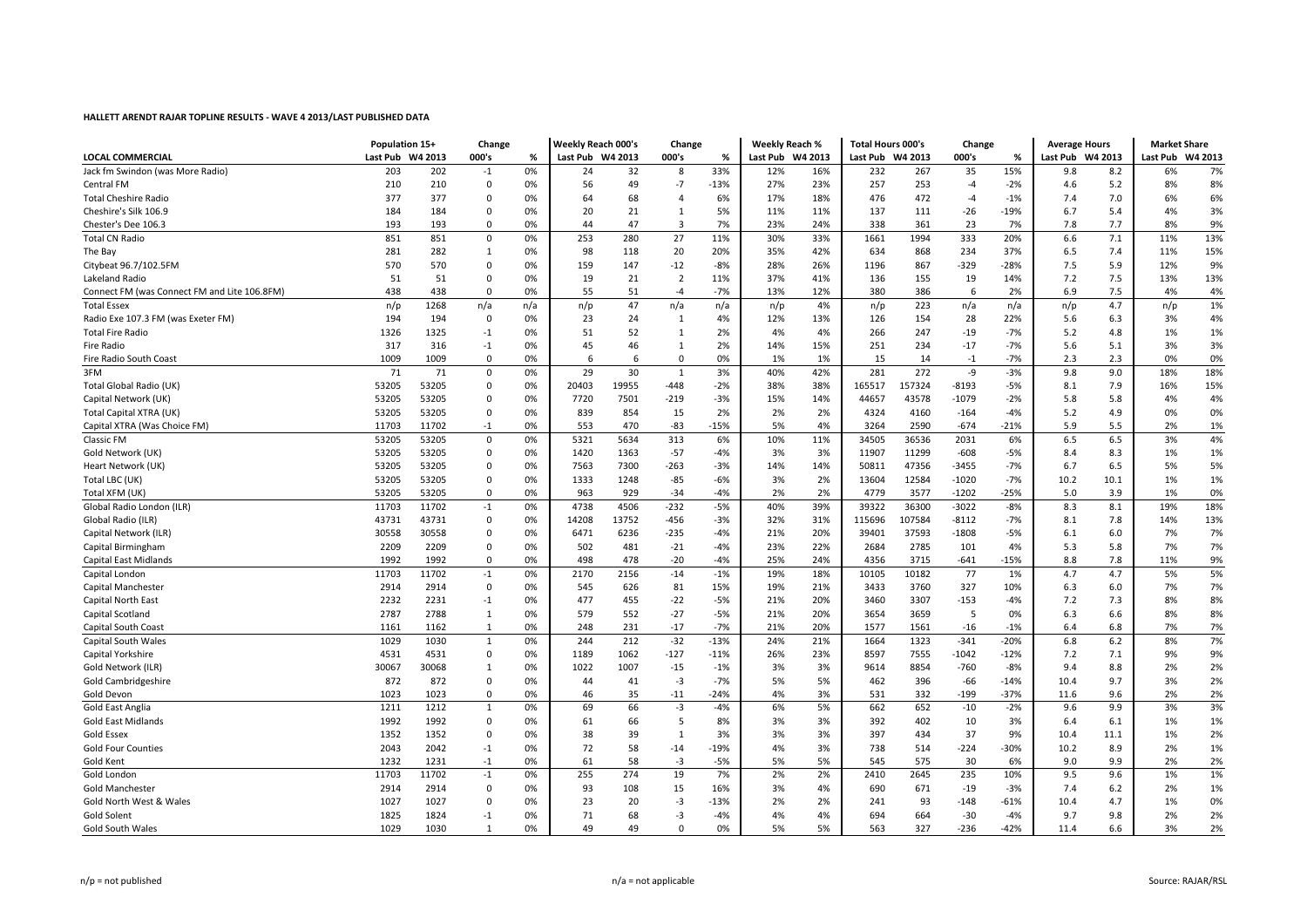|                                              | Population 15+   |       | Change                  |     | <b>Weekly Reach 000's</b> |       | Change         |        | <b>Weekly Reach %</b> |     | <b>Total Hours 000's</b> |        | Change  |        | <b>Average Hours</b> |       | <b>Market Share</b> |         |
|----------------------------------------------|------------------|-------|-------------------------|-----|---------------------------|-------|----------------|--------|-----------------------|-----|--------------------------|--------|---------|--------|----------------------|-------|---------------------|---------|
| LOCAL COMMERCIAL                             | Last Pub W4 2013 |       | 000's                   | %   | Last Pub W4 2013          |       | 000's          | %      | Last Pub W4 2013      |     | Last Pub W4 2013         |        | 000's   | %      | Last Pub W4 2013     |       | Last Pub            | W4 2013 |
| Jack fm Swindon (was More Radio)             | 203              | 202   | $-1$                    | 0%  | 24                        | 32    | 8              | 33%    | 12%                   | 16% | 232                      | 267    | 35      | 15%    | 9.8                  | 8.2   | 6%                  | 7%      |
| Central FM                                   | 210              | 210   | $\mathbf 0$             | 0%  | 56                        | 49    | $-7$           | $-13%$ | 27%                   | 23% | 257                      | 253    | $-4$    | $-2%$  | 4.6                  | 5.2   | 8%                  | 8%      |
| <b>Total Cheshire Radio</b>                  | 377              | 377   | 0                       | 0%  | 64                        | 68    | 4              | 6%     | 17%                   | 18% | 476                      | 472    | $-4$    | $-1%$  | 7.4                  | 7.0   | 6%                  | 6%      |
| Cheshire's Silk 106.9                        | 184              | 184   | $\Omega$                | 0%  | 20                        | 21    | $\mathbf{1}$   | 5%     | 11%                   | 11% | 137                      | 111    | $-26$   | $-19%$ | 6.7                  | 5.4   | 4%                  | 3%      |
| Chester's Dee 106.3                          | 193              | 193   | $\mathbf 0$             | 0%  | 44                        | 47    | 3              | 7%     | 23%                   | 24% | 338                      | 361    | 23      | 7%     | 7.8                  | 7.7   | 8%                  | 9%      |
| <b>Total CN Radio</b>                        | 851              | 851   | $\Omega$                | 0%  | 253                       | 280   | 27             | 11%    | 30%                   | 33% | 1661                     | 1994   | 333     | 20%    | 6.6                  | 7.1   | 11%                 | 13%     |
| The Bay                                      | 281              | 282   | 1                       | 0%  | 98                        | 118   | 20             | 20%    | 35%                   | 42% | 634                      | 868    | 234     | 37%    | 6.5                  | 7.4   | 11%                 | 15%     |
| Citybeat 96.7/102.5FM                        | 570              | 570   | $\mathbf 0$             | 0%  | 159                       | 147   | $-12$          | $-8%$  | 28%                   | 26% | 1196                     | 867    | -329    | $-28%$ | 7.5                  | 5.9   | 12%                 | 9%      |
| Lakeland Radio                               | 51               | 51    | $\mathbf 0$             | 0%  | 19                        | 21    | $\overline{2}$ | 11%    | 37%                   | 41% | 136                      | 155    | 19      | 14%    | 7.2                  | 7.5   | 13%                 | 13%     |
| Connect FM (was Connect FM and Lite 106.8FM) | 438              | 438   | $\Omega$                | 0%  | 55                        | 51    | $-4$           | $-7%$  | 13%                   | 12% | 380                      | 386    | 6       | 2%     | 6.9                  | 7.5   | 4%                  | 4%      |
| <b>Total Essex</b>                           | n/p              | 1268  | n/a                     | n/a | n/p                       | 47    | n/a            | n/a    | n/p                   | 4%  | n/p                      | 223    | n/a     | n/a    | n/p                  | 4.7   | n/p                 | 1%      |
| Radio Exe 107.3 FM (was Exeter FM)           | 194              | 194   | $\mathbf{0}$            | 0%  | 23                        | 24    | $\mathbf{1}$   | 4%     | 12%                   | 13% | 126                      | 154    | 28      | 22%    | 5.6                  | 6.3   | 3%                  | 4%      |
| <b>Total Fire Radio</b>                      | 1326             | 1325  | $-1$                    | 0%  | 51                        | 52    | 1              | 2%     | 4%                    | 4%  | 266                      | 247    | $-19$   | $-7%$  | 5.2                  | 4.8   | 1%                  | 1%      |
| <b>Fire Radio</b>                            | 317              | 316   | $-1$                    | 0%  | 45                        | 46    | $\mathbf{1}$   | 2%     | 14%                   | 15% | 251                      | 234    | $-17$   | $-7%$  | 5.6                  | 5.1   | 3%                  | 3%      |
| Fire Radio South Coast                       | 1009             | 1009  | $\Omega$                | 0%  | 6                         | 6     | $\mathbf 0$    | 0%     | 1%                    | 1%  | 15                       | 14     | $-1$    | $-7%$  | 2.3                  | 2.3   | 0%                  | 0%      |
| 3FM                                          | 71               | 71    | $\mathbf 0$             | 0%  | 29                        | 30    | $\mathbf{1}$   | 3%     | 40%                   | 42% | 281                      | 272    | -9      | $-3%$  | 9.8                  | 9.0   | 18%                 | 18%     |
| Total Global Radio (UK)                      | 53205            | 53205 | $\Omega$                | 0%  | 20403                     | 19955 | -448           | $-2%$  | 38%                   | 38% | 165517                   | 157324 | $-8193$ | $-5%$  | 8.1                  | 7.9   | 16%                 | 15%     |
| Capital Network (UK)                         | 53205            | 53205 | 0                       | 0%  | 7720                      | 7501  | -219           | $-3%$  | 15%                   | 14% | 44657                    | 43578  | $-1079$ | $-2%$  | 5.8                  | 5.8   | 4%                  | 4%      |
| Total Capital XTRA (UK)                      | 53205            | 53205 | 0                       | 0%  | 839                       | 854   | 15             | 2%     | 2%                    | 2%  | 4324                     | 4160   | $-164$  | $-4%$  | 5.2                  | 4.9   | 0%                  | 0%      |
| Capital XTRA (Was Choice FM)                 | 11703            | 11702 | $-1$                    | 0%  | 553                       | 470   | $-83$          | $-15%$ | 5%                    | 4%  | 3264                     | 2590   | $-674$  | $-21%$ | 5.9                  | 5.5   | 2%                  | 1%      |
| <b>Classic FM</b>                            | 53205            | 53205 | $\mathbf 0$             | 0%  | 5321                      | 5634  | 313            | 6%     | 10%                   | 11% | 34505                    | 36536  | 2031    | 6%     | 6.5                  | 6.5   | 3%                  | 4%      |
| Gold Network (UK)                            | 53205            | 53205 | 0                       | 0%  | 1420                      | 1363  | $-57$          | $-4%$  | 3%                    | 3%  | 11907                    | 11299  | $-608$  | $-5%$  | 8.4                  | 8.3   | 1%                  | 1%      |
| Heart Network (UK)                           | 53205            | 53205 | 0                       | 0%  | 7563                      | 7300  | -263           | $-3%$  | 14%                   | 14% | 50811                    | 47356  | $-3455$ | $-7%$  | 6.7                  | 6.5   | 5%                  | 5%      |
| Total LBC (UK)                               | 53205            | 53205 | 0                       | 0%  | 1333                      | 1248  | $-85$          | $-6%$  | 3%                    | 2%  | 13604                    | 12584  | $-1020$ | $-7%$  | 10.2                 | 10.1  | 1%                  | 1%      |
| Total XFM (UK)                               | 53205            | 53205 | $\mathbf 0$             | 0%  | 963                       | 929   | $-34$          | $-4%$  | 2%                    | 2%  | 4779                     | 3577   | $-1202$ | $-25%$ | 5.0                  | 3.9   | 1%                  | 0%      |
| Global Radio London (ILR)                    | 11703            | 11702 | $-1$                    | 0%  | 4738                      | 4506  | $-232$         | $-5%$  | 40%                   | 39% | 39322                    | 36300  | $-3022$ | $-8%$  | 8.3                  | 8.1   | 19%                 | 18%     |
| Global Radio (ILR)                           | 43731            | 43731 | $\mathbf 0$             | 0%  | 14208                     | 13752 | -456           | $-3%$  | 32%                   | 31% | 115696                   | 107584 | $-8112$ | $-7%$  | 8.1                  | 7.8   | 14%                 | 13%     |
| Capital Network (ILR)                        | 30558            | 30558 | 0                       | 0%  | 6471                      | 6236  | $-235$         | $-4%$  | 21%                   | 20% | 39401                    | 37593  | $-1808$ | $-5%$  | 6.1                  | 6.0   | 7%                  | 7%      |
| Capital Birmingham                           | 2209             | 2209  | $\mathbf 0$             | 0%  | 502                       | 481   | $-21$          | $-4%$  | 23%                   | 22% | 2684                     | 2785   | 101     | 4%     | 5.3                  | 5.8   | 7%                  | 7%      |
| Capital East Midlands                        | 1992             | 1992  | $\Omega$                | 0%  | 498                       | 478   | $-20$          | $-4%$  | 25%                   | 24% | 4356                     | 3715   | $-641$  | $-15%$ | 8.8                  | 7.8   | 11%                 | 9%      |
| Capital London                               | 11703            | 11702 | $-1$                    | 0%  | 2170                      | 2156  | $-14$          | $-1%$  | 19%                   | 18% | 10105                    | 10182  | 77      | 1%     | 4.7                  | 4.7   | 5%                  | 5%      |
| Capital Manchester                           | 2914             | 2914  | $\mathbf 0$             | 0%  | 545                       | 626   | 81             | 15%    | 19%                   | 21% | 3433                     | 3760   | 327     | 10%    | 6.3                  | 6.0   | 7%                  | 7%      |
| Capital North East                           | 2232             | 2231  | $-1$                    | 0%  | 477                       | 455   | $-22$          | $-5%$  | 21%                   | 20% | 3460                     | 3307   | $-153$  | $-4%$  | 7.2                  | 7.3   | 8%                  | 8%      |
| Capital Scotland                             | 2787             | 2788  | 1                       | 0%  | 579                       | 552   | $-27$          | $-5%$  | 21%                   | 20% | 3654                     | 3659   | 5       | 0%     | 6.3                  | 6.6   | 8%                  | 8%      |
| <b>Capital South Coast</b>                   | 1161             | 1162  | 1                       | 0%  | 248                       | 231   | $-17$          | $-7%$  | 21%                   | 20% | 1577                     | 1561   | $-16$   | $-1%$  | 6.4                  | 6.8   | 7%                  | 7%      |
| <b>Capital South Wales</b>                   | 1029             | 1030  | 1                       | 0%  | 244                       | 212   | $-32$          | $-13%$ | 24%                   | 21% | 1664                     | 1323   | $-341$  | $-20%$ | 6.8                  | 6.2   | 8%                  | 7%      |
| Capital Yorkshire                            | 4531             | 4531  | 0                       | 0%  | 1189                      | 1062  | -127           | $-11%$ | 26%                   | 23% | 8597                     | 7555   | $-1042$ | $-12%$ | 7.2                  | 7.1   | 9%                  | 9%      |
| Gold Network (ILR)                           | 30067            | 30068 | 1                       | 0%  | 1022                      | 1007  | $-15$          | $-1%$  | 3%                    | 3%  | 9614                     | 8854   | $-760$  | -8%    | 9.4                  | 8.8   | 2%                  | 2%      |
| Gold Cambridgeshire                          | 872              | 872   | $\Omega$                | 0%  | 44                        | 41    | $-3$           | $-7%$  | 5%                    | 5%  | 462                      | 396    | $-66$   | $-14%$ | 10.4                 | 9.7   | 3%                  | 2%      |
| Gold Devon                                   | 1023             | 1023  | $\Omega$                | 0%  | 46                        | 35    | $-11$          | $-24%$ | 4%                    | 3%  | 531                      | 332    | -199    | $-37%$ | 11.6                 | 9.6   | 2%                  | 2%      |
| <b>Gold East Anglia</b>                      | 1211             | 1212  | $\mathbf{1}$            | 0%  | 69                        | 66    | $-3$           | $-4%$  | 6%                    | 5%  | 662                      | 652    | $-10$   | $-2%$  | 9.6                  | 9.9   | 3%                  | 3%      |
| <b>Gold East Midlands</b>                    | 1992             | 1992  | $\mathbf 0$             | 0%  | 61                        | 66    | 5              | 8%     | 3%                    | 3%  | 392                      | 402    | 10      | 3%     | 6.4                  | 6.1   | 1%                  | 1%      |
| <b>Gold Essex</b>                            | 1352             | 1352  | $\mathbf 0$             | 0%  | 38                        | 39    | $\mathbf{1}$   | 3%     | 3%                    | 3%  | 397                      | 434    | 37      | 9%     | 10.4                 | 11.1  | 1%                  | 2%      |
| <b>Gold Four Counties</b>                    | 2043             | 2042  | $-1$                    | 0%  | 72                        | 58    | $-14$          | $-19%$ | 4%                    | 3%  | 738                      | 514    | $-224$  | $-30%$ | 10.2                 | 8.9   | 2%                  | 1%      |
| Gold Kent                                    | 1232             | 1231  | $-1$                    | 0%  | 61                        | 58    | $-3$           | $-5%$  | 5%                    | 5%  | 545                      | 575    | 30      | 6%     | 9.0                  | 9.9   | 2%                  | 2%      |
| Gold London                                  | 11703            | 11702 | $^{\mbox{{\small -1}}}$ | 0%  | 255                       | 274   | 19             | 7%     | 2%                    | 2%  | 2410                     | 2645   | 235     | 10%    | 9.5                  | 9.6   | 1%                  | 1%      |
| <b>Gold Manchester</b>                       | 2914             | 2914  | $\mathbf 0$             | 0%  | 93                        | 108   | 15             | 16%    | 3%                    | 4%  | 690                      | 671    | $-19$   | $-3%$  | 7.4                  | $6.2$ | 2%                  | 1%      |
| Gold North West & Wales                      | 1027             | 1027  | $\Omega$                | 0%  | 23                        | 20    | $-3$           | $-13%$ | 2%                    | 2%  | 241                      | 93     | $-148$  | $-61%$ | 10.4                 | 4.7   | 1%                  | 0%      |
| <b>Gold Solent</b>                           | 1825             | 1824  | $-1$                    | 0%  | 71                        | 68    | $-3$           | $-4%$  | 4%                    | 4%  | 694                      | 664    | $-30$   | $-4%$  | 9.7                  | 9.8   | 2%                  | 2%      |
| <b>Gold South Wales</b>                      | 1029             | 1030  | $\mathbf{1}$            | 0%  | 49                        | 49    | $\Omega$       | 0%     | 5%                    | 5%  | 563                      | 327    | $-236$  | $-42%$ | 11.4                 | 6.6   | 3%                  | 2%      |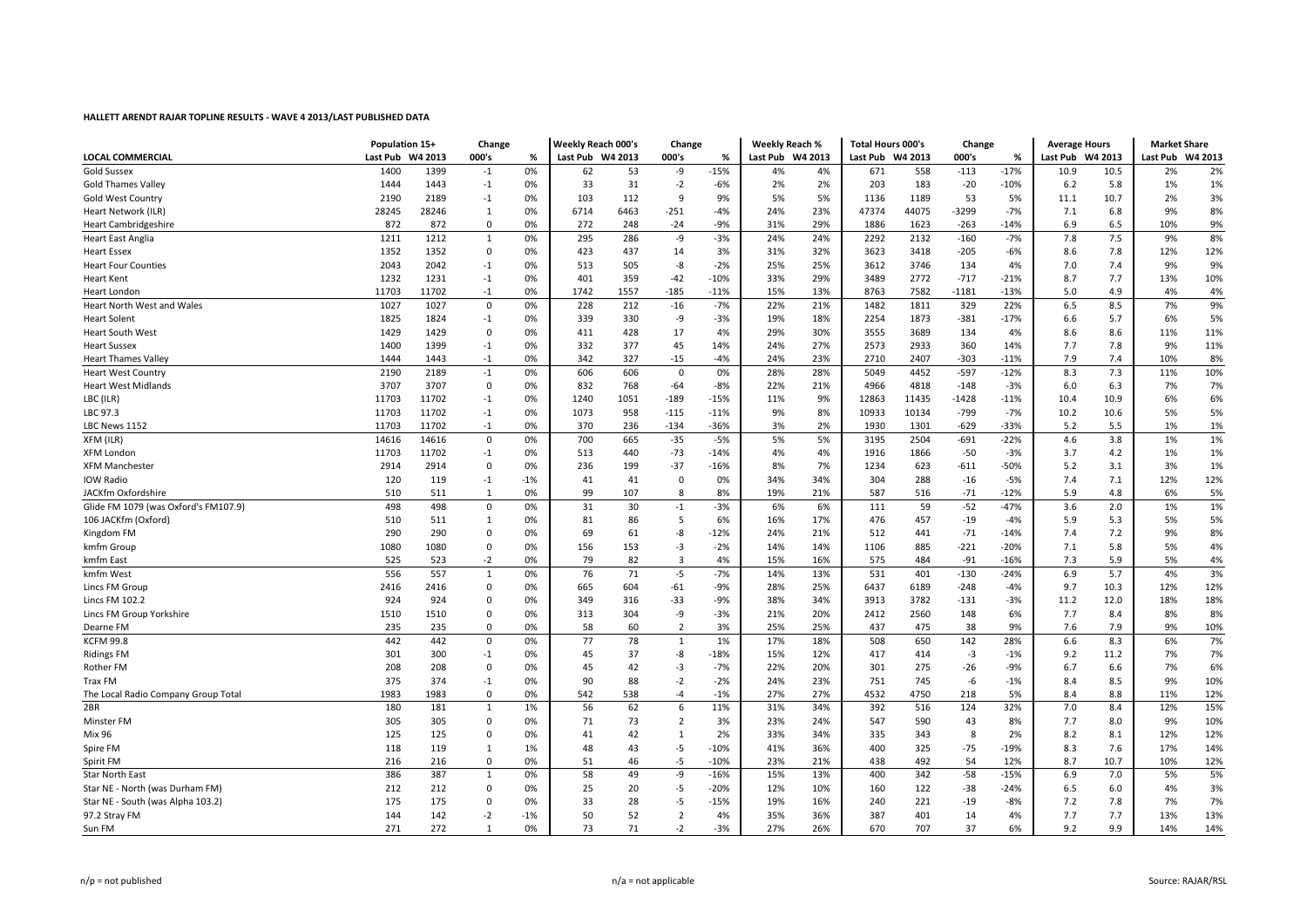|                                      | Population 15+   |       | Change       |       | <b>Weekly Reach 000's</b> |      | Change         |        | <b>Weekly Reach %</b> |     | <b>Total Hours 000's</b> |       | Change     |        | <b>Average Hours</b> |      | <b>Market Share</b> |     |
|--------------------------------------|------------------|-------|--------------|-------|---------------------------|------|----------------|--------|-----------------------|-----|--------------------------|-------|------------|--------|----------------------|------|---------------------|-----|
| <b>LOCAL COMMERCIAL</b>              | Last Pub W4 2013 |       | 000's        | %     | Last Pub W4 2013          |      | 000's          | %      | Last Pub W4 2013      |     | Last Pub W4 2013         |       | 000's<br>% |        | Last Pub W4 2013     |      | Last Pub W4 2013    |     |
| <b>Gold Sussex</b>                   | 1400             | 1399  | $-1$         | 0%    | 62                        | 53   | -9             | $-15%$ | 4%                    | 4%  | 671                      | 558   | $-113$     | $-17%$ | 10.9                 | 10.5 | 2%                  | 2%  |
| <b>Gold Thames Valley</b>            | 1444             | 1443  | $-1$         | 0%    | 33                        | 31   | $-2$           | $-6%$  | 2%                    | 2%  | 203                      | 183   | $-20$      | $-10%$ | 6.2                  | 5.8  | 1%                  | 1%  |
| <b>Gold West Country</b>             | 2190             | 2189  | $-1$         | 0%    | 103                       | 112  | 9              | 9%     | 5%                    | 5%  | 1136                     | 1189  | 53         | 5%     | 11.1                 | 10.7 | 2%                  | 3%  |
| Heart Network (ILR)                  | 28245            | 28246 | 1            | 0%    | 6714                      | 6463 | $-251$         | $-4%$  | 24%                   | 23% | 47374                    | 44075 | $-3299$    | $-7%$  | 7.1                  | 6.8  | 9%                  | 8%  |
| <b>Heart Cambridgeshire</b>          | 872              | 872   | $\Omega$     | 0%    | 272                       | 248  | $-24$          | $-9%$  | 31%                   | 29% | 1886                     | 1623  | $-263$     | $-14%$ | 6.9                  | 6.5  | 10%                 | 9%  |
| <b>Heart East Anglia</b>             | 1211             | 1212  | 1            | 0%    | 295                       | 286  | $-9$           | $-3%$  | 24%                   | 24% | 2292                     | 2132  | $-160$     | $-7%$  | 7.8                  | 7.5  | 9%                  | 8%  |
| <b>Heart Essex</b>                   | 1352             | 1352  | $\mathbf 0$  | 0%    | 423                       | 437  | 14             | 3%     | 31%                   | 32% | 3623                     | 3418  | $-205$     | $-6%$  | 8.6                  | 7.8  | 12%                 | 12% |
| <b>Heart Four Counties</b>           | 2043             | 2042  | $-1$         | 0%    | 513                       | 505  | -8             | $-2%$  | 25%                   | 25% | 3612                     | 3746  | 134        | 4%     | 7.0                  | 7.4  | 9%                  | 9%  |
| <b>Heart Kent</b>                    | 1232             | 1231  | $-1$         | 0%    | 401                       | 359  | $-42$          | $-10%$ | 33%                   | 29% | 3489                     | 2772  | $-717$     | $-21%$ | 8.7                  | 7.7  | 13%                 | 10% |
| <b>Heart London</b>                  | 11703            | 11702 | $-1$         | 0%    | 1742                      | 1557 | $-185$         | $-11%$ | 15%                   | 13% | 8763                     | 7582  | $-1181$    | $-13%$ | 5.0                  | 4.9  | 4%                  | 4%  |
| <b>Heart North West and Wales</b>    | 1027             | 1027  | $\mathbf 0$  | 0%    | 228                       | 212  | $-16$          | $-7%$  | 22%                   | 21% | 1482                     | 1811  | 329        | 22%    | 6.5                  | 8.5  | 7%                  | 9%  |
| <b>Heart Solent</b>                  | 1825             | 1824  | $-1$         | 0%    | 339                       | 330  | -9             | $-3%$  | 19%                   | 18% | 2254                     | 1873  | $-381$     | $-17%$ | 6.6                  | 5.7  | 6%                  | 5%  |
| <b>Heart South West</b>              | 1429             | 1429  | 0            | 0%    | 411                       | 428  | 17             | 4%     | 29%                   | 30% | 3555                     | 3689  | 134        | 4%     | 8.6                  | 8.6  | 11%                 | 11% |
| <b>Heart Sussex</b>                  | 1400             | 1399  | $-1$         | 0%    | 332                       | 377  | 45             | 14%    | 24%                   | 27% | 2573                     | 2933  | 360        | 14%    | 7.7                  | 7.8  | 9%                  | 11% |
| <b>Heart Thames Valley</b>           | 1444             | 1443  | $-1$         | 0%    | 342                       | 327  | $-15$          | $-4%$  | 24%                   | 23% | 2710                     | 2407  | $-303$     | $-11%$ | 7.9                  | 7.4  | 10%                 | 8%  |
| <b>Heart West Country</b>            | 2190             | 2189  | $-1$         | 0%    | 606                       | 606  | $\mathbf 0$    | 0%     | 28%                   | 28% | 5049                     | 4452  | $-597$     | $-12%$ | 8.3                  | 7.3  | 11%                 | 10% |
| <b>Heart West Midlands</b>           | 3707             | 3707  | $\mathbf 0$  | 0%    | 832                       | 768  | $-64$          | $-8%$  | 22%                   | 21% | 4966                     | 4818  | $-148$     | $-3%$  | 6.0                  | 6.3  | 7%                  | 7%  |
| LBC (ILR)                            | 11703            | 11702 | $-1$         | 0%    | 1240                      | 1051 | $-189$         | $-15%$ | 11%                   | 9%  | 12863                    | 11435 | $-1428$    | $-11%$ | 10.4                 | 10.9 | 6%                  | 6%  |
| LBC 97.3                             | 11703            | 11702 | $-1$         | 0%    | 1073                      | 958  | $-115$         | $-11%$ | 9%                    | 8%  | 10933                    | 10134 | $-799$     | $-7%$  | 10.2                 | 10.6 | 5%                  | 5%  |
| LBC News 1152                        | 11703            | 11702 | $-1$         | 0%    | 370                       | 236  | $-134$         | $-36%$ | 3%                    | 2%  | 1930                     | 1301  | $-629$     | $-33%$ | 5.2                  | 5.5  | 1%                  | 1%  |
| XFM (ILR)                            | 14616            | 14616 | $\pmb{0}$    | 0%    | 700                       | 665  | $-35$          | $-5%$  | 5%                    | 5%  | 3195                     | 2504  | $-691$     | $-22%$ | 4.6                  | 3.8  | 1%                  | 1%  |
| <b>XFM London</b>                    | 11703            | 11702 | $-1$         | 0%    | 513                       | 440  | $-73$          | $-14%$ | 4%                    | 4%  | 1916                     | 1866  | $-50$      | $-3%$  | 3.7                  | 4.2  | 1%                  | 1%  |
| <b>XFM Manchester</b>                | 2914             | 2914  | 0            | 0%    | 236                       | 199  | $-37$          | $-16%$ | 8%                    | 7%  | 1234                     | 623   | -611       | -50%   | 5.2                  | 3.1  | 3%                  | 1%  |
| <b>IOW Radio</b>                     | 120              | 119   | $-1$         | $-1%$ | 41                        | 41   | $\mathbf 0$    | 0%     | 34%                   | 34% | 304                      | 288   | $-16$      | $-5%$  | 7.4                  | 7.1  | 12%                 | 12% |
| JACKfm Oxfordshire                   | 510              | 511   | 1            | 0%    | 99                        | 107  | 8              | 8%     | 19%                   | 21% | 587                      | 516   | $-71$      | $-12%$ | 5.9                  | 4.8  | 6%                  | 5%  |
| Glide FM 1079 (was Oxford's FM107.9) | 498              | 498   | 0            | 0%    | 31                        | 30   | $-1$           | $-3%$  | 6%                    | 6%  | 111                      | 59    | $-52$      | $-47%$ | 3.6                  | 2.0  | 1%                  | 1%  |
| 106 JACKfm (Oxford)                  | 510              | 511   | 1            | 0%    | 81                        | 86   | 5              | 6%     | 16%                   | 17% | 476                      | 457   | $-19$      | $-4%$  | 5.9                  | 5.3  | 5%                  | 5%  |
|                                      | 290              | 290   | $\mathbf 0$  | 0%    | 69                        | 61   | -8             | $-12%$ | 24%                   | 21% | 512                      | 441   | $-71$      | $-14%$ | 7.4                  | 7.2  | 9%                  | 8%  |
| Kingdom FM                           | 1080             | 1080  | $\mathbf 0$  | 0%    | 156                       | 153  | $-3$           |        | 14%                   | 14% | 1106                     | 885   |            | $-20%$ | 7.1                  | 5.8  | 5%                  | 4%  |
| kmfm Group                           |                  |       |              |       | 79                        |      | $\overline{3}$ | $-2%$  |                       |     |                          |       | $-221$     |        |                      |      |                     |     |
| kmfm East                            | 525              | 523   | $-2$         | 0%    |                           | 82   |                | 4%     | 15%                   | 16% | 575                      | 484   | $-91$      | $-16%$ | 7.3                  | 5.9  | 5%                  | 4%  |
| kmfm West                            | 556              | 557   | 1            | 0%    | 76                        | 71   | $-5$           | $-7%$  | 14%                   | 13% | 531                      | 401   | $-130$     | $-24%$ | 6.9                  | 5.7  | 4%                  | 3%  |
| Lincs FM Group                       | 2416             | 2416  | $\Omega$     | 0%    | 665                       | 604  | -61            | $-9%$  | 28%                   | 25% | 6437                     | 6189  | $-248$     | $-4%$  | 9.7                  | 10.3 | 12%                 | 12% |
| Lincs FM 102.2                       | 924              | 924   | $\Omega$     | 0%    | 349                       | 316  | $-33$          | $-9%$  | 38%                   | 34% | 3913                     | 3782  | $-131$     | $-3%$  | 11.2                 | 12.0 | 18%                 | 18% |
| Lincs FM Group Yorkshire             | 1510             | 1510  | $\mathbf 0$  | 0%    | 313                       | 304  | -9             | $-3%$  | 21%                   | 20% | 2412                     | 2560  | 148        | 6%     | 7.7                  | 8.4  | 8%                  | 8%  |
| Dearne FM                            | 235              | 235   | $\mathbf 0$  | 0%    | 58                        | 60   | $\overline{2}$ | 3%     | 25%                   | 25% | 437                      | 475   | 38         | 9%     | 7.6                  | 7.9  | 9%                  | 10% |
| <b>KCFM 99.8</b>                     | 442              | 442   | $\Omega$     | 0%    | 77                        | 78   | $\mathbf{1}$   | 1%     | 17%                   | 18% | 508                      | 650   | 142        | 28%    | 6.6                  | 8.3  | 6%                  | 7%  |
| <b>Ridings FM</b>                    | 301              | 300   | $-1$         | 0%    | 45                        | 37   | $-8$           | $-18%$ | 15%                   | 12% | 417                      | 414   | $-3$       | $-1%$  | 9.2                  | 11.2 | 7%                  | 7%  |
| Rother FM                            | 208              | 208   | $\mathbf 0$  | 0%    | 45                        | 42   | $-3$           | $-7%$  | 22%                   | 20% | 301                      | 275   | $-26$      | $-9%$  | 6.7                  | 6.6  | 7%                  | 6%  |
| Trax FM                              | 375              | 374   | $-1$         | 0%    | 90                        | 88   | $-2$           | $-2%$  | 24%                   | 23% | 751                      | 745   | -6         | $-1%$  | 8.4                  | 8.5  | 9%                  | 10% |
| The Local Radio Company Group Total  | 1983             | 1983  | $\Omega$     | 0%    | 542                       | 538  | $-4$           | $-1%$  | 27%                   | 27% | 4532                     | 4750  | 218        | 5%     | 8.4                  | 8.8  | 11%                 | 12% |
| 2BR                                  | 180              | 181   | $\mathbf{1}$ | 1%    | 56                        | 62   | 6              | 11%    | 31%                   | 34% | 392                      | 516   | 124        | 32%    | 7.0                  | 8.4  | 12%                 | 15% |
| Minster FM                           | 305              | 305   | $\mathbf 0$  | 0%    | 71                        | 73   | $\overline{2}$ | 3%     | 23%                   | 24% | 547                      | 590   | 43         | 8%     | 7.7                  | 8.0  | 9%                  | 10% |
| <b>Mix 96</b>                        | 125              | 125   | 0            | 0%    | 41                        | 42   | $\mathbf{1}$   | 2%     | 33%                   | 34% | 335                      | 343   | 8          | 2%     | 8.2                  | 8.1  | 12%                 | 12% |
| Spire FM                             | 118              | 119   | 1            | 1%    | 48                        | 43   | $-5$           | $-10%$ | 41%                   | 36% | 400                      | 325   | $-75$      | $-19%$ | 8.3                  | 7.6  | 17%                 | 14% |
| Spirit FM                            | 216              | 216   | $\Omega$     | 0%    | 51                        | 46   | $-5$           | $-10%$ | 23%                   | 21% | 438                      | 492   | 54         | 12%    | 8.7                  | 10.7 | 10%                 | 12% |
| <b>Star North East</b>               | 386              | 387   | $\mathbf{1}$ | 0%    | 58                        | 49   | -9             | $-16%$ | 15%                   | 13% | 400                      | 342   | $-58$      | $-15%$ | 6.9                  | 7.0  | 5%                  | 5%  |
| Star NE - North (was Durham FM)      | 212              | 212   | $\mathbf 0$  | 0%    | 25                        | 20   | -5             | $-20%$ | 12%                   | 10% | 160                      | 122   | -38        | -24%   | 6.5                  | 6.0  | 4%                  | 3%  |
| Star NE - South (was Alpha 103.2)    | 175              | 175   | 0            | 0%    | 33                        | 28   | -5             | $-15%$ | 19%                   | 16% | 240                      | 221   | $-19$      | $-8%$  | 7.2                  | 7.8  | 7%                  | 7%  |
| 97.2 Stray FM                        | 144              | 142   | $-2$         | $-1%$ | 50                        | 52   | $\overline{2}$ | 4%     | 35%                   | 36% | 387                      | 401   | 14         | 4%     | 7.7                  | 7.7  | 13%                 | 13% |
| Sun FM                               | 271              | 272   | $\mathbf{1}$ | 0%    | 73                        | 71   | $-2$           | $-3%$  | 27%                   | 26% | 670                      | 707   | 37         | 6%     | 9.2                  | 9.9  | 14%                 | 14% |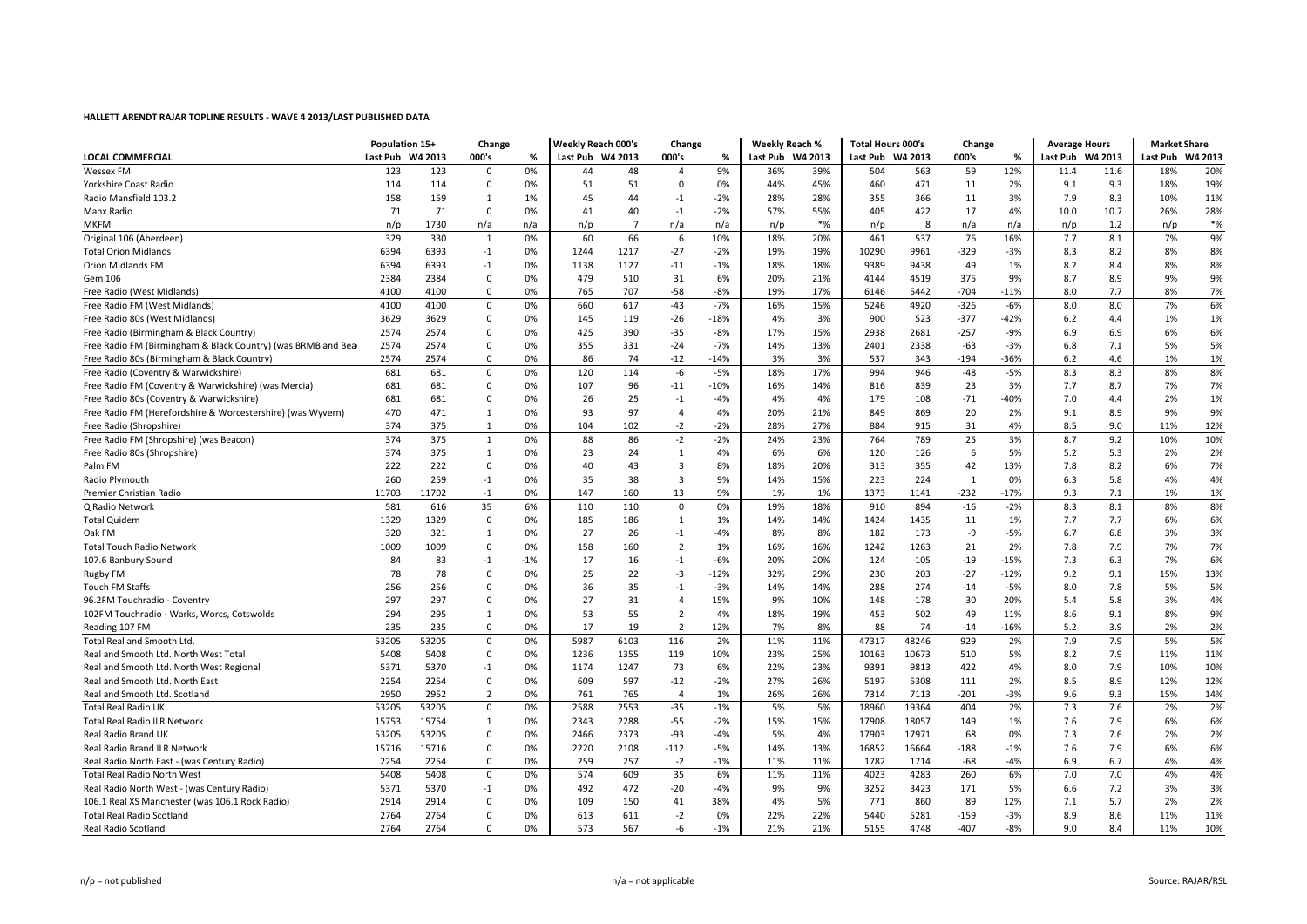| <b>LOCAL COMMERCIAL</b><br>Last Pub W4 2013<br>000's<br>Last Pub W4 2013<br>000's<br>Last Pub W4 2013<br>Last Pub W4 2013<br>000's<br>Last Pub W4 2013<br>Last Pub W4 2013<br>%<br>%<br>%<br>123<br>9%<br>12%<br><b>Wessex FM</b><br>123<br>0%<br>48<br>36%<br>39%<br>563<br>59<br>11.4<br>11.6<br>18%<br>20%<br>0<br>44<br>$\overline{4}$<br>504<br>51<br>19%<br>114<br>114<br>$\mathbf 0$<br>51<br>0%<br>44%<br>45%<br>471<br>11<br>2%<br>9.1<br>9.3<br>18%<br>Yorkshire Coast Radio<br>0%<br>$\Omega$<br>460<br>158<br>159<br>$\mathbf{1}$<br>44<br>$-2%$<br>28%<br>11<br>3%<br>7.9<br>8.3<br>11%<br>45<br>$-1$<br>28%<br>355<br>366<br>10%<br>Radio Mansfield 103.2<br>1%<br>71<br>71<br>40<br>$-1$<br>$-2%$<br>57%<br>55%<br>405<br>422<br>17<br>4%<br>10.0<br>10.7<br>26%<br>28%<br>Manx Radio<br>0<br>0%<br>41<br>$*%$<br>$*%$<br>n/a<br><b>MKFM</b><br>n/p<br>1730<br>n/a<br>n/a<br>$\overline{7}$<br>n/a<br>n/a<br>n/p<br>8<br>n/p<br>1.2<br>n/p<br>n/p<br>n/p<br>n/a<br>9%<br>329<br>0%<br>10%<br>537<br>76<br>16%<br>7.7<br>7%<br>Original 106 (Aberdeen)<br>330<br>$\mathbf{1}$<br>60<br>66<br>18%<br>20%<br>461<br>8.1<br>6<br>1217<br>$-27$<br>$-2%$<br>19%<br>19%<br>8%<br>8%<br><b>Total Orion Midlands</b><br>6394<br>6393<br>$-1$<br>0%<br>1244<br>10290<br>9961<br>-329<br>$-3%$<br>8.3<br>8.2<br>8%<br>8%<br><b>Orion Midlands FM</b><br>6394<br>6393<br>$-1$<br>0%<br>1138<br>1127<br>$-11$<br>$-1%$<br>18%<br>18%<br>9389<br>9438<br>49<br>1%<br>8.2<br>8.4<br>31<br>20%<br>21%<br>375<br>8.7<br>9%<br>Gem 106<br>2384<br>2384<br>$\mathbf 0$<br>0%<br>479<br>510<br>6%<br>4144<br>4519<br>9%<br>8.9<br>9%<br>$-58$<br>4100<br>765<br>707<br>$-8%$<br>19%<br>17%<br>5442<br>$-704$<br>$-11%$<br>8.0<br>7.7<br>8%<br>7%<br>Free Radio (West Midlands)<br>4100<br>0<br>0%<br>6146<br>617<br>$-43$<br>$-7%$<br>15%<br>5246<br>4920<br>$-326$<br>$-6%$<br>8.0<br>8.0<br>7%<br>6%<br>Free Radio FM (West Midlands)<br>4100<br>4100<br>$\mathbf 0$<br>0%<br>660<br>16%<br>1%<br>Free Radio 80s (West Midlands)<br>3629<br>3629<br>$\mathbf 0$<br>119<br>$-26$<br>$-18%$<br>4%<br>3%<br>900<br>523<br>$-377$<br>$-42%$<br>6.2<br>4.4<br>1%<br>0%<br>145<br>15%<br>2681<br>$-257$<br>6%<br>6%<br>Free Radio (Birmingham & Black Country)<br>2574<br>2574<br>425<br>390<br>$-35$<br>$-8%$<br>17%<br>2938<br>$-9%$<br>6.9<br>$\Omega$<br>0%<br>6.9<br>2574<br>2574<br>331<br>14%<br>13%<br>2401<br>2338<br>6.8<br>5%<br>5%<br>Free Radio FM (Birmingham & Black Country) (was BRMB and Bear<br>$\mathbf 0$<br>0%<br>355<br>$-24$<br>$-7%$<br>$-63$<br>$-3%$<br>7.1<br>2574<br>2574<br>$\mathbf 0$<br>0%<br>86<br>74<br>$-12$<br>$-14%$<br>3%<br>3%<br>537<br>343<br>-194<br>$-36%$<br>6.2<br>4.6<br>1%<br>1%<br>Free Radio 80s (Birmingham & Black Country)<br>8%<br>Free Radio (Coventry & Warwickshire)<br>681<br>681<br>$\mathbf 0$<br>120<br>114<br>-6<br>$-5%$<br>18%<br>17%<br>994<br>946<br>$-48$<br>$-5%$<br>8.3<br>8.3<br>8%<br>0%<br>7.7<br>7%<br>681<br>681<br>$\mathbf 0$<br>96<br>16%<br>14%<br>23<br>3%<br>8.7<br>7%<br>Free Radio FM (Coventry & Warwickshire) (was Mercia)<br>0%<br>107<br>$-11$<br>$-10%$<br>816<br>839<br>681<br>25<br>4%<br>$-71$<br>7.0<br>2%<br>1%<br>Free Radio 80s (Coventry & Warwickshire)<br>681<br>$\mathbf 0$<br>0%<br>26<br>$-1$<br>$-4%$<br>4%<br>179<br>108<br>$-40%$<br>4.4<br>470<br>471<br>97<br>20%<br>20<br>9.1<br>8.9<br>9%<br>9%<br>Free Radio FM (Herefordshire & Worcestershire) (was Wyvern)<br>$\mathbf{1}$<br>0%<br>93<br>$\overline{4}$<br>4%<br>21%<br>849<br>869<br>2%<br>$-2$<br>28%<br>27%<br>8.5<br>Free Radio (Shropshire)<br>374<br>375<br>1<br>0%<br>104<br>102<br>$-2%$<br>884<br>915<br>31<br>4%<br>9.0<br>11%<br>12%<br>374<br>375<br>0%<br>88<br>86<br>$-2$<br>$-2%$<br>23%<br>789<br>25<br>3%<br>8.7<br>9.2<br>10%<br>Free Radio FM (Shropshire) (was Beacon)<br>1<br>24%<br>764<br>10%<br>2%<br>Free Radio 80s (Shropshire)<br>374<br>375<br>1<br>0%<br>23<br>24<br>$\mathbf{1}$<br>4%<br>6%<br>6%<br>120<br>126<br>6<br>5%<br>5.2<br>5.3<br>2%<br>42<br>7.8<br>7%<br>222<br>222<br>$\mathbf 0$<br>40<br>43<br>3<br>8%<br>18%<br>20%<br>313<br>355<br>13%<br>8.2<br>6%<br>Palm FM<br>0%<br>260<br>259<br>38<br>$\overline{3}$<br>9%<br>14%<br>15%<br>$\mathbf{1}$<br>6.3<br>5.8<br>4%<br>$-1$<br>0%<br>35<br>223<br>224<br>0%<br>4%<br>Radio Plymouth<br>11703<br>11702<br>147<br>160<br>13<br>9%<br>1%<br>1%<br>1373<br>-232<br>$-17%$<br>9.3<br>1%<br>Premier Christian Radio<br>$-1$<br>0%<br>1141<br>7.1<br>1%<br>35<br>8.3<br>8%<br>581<br>19%<br>18%<br>910<br>894<br>$-16$<br>$-2%$<br>8.1<br>8%<br>Q Radio Network<br>616<br>6%<br>110<br>110<br>$\mathbf 0$<br>0%<br>6%<br>1329<br>1329<br>$\mathbf{0}$<br>7.7<br>6%<br><b>Total Quidem</b><br>0%<br>185<br>186<br>1<br>1%<br>14%<br>14%<br>1424<br>1435<br>11<br>1%<br>7.7<br>320<br>8%<br>-9<br>6.7<br>3%<br>3%<br>Oak FM<br>321<br>1<br>0%<br>27<br>26<br>$-1$<br>$-4%$<br>8%<br>182<br>173<br>$-5%$<br>6.8<br>1009<br>$\overline{2}$<br>16%<br>16%<br>21<br>7.8<br>7%<br>7%<br>1009<br>$\overline{0}$<br>0%<br>158<br>160<br>1%<br>1242<br>1263<br>2%<br>7.9<br><b>Total Touch Radio Network</b><br>$-1$<br>$^{\rm -1}$<br>20%<br>20%<br>$-19$<br>7.3<br>6%<br>107.6 Banbury Sound<br>84<br>83<br>$-1%$<br>17<br>16<br>$-6%$<br>124<br>105<br>$-15%$<br>6.3<br>7%<br>78<br>78<br>25<br>22<br>$-3$<br>$-12%$<br>$-27$<br>9.2<br>13%<br>$\mathbf 0$<br>0%<br>32%<br>29%<br>230<br>203<br>$-12%$<br>9.1<br>15%<br><b>Rugby FM</b><br>5%<br>Touch FM Staffs<br>256<br>256<br>$\mathbf 0$<br>36<br>35<br>$-1$<br>$-3%$<br>14%<br>14%<br>288<br>274<br>$-14$<br>$-5%$<br>8.0<br>7.8<br>5%<br>0%<br>9%<br>4%<br>297<br>297<br>$\mathbf 0$<br>27<br>31<br>$\overline{4}$<br>15%<br>10%<br>148<br>178<br>30<br>20%<br>5.4<br>5.8<br>3%<br>96.2FM Touchradio - Coventry<br>0%<br>53<br>55<br>$\overline{2}$<br>18%<br>19%<br>49<br>8.6<br>9%<br>102FM Touchradio - Warks, Worcs, Cotswolds<br>294<br>295<br>1<br>0%<br>4%<br>453<br>502<br>11%<br>9.1<br>8%<br>235<br>0%<br>17<br>19<br>$\overline{2}$<br>12%<br>7%<br>8%<br>$-16%$<br>5.2<br>3.9<br>2%<br>2%<br>Reading 107 FM<br>235<br>$\mathbf 0$<br>88<br>74<br>$-14$<br>5%<br>116<br>2%<br>7.9<br>7.9<br>5%<br>Total Real and Smooth Ltd.<br>53205<br>53205<br>$\mathbf 0$<br>0%<br>5987<br>6103<br>11%<br>11%<br>47317<br>48246<br>929<br>2%<br>5408<br>5408<br>1355<br>23%<br>25%<br>10673<br>8.2<br>7.9<br>11%<br>Real and Smooth Ltd. North West Total<br>0<br>0%<br>1236<br>119<br>10%<br>10163<br>510<br>5%<br>11%<br>22%<br>23%<br>10%<br>5371<br>5370<br>$-1$<br>1247<br>73<br>6%<br>9813<br>422<br>8.0<br>7.9<br>10%<br>Real and Smooth Ltd. North West Regional<br>0%<br>1174<br>9391<br>4%<br>2254<br>2254<br>597<br>$-12$<br>27%<br>26%<br>5308<br>8.5<br>8.9<br>12%<br>Real and Smooth Ltd. North East<br>$\mathbf 0$<br>0%<br>609<br>$-2%$<br>5197<br>111<br>2%<br>12% |
|-------------------------------------------------------------------------------------------------------------------------------------------------------------------------------------------------------------------------------------------------------------------------------------------------------------------------------------------------------------------------------------------------------------------------------------------------------------------------------------------------------------------------------------------------------------------------------------------------------------------------------------------------------------------------------------------------------------------------------------------------------------------------------------------------------------------------------------------------------------------------------------------------------------------------------------------------------------------------------------------------------------------------------------------------------------------------------------------------------------------------------------------------------------------------------------------------------------------------------------------------------------------------------------------------------------------------------------------------------------------------------------------------------------------------------------------------------------------------------------------------------------------------------------------------------------------------------------------------------------------------------------------------------------------------------------------------------------------------------------------------------------------------------------------------------------------------------------------------------------------------------------------------------------------------------------------------------------------------------------------------------------------------------------------------------------------------------------------------------------------------------------------------------------------------------------------------------------------------------------------------------------------------------------------------------------------------------------------------------------------------------------------------------------------------------------------------------------------------------------------------------------------------------------------------------------------------------------------------------------------------------------------------------------------------------------------------------------------------------------------------------------------------------------------------------------------------------------------------------------------------------------------------------------------------------------------------------------------------------------------------------------------------------------------------------------------------------------------------------------------------------------------------------------------------------------------------------------------------------------------------------------------------------------------------------------------------------------------------------------------------------------------------------------------------------------------------------------------------------------------------------------------------------------------------------------------------------------------------------------------------------------------------------------------------------------------------------------------------------------------------------------------------------------------------------------------------------------------------------------------------------------------------------------------------------------------------------------------------------------------------------------------------------------------------------------------------------------------------------------------------------------------------------------------------------------------------------------------------------------------------------------------------------------------------------------------------------------------------------------------------------------------------------------------------------------------------------------------------------------------------------------------------------------------------------------------------------------------------------------------------------------------------------------------------------------------------------------------------------------------------------------------------------------------------------------------------------------------------------------------------------------------------------------------------------------------------------------------------------------------------------------------------------------------------------------------------------------------------------------------------------------------------------------------------------------------------------------------------------------------------------------------------------------------------------------------------------------------------------------------------------------------------------------------------------------------------------------------------------------------------------------------------------------------------------------------------------------------------------------------------------------------------------------------------------------------------------------------------------------------------------------------------------------------------------------------------------------------------------------------------------------------------------------------------------------------------------------------------------------------------------------------------------------------------------------------------------------------------------------------------------------------------------------------------------------------------------------------------------------------------------------------------------------------------------------------------------------------------------------------------------------------------------------------------------------------------------------------------------------------------------------------------------------------------------------------------------------------------------------------------------------------------------------------------------------------------------------------------------------------------------------------------------------------------------------------------------------------------------------------------------------|
|                                                                                                                                                                                                                                                                                                                                                                                                                                                                                                                                                                                                                                                                                                                                                                                                                                                                                                                                                                                                                                                                                                                                                                                                                                                                                                                                                                                                                                                                                                                                                                                                                                                                                                                                                                                                                                                                                                                                                                                                                                                                                                                                                                                                                                                                                                                                                                                                                                                                                                                                                                                                                                                                                                                                                                                                                                                                                                                                                                                                                                                                                                                                                                                                                                                                                                                                                                                                                                                                                                                                                                                                                                                                                                                                                                                                                                                                                                                                                                                                                                                                                                                                                                                                                                                                                                                                                                                                                                                                                                                                                                                                                                                                                                                                                                                                                                                                                                                                                                                                                                                                                                                                                                                                                                                                                                                                                                                                                                                                                                                                                                                                                                                                                                                                                                                                                                                                                                                                                                                                                                                                                                                                                                                                                                                                                                                                                                                                                                                                                                                                                                                                                                                                                                                                                                                                                                                                                     |
|                                                                                                                                                                                                                                                                                                                                                                                                                                                                                                                                                                                                                                                                                                                                                                                                                                                                                                                                                                                                                                                                                                                                                                                                                                                                                                                                                                                                                                                                                                                                                                                                                                                                                                                                                                                                                                                                                                                                                                                                                                                                                                                                                                                                                                                                                                                                                                                                                                                                                                                                                                                                                                                                                                                                                                                                                                                                                                                                                                                                                                                                                                                                                                                                                                                                                                                                                                                                                                                                                                                                                                                                                                                                                                                                                                                                                                                                                                                                                                                                                                                                                                                                                                                                                                                                                                                                                                                                                                                                                                                                                                                                                                                                                                                                                                                                                                                                                                                                                                                                                                                                                                                                                                                                                                                                                                                                                                                                                                                                                                                                                                                                                                                                                                                                                                                                                                                                                                                                                                                                                                                                                                                                                                                                                                                                                                                                                                                                                                                                                                                                                                                                                                                                                                                                                                                                                                                                                     |
|                                                                                                                                                                                                                                                                                                                                                                                                                                                                                                                                                                                                                                                                                                                                                                                                                                                                                                                                                                                                                                                                                                                                                                                                                                                                                                                                                                                                                                                                                                                                                                                                                                                                                                                                                                                                                                                                                                                                                                                                                                                                                                                                                                                                                                                                                                                                                                                                                                                                                                                                                                                                                                                                                                                                                                                                                                                                                                                                                                                                                                                                                                                                                                                                                                                                                                                                                                                                                                                                                                                                                                                                                                                                                                                                                                                                                                                                                                                                                                                                                                                                                                                                                                                                                                                                                                                                                                                                                                                                                                                                                                                                                                                                                                                                                                                                                                                                                                                                                                                                                                                                                                                                                                                                                                                                                                                                                                                                                                                                                                                                                                                                                                                                                                                                                                                                                                                                                                                                                                                                                                                                                                                                                                                                                                                                                                                                                                                                                                                                                                                                                                                                                                                                                                                                                                                                                                                                                     |
|                                                                                                                                                                                                                                                                                                                                                                                                                                                                                                                                                                                                                                                                                                                                                                                                                                                                                                                                                                                                                                                                                                                                                                                                                                                                                                                                                                                                                                                                                                                                                                                                                                                                                                                                                                                                                                                                                                                                                                                                                                                                                                                                                                                                                                                                                                                                                                                                                                                                                                                                                                                                                                                                                                                                                                                                                                                                                                                                                                                                                                                                                                                                                                                                                                                                                                                                                                                                                                                                                                                                                                                                                                                                                                                                                                                                                                                                                                                                                                                                                                                                                                                                                                                                                                                                                                                                                                                                                                                                                                                                                                                                                                                                                                                                                                                                                                                                                                                                                                                                                                                                                                                                                                                                                                                                                                                                                                                                                                                                                                                                                                                                                                                                                                                                                                                                                                                                                                                                                                                                                                                                                                                                                                                                                                                                                                                                                                                                                                                                                                                                                                                                                                                                                                                                                                                                                                                                                     |
|                                                                                                                                                                                                                                                                                                                                                                                                                                                                                                                                                                                                                                                                                                                                                                                                                                                                                                                                                                                                                                                                                                                                                                                                                                                                                                                                                                                                                                                                                                                                                                                                                                                                                                                                                                                                                                                                                                                                                                                                                                                                                                                                                                                                                                                                                                                                                                                                                                                                                                                                                                                                                                                                                                                                                                                                                                                                                                                                                                                                                                                                                                                                                                                                                                                                                                                                                                                                                                                                                                                                                                                                                                                                                                                                                                                                                                                                                                                                                                                                                                                                                                                                                                                                                                                                                                                                                                                                                                                                                                                                                                                                                                                                                                                                                                                                                                                                                                                                                                                                                                                                                                                                                                                                                                                                                                                                                                                                                                                                                                                                                                                                                                                                                                                                                                                                                                                                                                                                                                                                                                                                                                                                                                                                                                                                                                                                                                                                                                                                                                                                                                                                                                                                                                                                                                                                                                                                                     |
|                                                                                                                                                                                                                                                                                                                                                                                                                                                                                                                                                                                                                                                                                                                                                                                                                                                                                                                                                                                                                                                                                                                                                                                                                                                                                                                                                                                                                                                                                                                                                                                                                                                                                                                                                                                                                                                                                                                                                                                                                                                                                                                                                                                                                                                                                                                                                                                                                                                                                                                                                                                                                                                                                                                                                                                                                                                                                                                                                                                                                                                                                                                                                                                                                                                                                                                                                                                                                                                                                                                                                                                                                                                                                                                                                                                                                                                                                                                                                                                                                                                                                                                                                                                                                                                                                                                                                                                                                                                                                                                                                                                                                                                                                                                                                                                                                                                                                                                                                                                                                                                                                                                                                                                                                                                                                                                                                                                                                                                                                                                                                                                                                                                                                                                                                                                                                                                                                                                                                                                                                                                                                                                                                                                                                                                                                                                                                                                                                                                                                                                                                                                                                                                                                                                                                                                                                                                                                     |
|                                                                                                                                                                                                                                                                                                                                                                                                                                                                                                                                                                                                                                                                                                                                                                                                                                                                                                                                                                                                                                                                                                                                                                                                                                                                                                                                                                                                                                                                                                                                                                                                                                                                                                                                                                                                                                                                                                                                                                                                                                                                                                                                                                                                                                                                                                                                                                                                                                                                                                                                                                                                                                                                                                                                                                                                                                                                                                                                                                                                                                                                                                                                                                                                                                                                                                                                                                                                                                                                                                                                                                                                                                                                                                                                                                                                                                                                                                                                                                                                                                                                                                                                                                                                                                                                                                                                                                                                                                                                                                                                                                                                                                                                                                                                                                                                                                                                                                                                                                                                                                                                                                                                                                                                                                                                                                                                                                                                                                                                                                                                                                                                                                                                                                                                                                                                                                                                                                                                                                                                                                                                                                                                                                                                                                                                                                                                                                                                                                                                                                                                                                                                                                                                                                                                                                                                                                                                                     |
|                                                                                                                                                                                                                                                                                                                                                                                                                                                                                                                                                                                                                                                                                                                                                                                                                                                                                                                                                                                                                                                                                                                                                                                                                                                                                                                                                                                                                                                                                                                                                                                                                                                                                                                                                                                                                                                                                                                                                                                                                                                                                                                                                                                                                                                                                                                                                                                                                                                                                                                                                                                                                                                                                                                                                                                                                                                                                                                                                                                                                                                                                                                                                                                                                                                                                                                                                                                                                                                                                                                                                                                                                                                                                                                                                                                                                                                                                                                                                                                                                                                                                                                                                                                                                                                                                                                                                                                                                                                                                                                                                                                                                                                                                                                                                                                                                                                                                                                                                                                                                                                                                                                                                                                                                                                                                                                                                                                                                                                                                                                                                                                                                                                                                                                                                                                                                                                                                                                                                                                                                                                                                                                                                                                                                                                                                                                                                                                                                                                                                                                                                                                                                                                                                                                                                                                                                                                                                     |
|                                                                                                                                                                                                                                                                                                                                                                                                                                                                                                                                                                                                                                                                                                                                                                                                                                                                                                                                                                                                                                                                                                                                                                                                                                                                                                                                                                                                                                                                                                                                                                                                                                                                                                                                                                                                                                                                                                                                                                                                                                                                                                                                                                                                                                                                                                                                                                                                                                                                                                                                                                                                                                                                                                                                                                                                                                                                                                                                                                                                                                                                                                                                                                                                                                                                                                                                                                                                                                                                                                                                                                                                                                                                                                                                                                                                                                                                                                                                                                                                                                                                                                                                                                                                                                                                                                                                                                                                                                                                                                                                                                                                                                                                                                                                                                                                                                                                                                                                                                                                                                                                                                                                                                                                                                                                                                                                                                                                                                                                                                                                                                                                                                                                                                                                                                                                                                                                                                                                                                                                                                                                                                                                                                                                                                                                                                                                                                                                                                                                                                                                                                                                                                                                                                                                                                                                                                                                                     |
|                                                                                                                                                                                                                                                                                                                                                                                                                                                                                                                                                                                                                                                                                                                                                                                                                                                                                                                                                                                                                                                                                                                                                                                                                                                                                                                                                                                                                                                                                                                                                                                                                                                                                                                                                                                                                                                                                                                                                                                                                                                                                                                                                                                                                                                                                                                                                                                                                                                                                                                                                                                                                                                                                                                                                                                                                                                                                                                                                                                                                                                                                                                                                                                                                                                                                                                                                                                                                                                                                                                                                                                                                                                                                                                                                                                                                                                                                                                                                                                                                                                                                                                                                                                                                                                                                                                                                                                                                                                                                                                                                                                                                                                                                                                                                                                                                                                                                                                                                                                                                                                                                                                                                                                                                                                                                                                                                                                                                                                                                                                                                                                                                                                                                                                                                                                                                                                                                                                                                                                                                                                                                                                                                                                                                                                                                                                                                                                                                                                                                                                                                                                                                                                                                                                                                                                                                                                                                     |
|                                                                                                                                                                                                                                                                                                                                                                                                                                                                                                                                                                                                                                                                                                                                                                                                                                                                                                                                                                                                                                                                                                                                                                                                                                                                                                                                                                                                                                                                                                                                                                                                                                                                                                                                                                                                                                                                                                                                                                                                                                                                                                                                                                                                                                                                                                                                                                                                                                                                                                                                                                                                                                                                                                                                                                                                                                                                                                                                                                                                                                                                                                                                                                                                                                                                                                                                                                                                                                                                                                                                                                                                                                                                                                                                                                                                                                                                                                                                                                                                                                                                                                                                                                                                                                                                                                                                                                                                                                                                                                                                                                                                                                                                                                                                                                                                                                                                                                                                                                                                                                                                                                                                                                                                                                                                                                                                                                                                                                                                                                                                                                                                                                                                                                                                                                                                                                                                                                                                                                                                                                                                                                                                                                                                                                                                                                                                                                                                                                                                                                                                                                                                                                                                                                                                                                                                                                                                                     |
|                                                                                                                                                                                                                                                                                                                                                                                                                                                                                                                                                                                                                                                                                                                                                                                                                                                                                                                                                                                                                                                                                                                                                                                                                                                                                                                                                                                                                                                                                                                                                                                                                                                                                                                                                                                                                                                                                                                                                                                                                                                                                                                                                                                                                                                                                                                                                                                                                                                                                                                                                                                                                                                                                                                                                                                                                                                                                                                                                                                                                                                                                                                                                                                                                                                                                                                                                                                                                                                                                                                                                                                                                                                                                                                                                                                                                                                                                                                                                                                                                                                                                                                                                                                                                                                                                                                                                                                                                                                                                                                                                                                                                                                                                                                                                                                                                                                                                                                                                                                                                                                                                                                                                                                                                                                                                                                                                                                                                                                                                                                                                                                                                                                                                                                                                                                                                                                                                                                                                                                                                                                                                                                                                                                                                                                                                                                                                                                                                                                                                                                                                                                                                                                                                                                                                                                                                                                                                     |
|                                                                                                                                                                                                                                                                                                                                                                                                                                                                                                                                                                                                                                                                                                                                                                                                                                                                                                                                                                                                                                                                                                                                                                                                                                                                                                                                                                                                                                                                                                                                                                                                                                                                                                                                                                                                                                                                                                                                                                                                                                                                                                                                                                                                                                                                                                                                                                                                                                                                                                                                                                                                                                                                                                                                                                                                                                                                                                                                                                                                                                                                                                                                                                                                                                                                                                                                                                                                                                                                                                                                                                                                                                                                                                                                                                                                                                                                                                                                                                                                                                                                                                                                                                                                                                                                                                                                                                                                                                                                                                                                                                                                                                                                                                                                                                                                                                                                                                                                                                                                                                                                                                                                                                                                                                                                                                                                                                                                                                                                                                                                                                                                                                                                                                                                                                                                                                                                                                                                                                                                                                                                                                                                                                                                                                                                                                                                                                                                                                                                                                                                                                                                                                                                                                                                                                                                                                                                                     |
|                                                                                                                                                                                                                                                                                                                                                                                                                                                                                                                                                                                                                                                                                                                                                                                                                                                                                                                                                                                                                                                                                                                                                                                                                                                                                                                                                                                                                                                                                                                                                                                                                                                                                                                                                                                                                                                                                                                                                                                                                                                                                                                                                                                                                                                                                                                                                                                                                                                                                                                                                                                                                                                                                                                                                                                                                                                                                                                                                                                                                                                                                                                                                                                                                                                                                                                                                                                                                                                                                                                                                                                                                                                                                                                                                                                                                                                                                                                                                                                                                                                                                                                                                                                                                                                                                                                                                                                                                                                                                                                                                                                                                                                                                                                                                                                                                                                                                                                                                                                                                                                                                                                                                                                                                                                                                                                                                                                                                                                                                                                                                                                                                                                                                                                                                                                                                                                                                                                                                                                                                                                                                                                                                                                                                                                                                                                                                                                                                                                                                                                                                                                                                                                                                                                                                                                                                                                                                     |
|                                                                                                                                                                                                                                                                                                                                                                                                                                                                                                                                                                                                                                                                                                                                                                                                                                                                                                                                                                                                                                                                                                                                                                                                                                                                                                                                                                                                                                                                                                                                                                                                                                                                                                                                                                                                                                                                                                                                                                                                                                                                                                                                                                                                                                                                                                                                                                                                                                                                                                                                                                                                                                                                                                                                                                                                                                                                                                                                                                                                                                                                                                                                                                                                                                                                                                                                                                                                                                                                                                                                                                                                                                                                                                                                                                                                                                                                                                                                                                                                                                                                                                                                                                                                                                                                                                                                                                                                                                                                                                                                                                                                                                                                                                                                                                                                                                                                                                                                                                                                                                                                                                                                                                                                                                                                                                                                                                                                                                                                                                                                                                                                                                                                                                                                                                                                                                                                                                                                                                                                                                                                                                                                                                                                                                                                                                                                                                                                                                                                                                                                                                                                                                                                                                                                                                                                                                                                                     |
|                                                                                                                                                                                                                                                                                                                                                                                                                                                                                                                                                                                                                                                                                                                                                                                                                                                                                                                                                                                                                                                                                                                                                                                                                                                                                                                                                                                                                                                                                                                                                                                                                                                                                                                                                                                                                                                                                                                                                                                                                                                                                                                                                                                                                                                                                                                                                                                                                                                                                                                                                                                                                                                                                                                                                                                                                                                                                                                                                                                                                                                                                                                                                                                                                                                                                                                                                                                                                                                                                                                                                                                                                                                                                                                                                                                                                                                                                                                                                                                                                                                                                                                                                                                                                                                                                                                                                                                                                                                                                                                                                                                                                                                                                                                                                                                                                                                                                                                                                                                                                                                                                                                                                                                                                                                                                                                                                                                                                                                                                                                                                                                                                                                                                                                                                                                                                                                                                                                                                                                                                                                                                                                                                                                                                                                                                                                                                                                                                                                                                                                                                                                                                                                                                                                                                                                                                                                                                     |
|                                                                                                                                                                                                                                                                                                                                                                                                                                                                                                                                                                                                                                                                                                                                                                                                                                                                                                                                                                                                                                                                                                                                                                                                                                                                                                                                                                                                                                                                                                                                                                                                                                                                                                                                                                                                                                                                                                                                                                                                                                                                                                                                                                                                                                                                                                                                                                                                                                                                                                                                                                                                                                                                                                                                                                                                                                                                                                                                                                                                                                                                                                                                                                                                                                                                                                                                                                                                                                                                                                                                                                                                                                                                                                                                                                                                                                                                                                                                                                                                                                                                                                                                                                                                                                                                                                                                                                                                                                                                                                                                                                                                                                                                                                                                                                                                                                                                                                                                                                                                                                                                                                                                                                                                                                                                                                                                                                                                                                                                                                                                                                                                                                                                                                                                                                                                                                                                                                                                                                                                                                                                                                                                                                                                                                                                                                                                                                                                                                                                                                                                                                                                                                                                                                                                                                                                                                                                                     |
|                                                                                                                                                                                                                                                                                                                                                                                                                                                                                                                                                                                                                                                                                                                                                                                                                                                                                                                                                                                                                                                                                                                                                                                                                                                                                                                                                                                                                                                                                                                                                                                                                                                                                                                                                                                                                                                                                                                                                                                                                                                                                                                                                                                                                                                                                                                                                                                                                                                                                                                                                                                                                                                                                                                                                                                                                                                                                                                                                                                                                                                                                                                                                                                                                                                                                                                                                                                                                                                                                                                                                                                                                                                                                                                                                                                                                                                                                                                                                                                                                                                                                                                                                                                                                                                                                                                                                                                                                                                                                                                                                                                                                                                                                                                                                                                                                                                                                                                                                                                                                                                                                                                                                                                                                                                                                                                                                                                                                                                                                                                                                                                                                                                                                                                                                                                                                                                                                                                                                                                                                                                                                                                                                                                                                                                                                                                                                                                                                                                                                                                                                                                                                                                                                                                                                                                                                                                                                     |
|                                                                                                                                                                                                                                                                                                                                                                                                                                                                                                                                                                                                                                                                                                                                                                                                                                                                                                                                                                                                                                                                                                                                                                                                                                                                                                                                                                                                                                                                                                                                                                                                                                                                                                                                                                                                                                                                                                                                                                                                                                                                                                                                                                                                                                                                                                                                                                                                                                                                                                                                                                                                                                                                                                                                                                                                                                                                                                                                                                                                                                                                                                                                                                                                                                                                                                                                                                                                                                                                                                                                                                                                                                                                                                                                                                                                                                                                                                                                                                                                                                                                                                                                                                                                                                                                                                                                                                                                                                                                                                                                                                                                                                                                                                                                                                                                                                                                                                                                                                                                                                                                                                                                                                                                                                                                                                                                                                                                                                                                                                                                                                                                                                                                                                                                                                                                                                                                                                                                                                                                                                                                                                                                                                                                                                                                                                                                                                                                                                                                                                                                                                                                                                                                                                                                                                                                                                                                                     |
|                                                                                                                                                                                                                                                                                                                                                                                                                                                                                                                                                                                                                                                                                                                                                                                                                                                                                                                                                                                                                                                                                                                                                                                                                                                                                                                                                                                                                                                                                                                                                                                                                                                                                                                                                                                                                                                                                                                                                                                                                                                                                                                                                                                                                                                                                                                                                                                                                                                                                                                                                                                                                                                                                                                                                                                                                                                                                                                                                                                                                                                                                                                                                                                                                                                                                                                                                                                                                                                                                                                                                                                                                                                                                                                                                                                                                                                                                                                                                                                                                                                                                                                                                                                                                                                                                                                                                                                                                                                                                                                                                                                                                                                                                                                                                                                                                                                                                                                                                                                                                                                                                                                                                                                                                                                                                                                                                                                                                                                                                                                                                                                                                                                                                                                                                                                                                                                                                                                                                                                                                                                                                                                                                                                                                                                                                                                                                                                                                                                                                                                                                                                                                                                                                                                                                                                                                                                                                     |
|                                                                                                                                                                                                                                                                                                                                                                                                                                                                                                                                                                                                                                                                                                                                                                                                                                                                                                                                                                                                                                                                                                                                                                                                                                                                                                                                                                                                                                                                                                                                                                                                                                                                                                                                                                                                                                                                                                                                                                                                                                                                                                                                                                                                                                                                                                                                                                                                                                                                                                                                                                                                                                                                                                                                                                                                                                                                                                                                                                                                                                                                                                                                                                                                                                                                                                                                                                                                                                                                                                                                                                                                                                                                                                                                                                                                                                                                                                                                                                                                                                                                                                                                                                                                                                                                                                                                                                                                                                                                                                                                                                                                                                                                                                                                                                                                                                                                                                                                                                                                                                                                                                                                                                                                                                                                                                                                                                                                                                                                                                                                                                                                                                                                                                                                                                                                                                                                                                                                                                                                                                                                                                                                                                                                                                                                                                                                                                                                                                                                                                                                                                                                                                                                                                                                                                                                                                                                                     |
|                                                                                                                                                                                                                                                                                                                                                                                                                                                                                                                                                                                                                                                                                                                                                                                                                                                                                                                                                                                                                                                                                                                                                                                                                                                                                                                                                                                                                                                                                                                                                                                                                                                                                                                                                                                                                                                                                                                                                                                                                                                                                                                                                                                                                                                                                                                                                                                                                                                                                                                                                                                                                                                                                                                                                                                                                                                                                                                                                                                                                                                                                                                                                                                                                                                                                                                                                                                                                                                                                                                                                                                                                                                                                                                                                                                                                                                                                                                                                                                                                                                                                                                                                                                                                                                                                                                                                                                                                                                                                                                                                                                                                                                                                                                                                                                                                                                                                                                                                                                                                                                                                                                                                                                                                                                                                                                                                                                                                                                                                                                                                                                                                                                                                                                                                                                                                                                                                                                                                                                                                                                                                                                                                                                                                                                                                                                                                                                                                                                                                                                                                                                                                                                                                                                                                                                                                                                                                     |
|                                                                                                                                                                                                                                                                                                                                                                                                                                                                                                                                                                                                                                                                                                                                                                                                                                                                                                                                                                                                                                                                                                                                                                                                                                                                                                                                                                                                                                                                                                                                                                                                                                                                                                                                                                                                                                                                                                                                                                                                                                                                                                                                                                                                                                                                                                                                                                                                                                                                                                                                                                                                                                                                                                                                                                                                                                                                                                                                                                                                                                                                                                                                                                                                                                                                                                                                                                                                                                                                                                                                                                                                                                                                                                                                                                                                                                                                                                                                                                                                                                                                                                                                                                                                                                                                                                                                                                                                                                                                                                                                                                                                                                                                                                                                                                                                                                                                                                                                                                                                                                                                                                                                                                                                                                                                                                                                                                                                                                                                                                                                                                                                                                                                                                                                                                                                                                                                                                                                                                                                                                                                                                                                                                                                                                                                                                                                                                                                                                                                                                                                                                                                                                                                                                                                                                                                                                                                                     |
|                                                                                                                                                                                                                                                                                                                                                                                                                                                                                                                                                                                                                                                                                                                                                                                                                                                                                                                                                                                                                                                                                                                                                                                                                                                                                                                                                                                                                                                                                                                                                                                                                                                                                                                                                                                                                                                                                                                                                                                                                                                                                                                                                                                                                                                                                                                                                                                                                                                                                                                                                                                                                                                                                                                                                                                                                                                                                                                                                                                                                                                                                                                                                                                                                                                                                                                                                                                                                                                                                                                                                                                                                                                                                                                                                                                                                                                                                                                                                                                                                                                                                                                                                                                                                                                                                                                                                                                                                                                                                                                                                                                                                                                                                                                                                                                                                                                                                                                                                                                                                                                                                                                                                                                                                                                                                                                                                                                                                                                                                                                                                                                                                                                                                                                                                                                                                                                                                                                                                                                                                                                                                                                                                                                                                                                                                                                                                                                                                                                                                                                                                                                                                                                                                                                                                                                                                                                                                     |
|                                                                                                                                                                                                                                                                                                                                                                                                                                                                                                                                                                                                                                                                                                                                                                                                                                                                                                                                                                                                                                                                                                                                                                                                                                                                                                                                                                                                                                                                                                                                                                                                                                                                                                                                                                                                                                                                                                                                                                                                                                                                                                                                                                                                                                                                                                                                                                                                                                                                                                                                                                                                                                                                                                                                                                                                                                                                                                                                                                                                                                                                                                                                                                                                                                                                                                                                                                                                                                                                                                                                                                                                                                                                                                                                                                                                                                                                                                                                                                                                                                                                                                                                                                                                                                                                                                                                                                                                                                                                                                                                                                                                                                                                                                                                                                                                                                                                                                                                                                                                                                                                                                                                                                                                                                                                                                                                                                                                                                                                                                                                                                                                                                                                                                                                                                                                                                                                                                                                                                                                                                                                                                                                                                                                                                                                                                                                                                                                                                                                                                                                                                                                                                                                                                                                                                                                                                                                                     |
|                                                                                                                                                                                                                                                                                                                                                                                                                                                                                                                                                                                                                                                                                                                                                                                                                                                                                                                                                                                                                                                                                                                                                                                                                                                                                                                                                                                                                                                                                                                                                                                                                                                                                                                                                                                                                                                                                                                                                                                                                                                                                                                                                                                                                                                                                                                                                                                                                                                                                                                                                                                                                                                                                                                                                                                                                                                                                                                                                                                                                                                                                                                                                                                                                                                                                                                                                                                                                                                                                                                                                                                                                                                                                                                                                                                                                                                                                                                                                                                                                                                                                                                                                                                                                                                                                                                                                                                                                                                                                                                                                                                                                                                                                                                                                                                                                                                                                                                                                                                                                                                                                                                                                                                                                                                                                                                                                                                                                                                                                                                                                                                                                                                                                                                                                                                                                                                                                                                                                                                                                                                                                                                                                                                                                                                                                                                                                                                                                                                                                                                                                                                                                                                                                                                                                                                                                                                                                     |
|                                                                                                                                                                                                                                                                                                                                                                                                                                                                                                                                                                                                                                                                                                                                                                                                                                                                                                                                                                                                                                                                                                                                                                                                                                                                                                                                                                                                                                                                                                                                                                                                                                                                                                                                                                                                                                                                                                                                                                                                                                                                                                                                                                                                                                                                                                                                                                                                                                                                                                                                                                                                                                                                                                                                                                                                                                                                                                                                                                                                                                                                                                                                                                                                                                                                                                                                                                                                                                                                                                                                                                                                                                                                                                                                                                                                                                                                                                                                                                                                                                                                                                                                                                                                                                                                                                                                                                                                                                                                                                                                                                                                                                                                                                                                                                                                                                                                                                                                                                                                                                                                                                                                                                                                                                                                                                                                                                                                                                                                                                                                                                                                                                                                                                                                                                                                                                                                                                                                                                                                                                                                                                                                                                                                                                                                                                                                                                                                                                                                                                                                                                                                                                                                                                                                                                                                                                                                                     |
|                                                                                                                                                                                                                                                                                                                                                                                                                                                                                                                                                                                                                                                                                                                                                                                                                                                                                                                                                                                                                                                                                                                                                                                                                                                                                                                                                                                                                                                                                                                                                                                                                                                                                                                                                                                                                                                                                                                                                                                                                                                                                                                                                                                                                                                                                                                                                                                                                                                                                                                                                                                                                                                                                                                                                                                                                                                                                                                                                                                                                                                                                                                                                                                                                                                                                                                                                                                                                                                                                                                                                                                                                                                                                                                                                                                                                                                                                                                                                                                                                                                                                                                                                                                                                                                                                                                                                                                                                                                                                                                                                                                                                                                                                                                                                                                                                                                                                                                                                                                                                                                                                                                                                                                                                                                                                                                                                                                                                                                                                                                                                                                                                                                                                                                                                                                                                                                                                                                                                                                                                                                                                                                                                                                                                                                                                                                                                                                                                                                                                                                                                                                                                                                                                                                                                                                                                                                                                     |
|                                                                                                                                                                                                                                                                                                                                                                                                                                                                                                                                                                                                                                                                                                                                                                                                                                                                                                                                                                                                                                                                                                                                                                                                                                                                                                                                                                                                                                                                                                                                                                                                                                                                                                                                                                                                                                                                                                                                                                                                                                                                                                                                                                                                                                                                                                                                                                                                                                                                                                                                                                                                                                                                                                                                                                                                                                                                                                                                                                                                                                                                                                                                                                                                                                                                                                                                                                                                                                                                                                                                                                                                                                                                                                                                                                                                                                                                                                                                                                                                                                                                                                                                                                                                                                                                                                                                                                                                                                                                                                                                                                                                                                                                                                                                                                                                                                                                                                                                                                                                                                                                                                                                                                                                                                                                                                                                                                                                                                                                                                                                                                                                                                                                                                                                                                                                                                                                                                                                                                                                                                                                                                                                                                                                                                                                                                                                                                                                                                                                                                                                                                                                                                                                                                                                                                                                                                                                                     |
|                                                                                                                                                                                                                                                                                                                                                                                                                                                                                                                                                                                                                                                                                                                                                                                                                                                                                                                                                                                                                                                                                                                                                                                                                                                                                                                                                                                                                                                                                                                                                                                                                                                                                                                                                                                                                                                                                                                                                                                                                                                                                                                                                                                                                                                                                                                                                                                                                                                                                                                                                                                                                                                                                                                                                                                                                                                                                                                                                                                                                                                                                                                                                                                                                                                                                                                                                                                                                                                                                                                                                                                                                                                                                                                                                                                                                                                                                                                                                                                                                                                                                                                                                                                                                                                                                                                                                                                                                                                                                                                                                                                                                                                                                                                                                                                                                                                                                                                                                                                                                                                                                                                                                                                                                                                                                                                                                                                                                                                                                                                                                                                                                                                                                                                                                                                                                                                                                                                                                                                                                                                                                                                                                                                                                                                                                                                                                                                                                                                                                                                                                                                                                                                                                                                                                                                                                                                                                     |
|                                                                                                                                                                                                                                                                                                                                                                                                                                                                                                                                                                                                                                                                                                                                                                                                                                                                                                                                                                                                                                                                                                                                                                                                                                                                                                                                                                                                                                                                                                                                                                                                                                                                                                                                                                                                                                                                                                                                                                                                                                                                                                                                                                                                                                                                                                                                                                                                                                                                                                                                                                                                                                                                                                                                                                                                                                                                                                                                                                                                                                                                                                                                                                                                                                                                                                                                                                                                                                                                                                                                                                                                                                                                                                                                                                                                                                                                                                                                                                                                                                                                                                                                                                                                                                                                                                                                                                                                                                                                                                                                                                                                                                                                                                                                                                                                                                                                                                                                                                                                                                                                                                                                                                                                                                                                                                                                                                                                                                                                                                                                                                                                                                                                                                                                                                                                                                                                                                                                                                                                                                                                                                                                                                                                                                                                                                                                                                                                                                                                                                                                                                                                                                                                                                                                                                                                                                                                                     |
|                                                                                                                                                                                                                                                                                                                                                                                                                                                                                                                                                                                                                                                                                                                                                                                                                                                                                                                                                                                                                                                                                                                                                                                                                                                                                                                                                                                                                                                                                                                                                                                                                                                                                                                                                                                                                                                                                                                                                                                                                                                                                                                                                                                                                                                                                                                                                                                                                                                                                                                                                                                                                                                                                                                                                                                                                                                                                                                                                                                                                                                                                                                                                                                                                                                                                                                                                                                                                                                                                                                                                                                                                                                                                                                                                                                                                                                                                                                                                                                                                                                                                                                                                                                                                                                                                                                                                                                                                                                                                                                                                                                                                                                                                                                                                                                                                                                                                                                                                                                                                                                                                                                                                                                                                                                                                                                                                                                                                                                                                                                                                                                                                                                                                                                                                                                                                                                                                                                                                                                                                                                                                                                                                                                                                                                                                                                                                                                                                                                                                                                                                                                                                                                                                                                                                                                                                                                                                     |
|                                                                                                                                                                                                                                                                                                                                                                                                                                                                                                                                                                                                                                                                                                                                                                                                                                                                                                                                                                                                                                                                                                                                                                                                                                                                                                                                                                                                                                                                                                                                                                                                                                                                                                                                                                                                                                                                                                                                                                                                                                                                                                                                                                                                                                                                                                                                                                                                                                                                                                                                                                                                                                                                                                                                                                                                                                                                                                                                                                                                                                                                                                                                                                                                                                                                                                                                                                                                                                                                                                                                                                                                                                                                                                                                                                                                                                                                                                                                                                                                                                                                                                                                                                                                                                                                                                                                                                                                                                                                                                                                                                                                                                                                                                                                                                                                                                                                                                                                                                                                                                                                                                                                                                                                                                                                                                                                                                                                                                                                                                                                                                                                                                                                                                                                                                                                                                                                                                                                                                                                                                                                                                                                                                                                                                                                                                                                                                                                                                                                                                                                                                                                                                                                                                                                                                                                                                                                                     |
|                                                                                                                                                                                                                                                                                                                                                                                                                                                                                                                                                                                                                                                                                                                                                                                                                                                                                                                                                                                                                                                                                                                                                                                                                                                                                                                                                                                                                                                                                                                                                                                                                                                                                                                                                                                                                                                                                                                                                                                                                                                                                                                                                                                                                                                                                                                                                                                                                                                                                                                                                                                                                                                                                                                                                                                                                                                                                                                                                                                                                                                                                                                                                                                                                                                                                                                                                                                                                                                                                                                                                                                                                                                                                                                                                                                                                                                                                                                                                                                                                                                                                                                                                                                                                                                                                                                                                                                                                                                                                                                                                                                                                                                                                                                                                                                                                                                                                                                                                                                                                                                                                                                                                                                                                                                                                                                                                                                                                                                                                                                                                                                                                                                                                                                                                                                                                                                                                                                                                                                                                                                                                                                                                                                                                                                                                                                                                                                                                                                                                                                                                                                                                                                                                                                                                                                                                                                                                     |
|                                                                                                                                                                                                                                                                                                                                                                                                                                                                                                                                                                                                                                                                                                                                                                                                                                                                                                                                                                                                                                                                                                                                                                                                                                                                                                                                                                                                                                                                                                                                                                                                                                                                                                                                                                                                                                                                                                                                                                                                                                                                                                                                                                                                                                                                                                                                                                                                                                                                                                                                                                                                                                                                                                                                                                                                                                                                                                                                                                                                                                                                                                                                                                                                                                                                                                                                                                                                                                                                                                                                                                                                                                                                                                                                                                                                                                                                                                                                                                                                                                                                                                                                                                                                                                                                                                                                                                                                                                                                                                                                                                                                                                                                                                                                                                                                                                                                                                                                                                                                                                                                                                                                                                                                                                                                                                                                                                                                                                                                                                                                                                                                                                                                                                                                                                                                                                                                                                                                                                                                                                                                                                                                                                                                                                                                                                                                                                                                                                                                                                                                                                                                                                                                                                                                                                                                                                                                                     |
|                                                                                                                                                                                                                                                                                                                                                                                                                                                                                                                                                                                                                                                                                                                                                                                                                                                                                                                                                                                                                                                                                                                                                                                                                                                                                                                                                                                                                                                                                                                                                                                                                                                                                                                                                                                                                                                                                                                                                                                                                                                                                                                                                                                                                                                                                                                                                                                                                                                                                                                                                                                                                                                                                                                                                                                                                                                                                                                                                                                                                                                                                                                                                                                                                                                                                                                                                                                                                                                                                                                                                                                                                                                                                                                                                                                                                                                                                                                                                                                                                                                                                                                                                                                                                                                                                                                                                                                                                                                                                                                                                                                                                                                                                                                                                                                                                                                                                                                                                                                                                                                                                                                                                                                                                                                                                                                                                                                                                                                                                                                                                                                                                                                                                                                                                                                                                                                                                                                                                                                                                                                                                                                                                                                                                                                                                                                                                                                                                                                                                                                                                                                                                                                                                                                                                                                                                                                                                     |
|                                                                                                                                                                                                                                                                                                                                                                                                                                                                                                                                                                                                                                                                                                                                                                                                                                                                                                                                                                                                                                                                                                                                                                                                                                                                                                                                                                                                                                                                                                                                                                                                                                                                                                                                                                                                                                                                                                                                                                                                                                                                                                                                                                                                                                                                                                                                                                                                                                                                                                                                                                                                                                                                                                                                                                                                                                                                                                                                                                                                                                                                                                                                                                                                                                                                                                                                                                                                                                                                                                                                                                                                                                                                                                                                                                                                                                                                                                                                                                                                                                                                                                                                                                                                                                                                                                                                                                                                                                                                                                                                                                                                                                                                                                                                                                                                                                                                                                                                                                                                                                                                                                                                                                                                                                                                                                                                                                                                                                                                                                                                                                                                                                                                                                                                                                                                                                                                                                                                                                                                                                                                                                                                                                                                                                                                                                                                                                                                                                                                                                                                                                                                                                                                                                                                                                                                                                                                                     |
|                                                                                                                                                                                                                                                                                                                                                                                                                                                                                                                                                                                                                                                                                                                                                                                                                                                                                                                                                                                                                                                                                                                                                                                                                                                                                                                                                                                                                                                                                                                                                                                                                                                                                                                                                                                                                                                                                                                                                                                                                                                                                                                                                                                                                                                                                                                                                                                                                                                                                                                                                                                                                                                                                                                                                                                                                                                                                                                                                                                                                                                                                                                                                                                                                                                                                                                                                                                                                                                                                                                                                                                                                                                                                                                                                                                                                                                                                                                                                                                                                                                                                                                                                                                                                                                                                                                                                                                                                                                                                                                                                                                                                                                                                                                                                                                                                                                                                                                                                                                                                                                                                                                                                                                                                                                                                                                                                                                                                                                                                                                                                                                                                                                                                                                                                                                                                                                                                                                                                                                                                                                                                                                                                                                                                                                                                                                                                                                                                                                                                                                                                                                                                                                                                                                                                                                                                                                                                     |
|                                                                                                                                                                                                                                                                                                                                                                                                                                                                                                                                                                                                                                                                                                                                                                                                                                                                                                                                                                                                                                                                                                                                                                                                                                                                                                                                                                                                                                                                                                                                                                                                                                                                                                                                                                                                                                                                                                                                                                                                                                                                                                                                                                                                                                                                                                                                                                                                                                                                                                                                                                                                                                                                                                                                                                                                                                                                                                                                                                                                                                                                                                                                                                                                                                                                                                                                                                                                                                                                                                                                                                                                                                                                                                                                                                                                                                                                                                                                                                                                                                                                                                                                                                                                                                                                                                                                                                                                                                                                                                                                                                                                                                                                                                                                                                                                                                                                                                                                                                                                                                                                                                                                                                                                                                                                                                                                                                                                                                                                                                                                                                                                                                                                                                                                                                                                                                                                                                                                                                                                                                                                                                                                                                                                                                                                                                                                                                                                                                                                                                                                                                                                                                                                                                                                                                                                                                                                                     |
|                                                                                                                                                                                                                                                                                                                                                                                                                                                                                                                                                                                                                                                                                                                                                                                                                                                                                                                                                                                                                                                                                                                                                                                                                                                                                                                                                                                                                                                                                                                                                                                                                                                                                                                                                                                                                                                                                                                                                                                                                                                                                                                                                                                                                                                                                                                                                                                                                                                                                                                                                                                                                                                                                                                                                                                                                                                                                                                                                                                                                                                                                                                                                                                                                                                                                                                                                                                                                                                                                                                                                                                                                                                                                                                                                                                                                                                                                                                                                                                                                                                                                                                                                                                                                                                                                                                                                                                                                                                                                                                                                                                                                                                                                                                                                                                                                                                                                                                                                                                                                                                                                                                                                                                                                                                                                                                                                                                                                                                                                                                                                                                                                                                                                                                                                                                                                                                                                                                                                                                                                                                                                                                                                                                                                                                                                                                                                                                                                                                                                                                                                                                                                                                                                                                                                                                                                                                                                     |
|                                                                                                                                                                                                                                                                                                                                                                                                                                                                                                                                                                                                                                                                                                                                                                                                                                                                                                                                                                                                                                                                                                                                                                                                                                                                                                                                                                                                                                                                                                                                                                                                                                                                                                                                                                                                                                                                                                                                                                                                                                                                                                                                                                                                                                                                                                                                                                                                                                                                                                                                                                                                                                                                                                                                                                                                                                                                                                                                                                                                                                                                                                                                                                                                                                                                                                                                                                                                                                                                                                                                                                                                                                                                                                                                                                                                                                                                                                                                                                                                                                                                                                                                                                                                                                                                                                                                                                                                                                                                                                                                                                                                                                                                                                                                                                                                                                                                                                                                                                                                                                                                                                                                                                                                                                                                                                                                                                                                                                                                                                                                                                                                                                                                                                                                                                                                                                                                                                                                                                                                                                                                                                                                                                                                                                                                                                                                                                                                                                                                                                                                                                                                                                                                                                                                                                                                                                                                                     |
| 26%<br>9.6<br>14%<br>Real and Smooth Ltd. Scotland<br>2950<br>2952<br>$\overline{2}$<br>0%<br>761<br>765<br>$\overline{4}$<br>1%<br>26%<br>7314<br>7113<br>$-201$<br>$-3%$<br>9.3<br>15%                                                                                                                                                                                                                                                                                                                                                                                                                                                                                                                                                                                                                                                                                                                                                                                                                                                                                                                                                                                                                                                                                                                                                                                                                                                                                                                                                                                                                                                                                                                                                                                                                                                                                                                                                                                                                                                                                                                                                                                                                                                                                                                                                                                                                                                                                                                                                                                                                                                                                                                                                                                                                                                                                                                                                                                                                                                                                                                                                                                                                                                                                                                                                                                                                                                                                                                                                                                                                                                                                                                                                                                                                                                                                                                                                                                                                                                                                                                                                                                                                                                                                                                                                                                                                                                                                                                                                                                                                                                                                                                                                                                                                                                                                                                                                                                                                                                                                                                                                                                                                                                                                                                                                                                                                                                                                                                                                                                                                                                                                                                                                                                                                                                                                                                                                                                                                                                                                                                                                                                                                                                                                                                                                                                                                                                                                                                                                                                                                                                                                                                                                                                                                                                                                            |
| 2%<br>53205<br>2553<br>5%<br>5%<br>19364<br>2%<br>7.3<br>7.6<br>53205<br>$\mathbf 0$<br>0%<br>2588<br>$-35$<br>$-1%$<br>18960<br>404<br>2%<br>Total Real Radio UK                                                                                                                                                                                                                                                                                                                                                                                                                                                                                                                                                                                                                                                                                                                                                                                                                                                                                                                                                                                                                                                                                                                                                                                                                                                                                                                                                                                                                                                                                                                                                                                                                                                                                                                                                                                                                                                                                                                                                                                                                                                                                                                                                                                                                                                                                                                                                                                                                                                                                                                                                                                                                                                                                                                                                                                                                                                                                                                                                                                                                                                                                                                                                                                                                                                                                                                                                                                                                                                                                                                                                                                                                                                                                                                                                                                                                                                                                                                                                                                                                                                                                                                                                                                                                                                                                                                                                                                                                                                                                                                                                                                                                                                                                                                                                                                                                                                                                                                                                                                                                                                                                                                                                                                                                                                                                                                                                                                                                                                                                                                                                                                                                                                                                                                                                                                                                                                                                                                                                                                                                                                                                                                                                                                                                                                                                                                                                                                                                                                                                                                                                                                                                                                                                                                   |
| 18057<br>6%<br>15753<br>15754<br>0%<br>2288<br>$-55$<br>$-2%$<br>15%<br>15%<br>17908<br>1%<br>7.6<br>6%<br><b>Total Real Radio ILR Network</b><br>1<br>2343<br>149<br>7.9                                                                                                                                                                                                                                                                                                                                                                                                                                                                                                                                                                                                                                                                                                                                                                                                                                                                                                                                                                                                                                                                                                                                                                                                                                                                                                                                                                                                                                                                                                                                                                                                                                                                                                                                                                                                                                                                                                                                                                                                                                                                                                                                                                                                                                                                                                                                                                                                                                                                                                                                                                                                                                                                                                                                                                                                                                                                                                                                                                                                                                                                                                                                                                                                                                                                                                                                                                                                                                                                                                                                                                                                                                                                                                                                                                                                                                                                                                                                                                                                                                                                                                                                                                                                                                                                                                                                                                                                                                                                                                                                                                                                                                                                                                                                                                                                                                                                                                                                                                                                                                                                                                                                                                                                                                                                                                                                                                                                                                                                                                                                                                                                                                                                                                                                                                                                                                                                                                                                                                                                                                                                                                                                                                                                                                                                                                                                                                                                                                                                                                                                                                                                                                                                                                           |
| 2%<br>53205<br>53205<br>0%<br>2466<br>2373<br>$-93$<br>$-4%$<br>5%<br>4%<br>17903<br>17971<br>68<br>0%<br>7.3<br>7.6<br>2%<br>Real Radio Brand UK<br>0                                                                                                                                                                                                                                                                                                                                                                                                                                                                                                                                                                                                                                                                                                                                                                                                                                                                                                                                                                                                                                                                                                                                                                                                                                                                                                                                                                                                                                                                                                                                                                                                                                                                                                                                                                                                                                                                                                                                                                                                                                                                                                                                                                                                                                                                                                                                                                                                                                                                                                                                                                                                                                                                                                                                                                                                                                                                                                                                                                                                                                                                                                                                                                                                                                                                                                                                                                                                                                                                                                                                                                                                                                                                                                                                                                                                                                                                                                                                                                                                                                                                                                                                                                                                                                                                                                                                                                                                                                                                                                                                                                                                                                                                                                                                                                                                                                                                                                                                                                                                                                                                                                                                                                                                                                                                                                                                                                                                                                                                                                                                                                                                                                                                                                                                                                                                                                                                                                                                                                                                                                                                                                                                                                                                                                                                                                                                                                                                                                                                                                                                                                                                                                                                                                                              |
| 7.6<br>6%<br>15716<br>15716<br>$\mathbf 0$<br>0%<br>2220<br>2108<br>$-112$<br>$-5%$<br>14%<br>13%<br>16852<br>16664<br>$-188$<br>$-1%$<br>7.9<br>6%<br>Real Radio Brand ILR Network                                                                                                                                                                                                                                                                                                                                                                                                                                                                                                                                                                                                                                                                                                                                                                                                                                                                                                                                                                                                                                                                                                                                                                                                                                                                                                                                                                                                                                                                                                                                                                                                                                                                                                                                                                                                                                                                                                                                                                                                                                                                                                                                                                                                                                                                                                                                                                                                                                                                                                                                                                                                                                                                                                                                                                                                                                                                                                                                                                                                                                                                                                                                                                                                                                                                                                                                                                                                                                                                                                                                                                                                                                                                                                                                                                                                                                                                                                                                                                                                                                                                                                                                                                                                                                                                                                                                                                                                                                                                                                                                                                                                                                                                                                                                                                                                                                                                                                                                                                                                                                                                                                                                                                                                                                                                                                                                                                                                                                                                                                                                                                                                                                                                                                                                                                                                                                                                                                                                                                                                                                                                                                                                                                                                                                                                                                                                                                                                                                                                                                                                                                                                                                                                                                 |
| 259<br>257<br>$-2$<br>$-1%$<br>11%<br>$-68$<br>6.9<br>6.7<br>4%<br>4%<br>2254<br>2254<br>$\mathbf 0$<br>0%<br>11%<br>1782<br>1714<br>$-4%$<br>Real Radio North East - (was Century Radio)                                                                                                                                                                                                                                                                                                                                                                                                                                                                                                                                                                                                                                                                                                                                                                                                                                                                                                                                                                                                                                                                                                                                                                                                                                                                                                                                                                                                                                                                                                                                                                                                                                                                                                                                                                                                                                                                                                                                                                                                                                                                                                                                                                                                                                                                                                                                                                                                                                                                                                                                                                                                                                                                                                                                                                                                                                                                                                                                                                                                                                                                                                                                                                                                                                                                                                                                                                                                                                                                                                                                                                                                                                                                                                                                                                                                                                                                                                                                                                                                                                                                                                                                                                                                                                                                                                                                                                                                                                                                                                                                                                                                                                                                                                                                                                                                                                                                                                                                                                                                                                                                                                                                                                                                                                                                                                                                                                                                                                                                                                                                                                                                                                                                                                                                                                                                                                                                                                                                                                                                                                                                                                                                                                                                                                                                                                                                                                                                                                                                                                                                                                                                                                                                                           |
| 35<br>7.0<br>4%<br>5408<br>5408<br>$\mathbf 0$<br>0%<br>574<br>609<br>6%<br>11%<br>11%<br>4023<br>4283<br>260<br>6%<br>7.0<br>4%<br><b>Total Real Radio North West</b>                                                                                                                                                                                                                                                                                                                                                                                                                                                                                                                                                                                                                                                                                                                                                                                                                                                                                                                                                                                                                                                                                                                                                                                                                                                                                                                                                                                                                                                                                                                                                                                                                                                                                                                                                                                                                                                                                                                                                                                                                                                                                                                                                                                                                                                                                                                                                                                                                                                                                                                                                                                                                                                                                                                                                                                                                                                                                                                                                                                                                                                                                                                                                                                                                                                                                                                                                                                                                                                                                                                                                                                                                                                                                                                                                                                                                                                                                                                                                                                                                                                                                                                                                                                                                                                                                                                                                                                                                                                                                                                                                                                                                                                                                                                                                                                                                                                                                                                                                                                                                                                                                                                                                                                                                                                                                                                                                                                                                                                                                                                                                                                                                                                                                                                                                                                                                                                                                                                                                                                                                                                                                                                                                                                                                                                                                                                                                                                                                                                                                                                                                                                                                                                                                                              |
| 5371<br>5370<br>$-20$<br>9%<br>3252<br>3423<br>171<br>6.6<br>3%<br>3%<br>Real Radio North West - (was Century Radio)<br>$-1$<br>0%<br>492<br>472<br>$-4%$<br>9%<br>5%<br>7.2                                                                                                                                                                                                                                                                                                                                                                                                                                                                                                                                                                                                                                                                                                                                                                                                                                                                                                                                                                                                                                                                                                                                                                                                                                                                                                                                                                                                                                                                                                                                                                                                                                                                                                                                                                                                                                                                                                                                                                                                                                                                                                                                                                                                                                                                                                                                                                                                                                                                                                                                                                                                                                                                                                                                                                                                                                                                                                                                                                                                                                                                                                                                                                                                                                                                                                                                                                                                                                                                                                                                                                                                                                                                                                                                                                                                                                                                                                                                                                                                                                                                                                                                                                                                                                                                                                                                                                                                                                                                                                                                                                                                                                                                                                                                                                                                                                                                                                                                                                                                                                                                                                                                                                                                                                                                                                                                                                                                                                                                                                                                                                                                                                                                                                                                                                                                                                                                                                                                                                                                                                                                                                                                                                                                                                                                                                                                                                                                                                                                                                                                                                                                                                                                                                        |
| 2%<br>106.1 Real XS Manchester (was 106.1 Rock Radio)<br>2914<br>2914<br>150<br>41<br>38%<br>4%<br>5%<br>771<br>860<br>89<br>7.1<br>5.7<br>2%<br>$\mathbf 0$<br>0%<br>109<br>12%                                                                                                                                                                                                                                                                                                                                                                                                                                                                                                                                                                                                                                                                                                                                                                                                                                                                                                                                                                                                                                                                                                                                                                                                                                                                                                                                                                                                                                                                                                                                                                                                                                                                                                                                                                                                                                                                                                                                                                                                                                                                                                                                                                                                                                                                                                                                                                                                                                                                                                                                                                                                                                                                                                                                                                                                                                                                                                                                                                                                                                                                                                                                                                                                                                                                                                                                                                                                                                                                                                                                                                                                                                                                                                                                                                                                                                                                                                                                                                                                                                                                                                                                                                                                                                                                                                                                                                                                                                                                                                                                                                                                                                                                                                                                                                                                                                                                                                                                                                                                                                                                                                                                                                                                                                                                                                                                                                                                                                                                                                                                                                                                                                                                                                                                                                                                                                                                                                                                                                                                                                                                                                                                                                                                                                                                                                                                                                                                                                                                                                                                                                                                                                                                                                    |
| $-2$<br>22%<br>22%<br>5281<br>$-159$<br>8.9<br>11%<br><b>Total Real Radio Scotland</b><br>2764<br>2764<br>$\overline{0}$<br>0%<br>613<br>611<br>0%<br>5440<br>$-3%$<br>8.6<br>11%                                                                                                                                                                                                                                                                                                                                                                                                                                                                                                                                                                                                                                                                                                                                                                                                                                                                                                                                                                                                                                                                                                                                                                                                                                                                                                                                                                                                                                                                                                                                                                                                                                                                                                                                                                                                                                                                                                                                                                                                                                                                                                                                                                                                                                                                                                                                                                                                                                                                                                                                                                                                                                                                                                                                                                                                                                                                                                                                                                                                                                                                                                                                                                                                                                                                                                                                                                                                                                                                                                                                                                                                                                                                                                                                                                                                                                                                                                                                                                                                                                                                                                                                                                                                                                                                                                                                                                                                                                                                                                                                                                                                                                                                                                                                                                                                                                                                                                                                                                                                                                                                                                                                                                                                                                                                                                                                                                                                                                                                                                                                                                                                                                                                                                                                                                                                                                                                                                                                                                                                                                                                                                                                                                                                                                                                                                                                                                                                                                                                                                                                                                                                                                                                                                   |
| 0%<br>573<br>567<br>$-6$<br>$-1%$<br>21%<br>21%<br>5155<br>4748<br>$-407$<br>$-8%$<br>9.0<br>11%<br>10%<br>Real Radio Scotland<br>2764<br>2764<br>$\Omega$<br>8.4                                                                                                                                                                                                                                                                                                                                                                                                                                                                                                                                                                                                                                                                                                                                                                                                                                                                                                                                                                                                                                                                                                                                                                                                                                                                                                                                                                                                                                                                                                                                                                                                                                                                                                                                                                                                                                                                                                                                                                                                                                                                                                                                                                                                                                                                                                                                                                                                                                                                                                                                                                                                                                                                                                                                                                                                                                                                                                                                                                                                                                                                                                                                                                                                                                                                                                                                                                                                                                                                                                                                                                                                                                                                                                                                                                                                                                                                                                                                                                                                                                                                                                                                                                                                                                                                                                                                                                                                                                                                                                                                                                                                                                                                                                                                                                                                                                                                                                                                                                                                                                                                                                                                                                                                                                                                                                                                                                                                                                                                                                                                                                                                                                                                                                                                                                                                                                                                                                                                                                                                                                                                                                                                                                                                                                                                                                                                                                                                                                                                                                                                                                                                                                                                                                                   |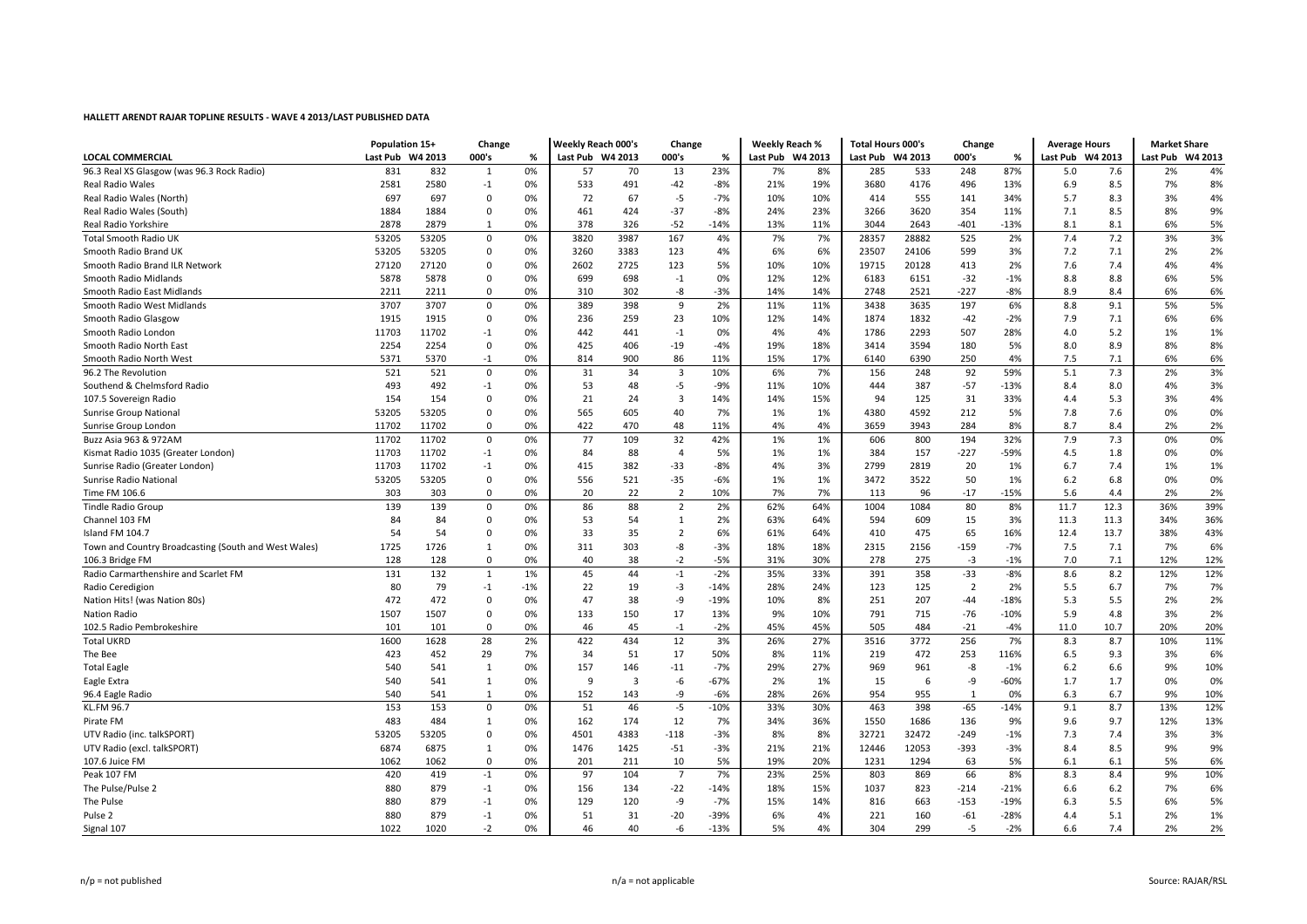|                                                      | Population 15+   |       | Change                  |       | <b>Weekly Reach 000's</b> |                         | Change         |        | <b>Weekly Reach %</b> |     | <b>Total Hours 000's</b> |       | Change         |        | <b>Average Hours</b> |       | <b>Market Share</b> |     |
|------------------------------------------------------|------------------|-------|-------------------------|-------|---------------------------|-------------------------|----------------|--------|-----------------------|-----|--------------------------|-------|----------------|--------|----------------------|-------|---------------------|-----|
| <b>LOCAL COMMERCIAL</b>                              | Last Pub W4 2013 |       | 000's                   | %     | Last Pub W4 2013          |                         | 000's          | %      | Last Pub W4 2013      |     | Last Pub W4 2013         |       | 000's          | %      | Last Pub W4 2013     |       | W4 2013<br>Last Pub |     |
| 96.3 Real XS Glasgow (was 96.3 Rock Radio)           | 831              | 832   | 1                       | 0%    | 57                        | 70                      | 13             | 23%    | 7%                    | 8%  | 285                      | 533   | 248            | 87%    | 5.0                  | 7.6   | 2%                  | 4%  |
| <b>Real Radio Wales</b>                              | 2581             | 2580  | $-1$                    | 0%    | 533                       | 491                     | -42            | $-8%$  | 21%                   | 19% | 3680                     | 4176  | 496            | 13%    | 6.9                  | 8.5   | 7%                  | 8%  |
| Real Radio Wales (North)                             | 697              | 697   | $\mathbf 0$             | 0%    | 72                        | 67                      | $-5$           | $-7%$  | 10%                   | 10% | 414                      | 555   | 141            | 34%    | 5.7                  | 8.3   | 3%                  | 4%  |
| Real Radio Wales (South)                             | 1884             | 1884  | $\Omega$                | 0%    | 461                       | 424                     | $-37$          | -8%    | 24%                   | 23% | 3266                     | 3620  | 354            | 11%    | 7.1                  | 8.5   | 8%                  | 9%  |
| Real Radio Yorkshire                                 | 2878             | 2879  | -1                      | 0%    | 378                       | 326                     | $-52$          | $-14%$ | 13%                   | 11% | 3044                     | 2643  | $-401$         | $-13%$ | 8.1                  | 8.1   | 6%                  | 5%  |
| <b>Total Smooth Radio UK</b>                         | 53205            | 53205 | $\mathbf 0$             | 0%    | 3820                      | 3987                    | 167            | 4%     | 7%                    | 7%  | 28357                    | 28882 | 525            | 2%     | 7.4                  | 7.2   | 3%                  | 3%  |
| Smooth Radio Brand UK                                | 53205            | 53205 | $\Omega$                | 0%    | 3260                      | 3383                    | 123            | 4%     | 6%                    | 6%  | 23507                    | 24106 | 599            | 3%     | 7.2                  | 7.1   | 2%                  | 2%  |
| Smooth Radio Brand ILR Network                       | 27120            | 27120 | $\mathbf 0$             | 0%    | 2602                      | 2725                    | 123            | 5%     | 10%                   | 10% | 19715                    | 20128 | 413            | 2%     | 7.6                  | 7.4   | 4%                  | 4%  |
| Smooth Radio Midlands                                | 5878             | 5878  | 0                       | 0%    | 699                       | 698                     | $-1$           | 0%     | 12%                   | 12% | 6183                     | 6151  | $-32$          | $-1%$  | 8.8                  | 8.8   | 6%                  | 5%  |
| Smooth Radio East Midlands                           | 2211             | 2211  | $\Omega$                | 0%    | 310                       | 302                     | -8             | $-3%$  | 14%                   | 14% | 2748                     | 2521  | -227           | $-8%$  | 8.9                  | 8.4   | 6%                  | 6%  |
| Smooth Radio West Midlands                           | 3707             | 3707  | $\mathsf 0$             | 0%    | 389                       | 398                     | 9              | 2%     | 11%                   | 11% | 3438                     | 3635  | 197            | 6%     | 8.8                  | 9.1   | 5%                  | 5%  |
| Smooth Radio Glasgow                                 | 1915             | 1915  | $\mathbf 0$             | 0%    | 236                       | 259                     | 23             | 10%    | 12%                   | 14% | 1874                     | 1832  | $-42$          | $-2%$  | 7.9                  | 7.1   | 6%                  | 6%  |
| Smooth Radio London                                  | 11703            | 11702 | $-1$                    | 0%    | 442                       | 441                     | $-1$           | 0%     | 4%                    | 4%  | 1786                     | 2293  | 507            | 28%    | 4.0                  | 5.2   | 1%                  | 1%  |
| Smooth Radio North East                              | 2254             | 2254  | 0                       | 0%    | 425                       | 406                     | $-19$          | $-4%$  | 19%                   | 18% | 3414                     | 3594  | 180            | 5%     | 8.0                  | 8.9   | 8%                  | 8%  |
| Smooth Radio North West                              | 5371             | 5370  | $-1$                    | 0%    | 814                       | 900                     | 86             | 11%    | 15%                   | 17% | 6140                     | 6390  | 250            | 4%     | 7.5                  | 7.1   | 6%                  | 6%  |
| 96.2 The Revolution                                  | 521              | 521   | $\mathbf 0$             | 0%    | 31                        | 34                      | $\overline{3}$ | 10%    | 6%                    | 7%  | 156                      | 248   | 92             | 59%    | 5.1                  | 7.3   | 2%                  | 3%  |
| Southend & Chelmsford Radio                          | 493              | 492   | $-1$                    | 0%    | 53                        | 48                      | $-5$           | $-9%$  | 11%                   | 10% | 444                      | 387   | $-57$          | $-13%$ | 8.4                  | 8.0   | 4%                  | 3%  |
| 107.5 Sovereign Radio                                | 154              | 154   | 0                       | 0%    | 21                        | 24                      | $\overline{3}$ | 14%    | 14%                   | 15% | 94                       | 125   | 31             | 33%    | 4.4                  | 5.3   | 3%                  | 4%  |
| <b>Sunrise Group National</b>                        | 53205            | 53205 | 0                       | 0%    | 565                       | 605                     | 40             | 7%     | 1%                    | 1%  | 4380                     | 4592  | 212            | 5%     | 7.8                  | 7.6   | 0%                  | 0%  |
| Sunrise Group London                                 | 11702            | 11702 | $\Omega$                | 0%    | 422                       | 470                     | 48             | 11%    | 4%                    | 4%  | 3659                     | 3943  | 284            | 8%     | 8.7                  | 8.4   | 2%                  | 2%  |
| Buzz Asia 963 & 972AM                                | 11702            | 11702 | $\mathbf 0$             | 0%    | 77                        | 109                     | 32             | 42%    | 1%                    | 1%  | 606                      | 800   | 194            | 32%    | 7.9                  | 7.3   | 0%                  | 0%  |
| Kismat Radio 1035 (Greater London)                   | 11703            | 11702 | $-1$                    | 0%    | 84                        | 88                      | $\overline{4}$ | 5%     | 1%                    | 1%  | 384                      | 157   | $-227$         | -59%   | 4.5                  | 1.8   | 0%                  | 0%  |
| Sunrise Radio (Greater London)                       | 11703            | 11702 | $-1$                    | 0%    | 415                       | 382                     | $-33$          | $-8%$  | 4%                    | 3%  | 2799                     | 2819  | 20             | 1%     | 6.7                  | 7.4   | 1%                  | 1%  |
| Sunrise Radio National                               | 53205            | 53205 | $\mathbf 0$             | 0%    | 556                       | 521                     | $-35$          | $-6%$  | 1%                    | 1%  | 3472                     | 3522  | 50             | 1%     | 6.2                  | 6.8   | 0%                  | 0%  |
| Time FM 106.6                                        | 303              | 303   | $\Omega$                | 0%    | 20                        | 22                      | $\overline{2}$ | 10%    | 7%                    | 7%  | 113                      | 96    | $-17$          | $-15%$ | 5.6                  | 4.4   | 2%                  | 2%  |
| <b>Tindle Radio Group</b>                            | 139              | 139   | $\mathbf 0$             | 0%    | 86                        | 88                      | $\overline{2}$ | 2%     | 62%                   | 64% | 1004                     | 1084  | 80             | 8%     | 11.7                 | 12.3  | 36%                 | 39% |
|                                                      | 84               | 84    | $\mathbf 0$             |       |                           |                         |                |        |                       |     |                          |       |                |        |                      |       |                     | 36% |
| Channel 103 FM                                       |                  |       |                         | 0%    | 53                        | 54                      | $\mathbf{1}$   | 2%     | 63%                   | 64% | 594                      | 609   | 15             | 3%     | 11.3                 | 11.3  | 34%                 |     |
| Island FM 104.7                                      | 54               | 54    | 0                       | 0%    | 33                        | 35                      | $\overline{2}$ | 6%     | 61%                   | 64% | 410                      | 475   | 65             | 16%    | 12.4                 | 13.7  | 38%                 | 43% |
| Town and Country Broadcasting (South and West Wales) | 1725             | 1726  | 1                       | 0%    | 311                       | 303                     | -8             | $-3%$  | 18%                   | 18% | 2315                     | 2156  | -159           | $-7%$  | 7.5                  | 7.1   | 7%                  | 6%  |
| 106.3 Bridge FM                                      | 128              | 128   | $\Omega$                | 0%    | 40                        | 38                      | $-2$           | $-5%$  | 31%                   | 30% | 278                      | 275   | $-3$           | $-1%$  | 7.0                  | 7.1   | 12%                 | 12% |
| Radio Carmarthenshire and Scarlet FM                 | 131              | 132   | 1                       | 1%    | 45                        | 44                      | $-1$           | $-2%$  | 35%                   | 33% | 391                      | 358   | $-33$          | $-8%$  | 8.6                  | 8.2   | 12%                 | 12% |
| Radio Ceredigion                                     | 80               | 79    | $-1$                    | $-1%$ | 22                        | 19                      | $-3$           | $-14%$ | 28%                   | 24% | 123                      | 125   | $\overline{2}$ | 2%     | 5.5                  | 6.7   | 7%                  | 7%  |
| Nation Hits! (was Nation 80s)                        | 472              | 472   | $\mathbf 0$             | 0%    | 47                        | 38                      | -9             | $-19%$ | 10%                   | 8%  | 251                      | 207   | $-44$          | $-18%$ | 5.3                  | 5.5   | 2%                  | 2%  |
| Nation Radio                                         | 1507             | 1507  | $\Omega$                | 0%    | 133                       | 150                     | 17             | 13%    | 9%                    | 10% | 791                      | 715   | $-76$          | $-10%$ | 5.9                  | 4.8   | 3%                  | 2%  |
| 102.5 Radio Pembrokeshire                            | 101              | 101   | $\Omega$                | 0%    | 46                        | 45                      | $-1$           | $-2%$  | 45%                   | 45% | 505                      | 484   | $-21$          | $-4%$  | 11.0                 | 10.7  | 20%                 | 20% |
| <b>Total UKRD</b>                                    | 1600             | 1628  | 28                      | 2%    | 422                       | 434                     | 12             | 3%     | 26%                   | 27% | 3516                     | 3772  | 256            | 7%     | 8.3                  | 8.7   | 10%                 | 11% |
| The Bee                                              | 423              | 452   | 29                      | 7%    | 34                        | 51                      | 17             | 50%    | 8%                    | 11% | 219                      | 472   | 253            | 116%   | 6.5                  | 9.3   | 3%                  | 6%  |
| <b>Total Eagle</b>                                   | 540              | 541   | 1                       | 0%    | 157                       | 146                     | $-11$          | $-7%$  | 29%                   | 27% | 969                      | 961   | -8             | $-1%$  | 6.2                  | 6.6   | 9%                  | 10% |
| Eagle Extra                                          | 540              | 541   | 1                       | 0%    | 9                         | $\overline{\mathbf{3}}$ | $-6$           | $-67%$ | 2%                    | 1%  | 15                       | 6     | -9             | $-60%$ | 1.7                  | 1.7   | 0%                  | 0%  |
| 96.4 Eagle Radio                                     | 540              | 541   | 1                       | 0%    | 152                       | 143                     | -9             | $-6%$  | 28%                   | 26% | 954                      | 955   | 1              | 0%     | 6.3                  | 6.7   | 9%                  | 10% |
| KL.FM 96.7                                           | 153              | 153   | $\mathsf 0$             | 0%    | 51                        | 46                      | $-5$           | $-10%$ | 33%                   | 30% | 463                      | 398   | $-65$          | $-14%$ | 9.1                  | 8.7   | 13%                 | 12% |
| Pirate FM                                            | 483              | 484   | -1                      | 0%    | 162                       | 174                     | 12             | 7%     | 34%                   | 36% | 1550                     | 1686  | 136            | 9%     | 9.6                  | 9.7   | 12%                 | 13% |
| UTV Radio (inc. talkSPORT)                           | 53205            | 53205 | $\mathbf 0$             | 0%    | 4501                      | 4383                    | $-118$         | $-3%$  | 8%                    | 8%  | 32721                    | 32472 | -249           | $-1%$  | 7.3                  | 7.4   | 3%                  | 3%  |
| UTV Radio (excl. talkSPORT)                          | 6874             | 6875  | 1                       | 0%    | 1476                      | 1425                    | $-51$          | $-3%$  | 21%                   | 21% | 12446                    | 12053 | -393           | $-3%$  | 8.4                  | 8.5   | 9%                  | 9%  |
| 107.6 Juice FM                                       | 1062             | 1062  | $\Omega$                | 0%    | 201                       | 211                     | 10             | 5%     | 19%                   | 20% | 1231                     | 1294  | 63             | 5%     | 6.1                  | 6.1   | 5%                  | 6%  |
| Peak 107 FM                                          | 420              | 419   | $^{\mbox{{\small -1}}}$ | 0%    | 97                        | 104                     | $\overline{7}$ | 7%     | 23%                   | 25% | 803                      | 869   | 66             | 8%     | 8.3                  | 8.4   | 9%                  | 10% |
| The Pulse/Pulse 2                                    | 880              | 879   | $-1$                    | 0%    | 156                       | 134                     | $-22$          | $-14%$ | 18%                   | 15% | 1037                     | 823   | -214           | $-21%$ | 6.6                  | $6.2$ | 7%                  | 6%  |
| The Pulse                                            | 880              | 879   | $-1$                    | 0%    | 129                       | 120                     | $-9$           | $-7%$  | 15%                   | 14% | 816                      | 663   | $-153$         | $-19%$ | 6.3                  | 5.5   | 6%                  | 5%  |
| Pulse 2                                              | 880              | 879   | $-1$                    | 0%    | 51                        | 31                      | $-20$          | -39%   | 6%                    | 4%  | 221                      | 160   | $-61$          | $-28%$ | 4.4                  | 5.1   | 2%                  | 1%  |
| Signal 107                                           | 1022             | 1020  | $-2$                    | 0%    | 46                        | 40                      | $-6$           | $-13%$ | 5%                    | 4%  | 304                      | 299   | $-5$           | $-2%$  | 6.6                  | 7.4   | 2%                  | 2%  |
|                                                      |                  |       |                         |       |                           |                         |                |        |                       |     |                          |       |                |        |                      |       |                     |     |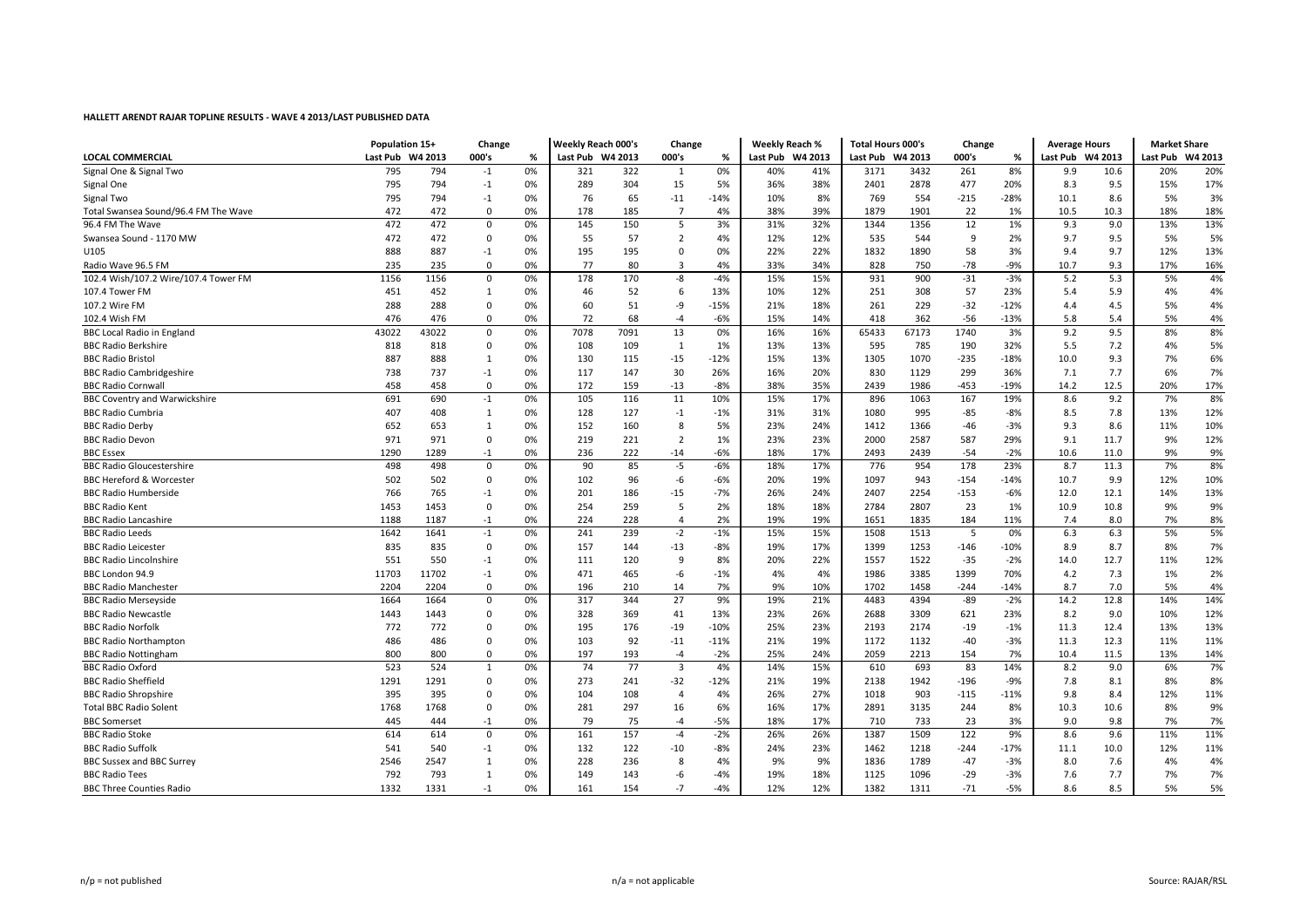|                                      | Population 15+   |       | Change       |    | Weekly Reach 000's |      | Change                  |        | <b>Weekly Reach %</b> |         | <b>Total Hours 000's</b> |       | Change |        | <b>Average Hours</b> |      | <b>Market Share</b> |         |
|--------------------------------------|------------------|-------|--------------|----|--------------------|------|-------------------------|--------|-----------------------|---------|--------------------------|-------|--------|--------|----------------------|------|---------------------|---------|
| <b>LOCAL COMMERCIAL</b>              | Last Pub W4 2013 |       | 000's        | %  | Last Pub W4 2013   |      | 000's                   | %      | Last Pub              | W4 2013 | Last Pub W4 2013         |       | 000's  | %      | Last Pub W4 2013     |      | Last Pub            | W4 2013 |
| Signal One & Signal Two              | 795              | 794   | $-1$         | 0% | 321                | 322  | 1                       | 0%     | 40%                   | 41%     | 3171                     | 3432  | 261    | 8%     | 9.9                  | 10.6 | 20%                 | 20%     |
| Signal One                           | 795              | 794   | $-1$         | 0% | 289                | 304  | 15                      | 5%     | 36%                   | 38%     | 2401                     | 2878  | 477    | 20%    | 8.3                  | 9.5  | 15%                 | 17%     |
| Signal Two                           | 795              | 794   | $-1$         | 0% | 76                 | 65   | $-11$                   | $-14%$ | 10%                   | 8%      | 769                      | 554   | $-215$ | $-28%$ | 10.1                 | 8.6  | 5%                  | 3%      |
| Total Swansea Sound/96.4 FM The Wave | 472              | 472   | $\mathbf 0$  | 0% | 178                | 185  | $\overline{7}$          | 4%     | 38%                   | 39%     | 1879                     | 1901  | 22     | 1%     | 10.5                 | 10.3 | 18%                 | 18%     |
| 96.4 FM The Wave                     | 472              | 472   | $\mathbf 0$  | 0% | 145                | 150  | 5                       | 3%     | 31%                   | 32%     | 1344                     | 1356  | 12     | 1%     | 9.3                  | 9.0  | 13%                 | 13%     |
| Swansea Sound - 1170 MW              | 472              | 472   | $\mathbf 0$  | 0% | 55                 | 57   | $\overline{2}$          | 4%     | 12%                   | 12%     | 535                      | 544   | 9      | 2%     | 9.7                  | 9.5  | 5%                  | 5%      |
| U105                                 | 888              | 887   | $^{\rm -1}$  | 0% | 195                | 195  | $\Omega$                | 0%     | 22%                   | 22%     | 1832                     | 1890  | 58     | 3%     | 9.4                  | 9.7  | 12%                 | 13%     |
| Radio Wave 96.5 FM                   | 235              | 235   | $\mathbf 0$  | 0% | 77                 | 80   | $\overline{3}$          | 4%     | 33%                   | 34%     | 828                      | 750   | $-78$  | $-9%$  | 10.7                 | 9.3  | 17%                 | 16%     |
| 102.4 Wish/107.2 Wire/107.4 Tower FM | 1156             | 1156  | $\mathbf 0$  | 0% | 178                | 170  | -8                      | $-4%$  | 15%                   | 15%     | 931                      | 900   | $-31$  | $-3%$  | 5.2                  | 5.3  | 5%                  | 4%      |
| 107.4 Tower FM                       | 451              | 452   | 1            | 0% | 46                 | 52   | 6                       | 13%    | 10%                   | 12%     | 251                      | 308   | 57     | 23%    | 5.4                  | 5.9  | 4%                  | 4%      |
| 107.2 Wire FM                        | 288              | 288   | 0            | 0% | 60                 | 51   | -9                      | $-15%$ | 21%                   | 18%     | 261                      | 229   | $-32$  | $-12%$ | 4.4                  | 4.5  | 5%                  | 4%      |
| 102.4 Wish FM                        | 476              | 476   | $\mathbf 0$  | 0% | 72                 | 68   | $-4$                    | $-6%$  | 15%                   | 14%     | 418                      | 362   | $-56$  | $-13%$ | 5.8                  | 5.4  | 5%                  | 4%      |
| <b>BBC Local Radio in England</b>    | 43022            | 43022 | $\mathbf 0$  | 0% | 7078               | 7091 | 13                      | 0%     | 16%                   | 16%     | 65433                    | 67173 | 1740   | 3%     | 9.2                  | 9.5  | 8%                  | 8%      |
| <b>BBC Radio Berkshire</b>           | 818              | 818   | $\mathbf 0$  | 0% | 108                | 109  | 1                       | 1%     | 13%                   | 13%     | 595                      | 785   | 190    | 32%    | 5.5                  | 7.2  | 4%                  | 5%      |
| <b>BBC Radio Bristol</b>             | 887              | 888   | 1            | 0% | 130                | 115  | $-15$                   | $-12%$ | 15%                   | 13%     | 1305                     | 1070  | $-235$ | $-18%$ | 10.0                 | 9.3  | 7%                  | 6%      |
| <b>BBC Radio Cambridgeshire</b>      | 738              | 737   | $-1$         | 0% | 117                | 147  | 30                      | 26%    | 16%                   | 20%     | 830                      | 1129  | 299    | 36%    | 7.1                  | 7.7  | 6%                  | 7%      |
| <b>BBC Radio Cornwall</b>            | 458              | 458   | $\mathbf 0$  | 0% | 172                | 159  | $-13$                   | $-8%$  | 38%                   | 35%     | 2439                     | 1986  | $-453$ | $-19%$ | 14.2                 | 12.5 | 20%                 | 17%     |
| <b>BBC Coventry and Warwickshire</b> | 691              | 690   | $^{\rm -1}$  | 0% | 105                | 116  | 11                      | 10%    | 15%                   | 17%     | 896                      | 1063  | 167    | 19%    | 8.6                  | 9.2  | 7%                  | 8%      |
| <b>BBC Radio Cumbria</b>             | 407              | 408   | 1            | 0% | 128                | 127  | $-1$                    | $-1%$  | 31%                   | 31%     | 1080                     | 995   | -85    | $-8%$  | 8.5                  | 7.8  | 13%                 | 12%     |
| <b>BBC Radio Derby</b>               | 652              | 653   | 1            | 0% | 152                | 160  | 8                       | 5%     | 23%                   | 24%     | 1412                     | 1366  | -46    | $-3%$  | 9.3                  | 8.6  | 11%                 | 10%     |
| <b>BBC Radio Devon</b>               | 971              | 971   | $\mathbf{0}$ | 0% | 219                | 221  | $\overline{2}$          | 1%     | 23%                   | 23%     | 2000                     | 2587  | 587    | 29%    | 9.1                  | 11.7 | 9%                  | 12%     |
| <b>BBC Essex</b>                     | 1290             | 1289  | $-1$         | 0% | 236                | 222  | $-14$                   | $-6%$  | 18%                   | 17%     | 2493                     | 2439  | $-54$  | $-2%$  | 10.6                 | 11.0 | 9%                  | 9%      |
| <b>BBC Radio Gloucestershire</b>     | 498              | 498   | $\mathbf 0$  | 0% | 90                 | 85   | $-5$                    | $-6%$  | 18%                   | 17%     | 776                      | 954   | 178    | 23%    | 8.7                  | 11.3 | 7%                  | 8%      |
| <b>BBC Hereford &amp; Worcester</b>  | 502              | 502   | $\mathbf{0}$ | 0% | 102                | 96   | $-6$                    | -6%    | 20%                   | 19%     | 1097                     | 943   | $-154$ | $-14%$ | 10.7                 | 9.9  | 12%                 | 10%     |
| <b>BBC Radio Humberside</b>          | 766              | 765   | $-1$         | 0% | 201                | 186  | -15                     | $-7%$  | 26%                   | 24%     | 2407                     | 2254  | $-153$ | $-6%$  | 12.0                 | 12.1 | 14%                 | 13%     |
| <b>BBC Radio Kent</b>                | 1453             | 1453  | $\mathbf 0$  | 0% | 254                | 259  | 5                       | 2%     | 18%                   | 18%     | 2784                     | 2807  | 23     | 1%     | 10.9                 | 10.8 | 9%                  | 9%      |
| <b>BBC Radio Lancashire</b>          | 1188             | 1187  | $-1$         | 0% | 224                | 228  | $\overline{4}$          | 2%     | 19%                   | 19%     | 1651                     | 1835  | 184    | 11%    | 7.4                  | 8.0  | 7%                  | 8%      |
| <b>BBC Radio Leeds</b>               | 1642             | 1641  | $^{\rm -1}$  | 0% | 241                | 239  | $-2$                    | $-1%$  | 15%                   | 15%     | 1508                     | 1513  | 5      | 0%     | 6.3                  | 6.3  | 5%                  | 5%      |
| <b>BBC Radio Leicester</b>           | 835              | 835   | $\mathbf 0$  | 0% | 157                | 144  | $-13$                   | $-8%$  | 19%                   | 17%     | 1399                     | 1253  | $-146$ | $-10%$ | 8.9                  | 8.7  | 8%                  | 7%      |
| <b>BBC Radio Lincolnshire</b>        | 551              | 550   | $-1$         | 0% | 111                | 120  | 9                       | 8%     | 20%                   | 22%     | 1557                     | 1522  | $-35$  | $-2%$  | 14.0                 | 12.7 | 11%                 | 12%     |
| BBC London 94.9                      | 11703            | 11702 | $-1$         | 0% | 471                | 465  | -6                      | $-1%$  | 4%                    | 4%      | 1986                     | 3385  | 1399   | 70%    | 4.2                  | 7.3  | 1%                  | 2%      |
| <b>BBC Radio Manchester</b>          | 2204             | 2204  | 0            | 0% | 196                | 210  | 14                      | 7%     | 9%                    | 10%     | 1702                     | 1458  | $-244$ | $-14%$ | 8.7                  | 7.0  | 5%                  | 4%      |
| <b>BBC Radio Merseyside</b>          | 1664             | 1664  | $\mathsf 0$  | 0% | 317                | 344  | 27                      | 9%     | 19%                   | 21%     | 4483                     | 4394  | $-89$  | $-2%$  | 14.2                 | 12.8 | 14%                 | 14%     |
| <b>BBC Radio Newcastle</b>           | 1443             | 1443  | $\mathbf 0$  | 0% | 328                | 369  | 41                      | 13%    | 23%                   | 26%     | 2688                     | 3309  | 621    | 23%    | 8.2                  | 9.0  | 10%                 | 12%     |
| <b>BBC Radio Norfolk</b>             | 772              | 772   | $\mathbf 0$  | 0% | 195                | 176  | $-19$                   | $-10%$ | 25%                   | 23%     | 2193                     | 2174  | $-19$  | $-1%$  | 11.3                 | 12.4 | 13%                 | 13%     |
| <b>BBC Radio Northampton</b>         | 486              | 486   | $\mathbf 0$  | 0% | 103                | 92   | $-11$                   | $-11%$ | 21%                   | 19%     | 1172                     | 1132  | $-40$  | $-3%$  | 11.3                 | 12.3 | 11%                 | 11%     |
| <b>BBC Radio Nottingham</b>          | 800              | 800   | $\mathbf 0$  | 0% | 197                | 193  | $-4$                    | $-2%$  | 25%                   | 24%     | 2059                     | 2213  | 154    | 7%     | 10.4                 | 11.5 | 13%                 | 14%     |
| <b>BBC Radio Oxford</b>              | 523              | 524   | $\mathbf{1}$ | 0% | 74                 | 77   | $\overline{\mathbf{3}}$ | 4%     | 14%                   | 15%     | 610                      | 693   | 83     | 14%    | 8.2                  | 9.0  | 6%                  | 7%      |
| <b>BBC Radio Sheffield</b>           | 1291             | 1291  | $\mathbf 0$  | 0% | 273                | 241  | -32                     | $-12%$ | 21%                   | 19%     | 2138                     | 1942  | $-196$ | $-9%$  | 7.8                  | 8.1  | 8%                  | 8%      |
| <b>BBC Radio Shropshire</b>          | 395              | 395   | $\mathbf 0$  | 0% | 104                | 108  | $\overline{4}$          | 4%     | 26%                   | 27%     | 1018                     | 903   | $-115$ | $-11%$ | 9.8                  | 8.4  | 12%                 | 11%     |
| <b>Total BBC Radio Solent</b>        | 1768             | 1768  | $\mathbf 0$  | 0% | 281                | 297  | 16                      | 6%     | 16%                   | 17%     | 2891                     | 3135  | 244    | 8%     | 10.3                 | 10.6 | 8%                  | 9%      |
| <b>BBC</b> Somerset                  | 445              | 444   | $-1$         | 0% | 79                 | 75   | $-4$                    | $-5%$  | 18%                   | 17%     | 710                      | 733   | 23     | 3%     | 9.0                  | 9.8  | 7%                  | 7%      |
| <b>BBC Radio Stoke</b>               | 614              | 614   | $\mathbf 0$  | 0% | 161                | 157  | $-4$                    | $-2%$  | 26%                   | 26%     | 1387                     | 1509  | 122    | 9%     | 8.6                  | 9.6  | 11%                 | 11%     |
| <b>BBC Radio Suffolk</b>             | 541              | 540   | $-1$         | 0% | 132                | 122  | $-10$                   | $-8%$  | 24%                   | 23%     | 1462                     | 1218  | $-244$ | $-17%$ | 11.1                 | 10.0 | 12%                 | 11%     |
| <b>BBC Sussex and BBC Surrey</b>     | 2546             | 2547  | 1            | 0% | 228                | 236  | 8                       | 4%     | 9%                    | 9%      | 1836                     | 1789  | $-47$  | $-3%$  | 8.0                  | 7.6  | 4%                  | 4%      |
| <b>BBC Radio Tees</b>                | 792              | 793   | 1            | 0% | 149                | 143  | -6                      | $-4%$  | 19%                   | 18%     | 1125                     | 1096  | $-29$  | $-3%$  | 7.6                  | 7.7  | 7%                  | 7%      |
| <b>BBC Three Counties Radio</b>      | 1332             | 1331  | $-1$         | 0% | 161                | 154  | $-7$                    | $-4%$  | 12%                   | 12%     | 1382                     | 1311  | $-71$  | $-5%$  | 8.6                  | 8.5  | 5%                  | 5%      |